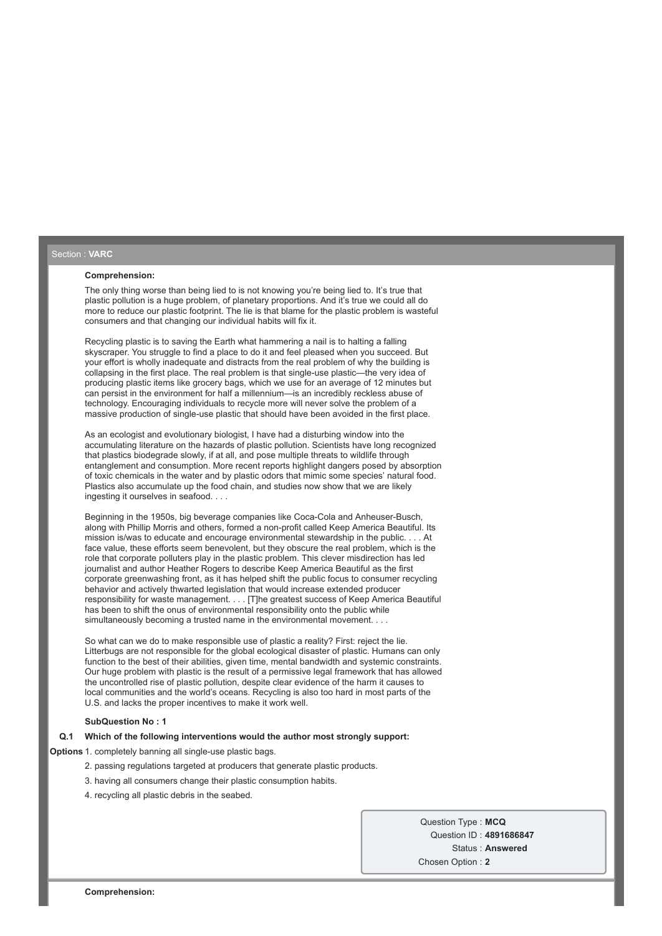### Section : **VARC**

#### **Comprehension:**

The only thing worse than being lied to is not knowing you're being lied to. It's true that plastic pollution is a huge problem, of planetary proportions. And it's true we could all do more to reduce our plastic footprint. The lie is that blame for the plastic problem is wasteful consumers and that changing our individual habits will fix it.

Recycling plastic is to saving the Earth what hammering a nail is to halting a falling skyscraper. You struggle to find a place to do it and feel pleased when you succeed. But your effort is wholly inadequate and distracts from the real problem of why the building is collapsing in the first place. The real problem is that single-use plastic—the very idea of producing plastic items like grocery bags, which we use for an average of 12 minutes but can persist in the environment for half a millennium—is an incredibly reckless abuse of technology. Encouraging individuals to recycle more will never solve the problem of a massive production of single-use plastic that should have been avoided in the first place.

As an ecologist and evolutionary biologist, I have had a disturbing window into the accumulating literature on the hazards of plastic pollution. Scientists have long recognized that plastics biodegrade slowly, if at all, and pose multiple threats to wildlife through entanglement and consumption. More recent reports highlight dangers posed by absorption of toxic chemicals in the water and by plastic odors that mimic some species' natural food. Plastics also accumulate up the food chain, and studies now show that we are likely ingesting it ourselves in seafood. . . .

Beginning in the 1950s, big beverage companies like Coca-Cola and Anheuser-Busch, along with Phillip Morris and others, formed a non-profit called Keep America Beautiful. Its mission is/was to educate and encourage environmental stewardship in the public. . . . At face value, these efforts seem benevolent, but they obscure the real problem, which is the role that corporate polluters play in the plastic problem. This clever misdirection has led journalist and author Heather Rogers to describe Keep America Beautiful as the first corporate greenwashing front, as it has helped shift the public focus to consumer recycling behavior and actively thwarted legislation that would increase extended producer responsibility for waste management. . . . [T]he greatest success of Keep America Beautiful has been to shift the onus of environmental responsibility onto the public while simultaneously becoming a trusted name in the environmental movement. . .

So what can we do to make responsible use of plastic a reality? First: reject the lie. Litterbugs are not responsible for the global ecological disaster of plastic. Humans can only function to the best of their abilities, given time, mental bandwidth and systemic constraints. Our huge problem with plastic is the result of a permissive legal framework that has allowed the uncontrolled rise of plastic pollution, despite clear evidence of the harm it causes to local communities and the world's oceans. Recycling is also too hard in most parts of the U.S. and lacks the proper incentives to make it work well.

#### **SubQuestion No : 1**

### **Q.1 Which of the following interventions would the author most strongly support:**

**Options** 1. completely banning all single-use plastic bags.

- 2. passing regulations targeted at producers that generate plastic products.
- 3. having all consumers change their plastic consumption habits.
- 4. recycling all plastic debris in the seabed.

Question Type : **MCQ** Question ID : **4891686847** Status : **Answered** Chosen Option : **2**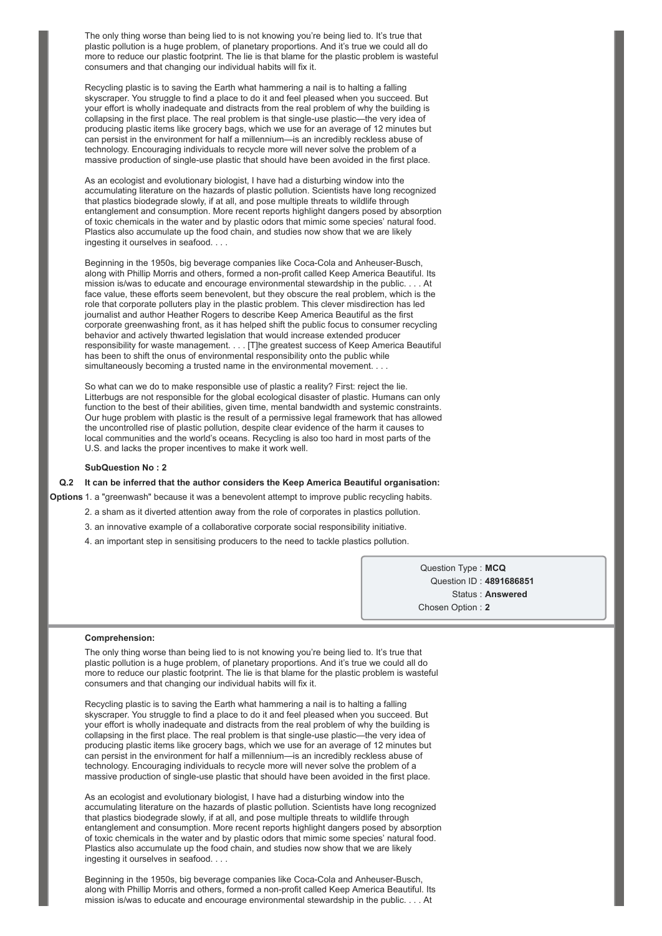The only thing worse than being lied to is not knowing you're being lied to. It's true that plastic pollution is a huge problem, of planetary proportions. And it's true we could all do more to reduce our plastic footprint. The lie is that blame for the plastic problem is wasteful consumers and that changing our individual habits will fix it.

Recycling plastic is to saving the Earth what hammering a nail is to halting a falling skyscraper. You struggle to find a place to do it and feel pleased when you succeed. But your effort is wholly inadequate and distracts from the real problem of why the building is collapsing in the first place. The real problem is that single-use plastic—the very idea of producing plastic items like grocery bags, which we use for an average of 12 minutes but can persist in the environment for half a millennium—is an incredibly reckless abuse of technology. Encouraging individuals to recycle more will never solve the problem of a massive production of single-use plastic that should have been avoided in the first place.

As an ecologist and evolutionary biologist, I have had a disturbing window into the accumulating literature on the hazards of plastic pollution. Scientists have long recognized that plastics biodegrade slowly, if at all, and pose multiple threats to wildlife through entanglement and consumption. More recent reports highlight dangers posed by absorption of toxic chemicals in the water and by plastic odors that mimic some species' natural food. Plastics also accumulate up the food chain, and studies now show that we are likely ingesting it ourselves in seafood. . . .

Beginning in the 1950s, big beverage companies like Coca-Cola and Anheuser-Busch, along with Phillip Morris and others, formed a non-profit called Keep America Beautiful. Its mission is/was to educate and encourage environmental stewardship in the public. . . . At face value, these efforts seem benevolent, but they obscure the real problem, which is the role that corporate polluters play in the plastic problem. This clever misdirection has led journalist and author Heather Rogers to describe Keep America Beautiful as the first corporate greenwashing front, as it has helped shift the public focus to consumer recycling behavior and actively thwarted legislation that would increase extended producer responsibility for waste management. . . . [T]he greatest success of Keep America Beautiful has been to shift the onus of environmental responsibility onto the public while simultaneously becoming a trusted name in the environmental movement. . . .

So what can we do to make responsible use of plastic a reality? First: reject the lie. Litterbugs are not responsible for the global ecological disaster of plastic. Humans can only function to the best of their abilities, given time, mental bandwidth and systemic constraints. Our huge problem with plastic is the result of a permissive legal framework that has allowed the uncontrolled rise of plastic pollution, despite clear evidence of the harm it causes to local communities and the world's oceans. Recycling is also too hard in most parts of the U.S. and lacks the proper incentives to make it work well.

#### **SubQuestion No : 2**

#### **Q.2 It can be inferred that the author considers the Keep America Beautiful organisation:**

**Options** 1. a "greenwash" because it was a benevolent attempt to improve public recycling habits.

- 2. a sham as it diverted attention away from the role of corporates in plastics pollution.
- 3. an innovative example of a collaborative corporate social responsibility initiative.
- 4. an important step in sensitising producers to the need to tackle plastics pollution.

Question Type : **MCQ** Question ID : **4891686851** Status : **Answered** Chosen Option : **2**

#### **Comprehension:**

The only thing worse than being lied to is not knowing you're being lied to. It's true that plastic pollution is a huge problem, of planetary proportions. And it's true we could all do more to reduce our plastic footprint. The lie is that blame for the plastic problem is wasteful consumers and that changing our individual habits will fix it.

Recycling plastic is to saving the Earth what hammering a nail is to halting a falling skyscraper. You struggle to find a place to do it and feel pleased when you succeed. But your effort is wholly inadequate and distracts from the real problem of why the building is collapsing in the first place. The real problem is that single-use plastic—the very idea of producing plastic items like grocery bags, which we use for an average of 12 minutes but can persist in the environment for half a millennium—is an incredibly reckless abuse of technology. Encouraging individuals to recycle more will never solve the problem of a massive production of single-use plastic that should have been avoided in the first place.

As an ecologist and evolutionary biologist, I have had a disturbing window into the accumulating literature on the hazards of plastic pollution. Scientists have long recognized that plastics biodegrade slowly, if at all, and pose multiple threats to wildlife through entanglement and consumption. More recent reports highlight dangers posed by absorption of toxic chemicals in the water and by plastic odors that mimic some species' natural food. Plastics also accumulate up the food chain, and studies now show that we are likely ingesting it ourselves in seafood. . . .

Beginning in the 1950s, big beverage companies like Coca-Cola and Anheuser-Busch, along with Phillip Morris and others, formed a non-profit called Keep America Beautiful. Its mission is/was to educate and encourage environmental stewardship in the public. . . . At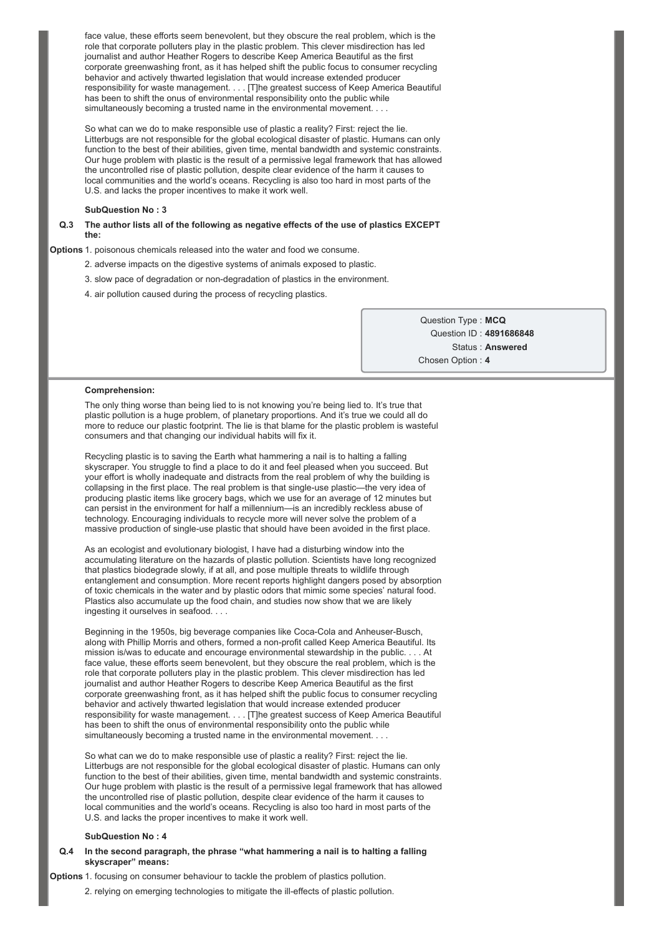face value, these efforts seem benevolent, but they obscure the real problem, which is the role that corporate polluters play in the plastic problem. This clever misdirection has led journalist and author Heather Rogers to describe Keep America Beautiful as the first corporate greenwashing front, as it has helped shift the public focus to consumer recycling behavior and actively thwarted legislation that would increase extended producer responsibility for waste management. . . . [T]he greatest success of Keep America Beautiful has been to shift the onus of environmental responsibility onto the public while simultaneously becoming a trusted name in the environmental movement. .

So what can we do to make responsible use of plastic a reality? First: reject the lie. Litterbugs are not responsible for the global ecological disaster of plastic. Humans can only function to the best of their abilities, given time, mental bandwidth and systemic constraints. Our huge problem with plastic is the result of a permissive legal framework that has allowed the uncontrolled rise of plastic pollution, despite clear evidence of the harm it causes to local communities and the world's oceans. Recycling is also too hard in most parts of the U.S. and lacks the proper incentives to make it work well.

### **SubQuestion No : 3**

**Q.3 The author lists all of the following as negative effects of the use of plastics EXCEPT the:**

**Options** 1. poisonous chemicals released into the water and food we consume.

- 2. adverse impacts on the digestive systems of animals exposed to plastic.
- 3. slow pace of degradation or nondegradation of plastics in the environment.
- 4. air pollution caused during the process of recycling plastics.

Question Type : **MCQ** Question ID : **4891686848** Status : **Answered** Chosen Option : **4**

#### **Comprehension:**

The only thing worse than being lied to is not knowing you're being lied to. It's true that plastic pollution is a huge problem, of planetary proportions. And it's true we could all do more to reduce our plastic footprint. The lie is that blame for the plastic problem is wasteful consumers and that changing our individual habits will fix it.

Recycling plastic is to saving the Earth what hammering a nail is to halting a falling skyscraper. You struggle to find a place to do it and feel pleased when you succeed. But your effort is wholly inadequate and distracts from the real problem of why the building is collapsing in the first place. The real problem is that single-use plastic—the very idea of producing plastic items like grocery bags, which we use for an average of 12 minutes but can persist in the environment for half a millennium—is an incredibly reckless abuse of technology. Encouraging individuals to recycle more will never solve the problem of a massive production of single-use plastic that should have been avoided in the first place.

As an ecologist and evolutionary biologist, I have had a disturbing window into the accumulating literature on the hazards of plastic pollution. Scientists have long recognized that plastics biodegrade slowly, if at all, and pose multiple threats to wildlife through entanglement and consumption. More recent reports highlight dangers posed by absorption of toxic chemicals in the water and by plastic odors that mimic some species' natural food. Plastics also accumulate up the food chain, and studies now show that we are likely ingesting it ourselves in seafood. . . .

Beginning in the 1950s, big beverage companies like Coca-Cola and Anheuser-Busch, along with Phillip Morris and others, formed a non-profit called Keep America Beautiful. Its mission is/was to educate and encourage environmental stewardship in the public. . . . At face value, these efforts seem benevolent, but they obscure the real problem, which is the role that corporate polluters play in the plastic problem. This clever misdirection has led journalist and author Heather Rogers to describe Keep America Beautiful as the first corporate greenwashing front, as it has helped shift the public focus to consumer recycling behavior and actively thwarted legislation that would increase extended producer responsibility for waste management. . . . [T]he greatest success of Keep America Beautiful has been to shift the onus of environmental responsibility onto the public while simultaneously becoming a trusted name in the environmental movement.

So what can we do to make responsible use of plastic a reality? First: reject the lie. Litterbugs are not responsible for the global ecological disaster of plastic. Humans can only function to the best of their abilities, given time, mental bandwidth and systemic constraints. Our huge problem with plastic is the result of a permissive legal framework that has allowed the uncontrolled rise of plastic pollution, despite clear evidence of the harm it causes to local communities and the world's oceans. Recycling is also too hard in most parts of the U.S. and lacks the proper incentives to make it work well.

#### **SubQuestion No : 4**

### **Q.4 In the second paragraph, the phrase "what hammering a nail is to halting a falling skyscraper" means:**

**Options** 1. focusing on consumer behaviour to tackle the problem of plastics pollution.

2. relying on emerging technologies to mitigate the ill-effects of plastic pollution.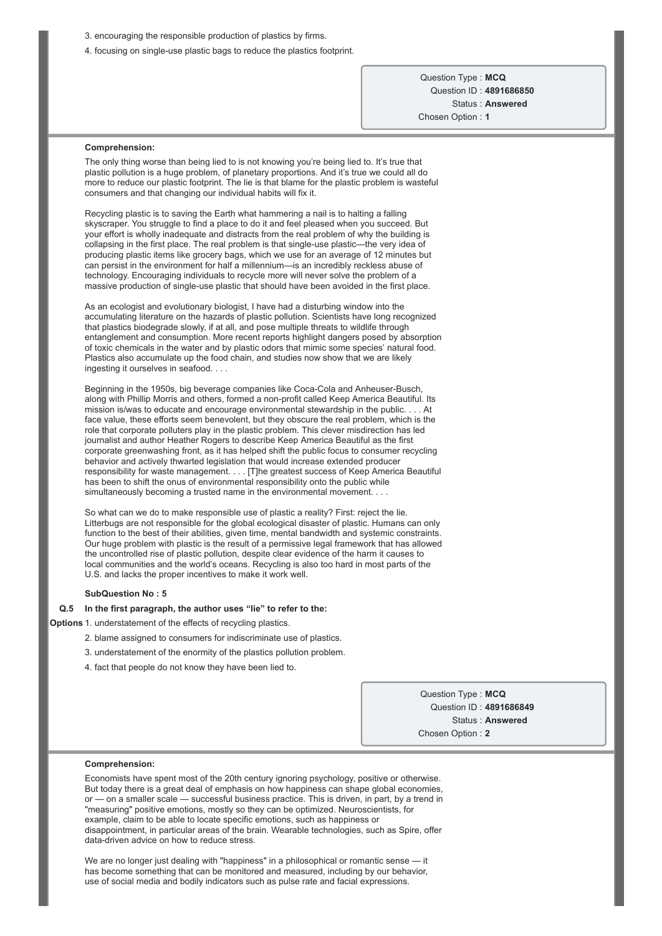- 3. encouraging the responsible production of plastics by firms.
- 4. focusing on single-use plastic bags to reduce the plastics footprint.

Question Type : **MCQ** Question ID : **4891686850** Status : **Answered** Chosen Option : **1**

#### **Comprehension:**

The only thing worse than being lied to is not knowing you're being lied to. It's true that plastic pollution is a huge problem, of planetary proportions. And it's true we could all do more to reduce our plastic footprint. The lie is that blame for the plastic problem is wasteful consumers and that changing our individual habits will fix it.

Recycling plastic is to saving the Earth what hammering a nail is to halting a falling skyscraper. You struggle to find a place to do it and feel pleased when you succeed. But your effort is wholly inadequate and distracts from the real problem of why the building is collapsing in the first place. The real problem is that single-use plastic—the very idea of producing plastic items like grocery bags, which we use for an average of 12 minutes but can persist in the environment for half a millennium—is an incredibly reckless abuse of technology. Encouraging individuals to recycle more will never solve the problem of a massive production of single-use plastic that should have been avoided in the first place.

As an ecologist and evolutionary biologist, I have had a disturbing window into the accumulating literature on the hazards of plastic pollution. Scientists have long recognized that plastics biodegrade slowly, if at all, and pose multiple threats to wildlife through entanglement and consumption. More recent reports highlight dangers posed by absorption of toxic chemicals in the water and by plastic odors that mimic some species' natural food. Plastics also accumulate up the food chain, and studies now show that we are likely ingesting it ourselves in seafood. . . .

Beginning in the 1950s, big beverage companies like Coca-Cola and Anheuser-Busch, along with Phillip Morris and others, formed a non-profit called Keep America Beautiful. Its mission is/was to educate and encourage environmental stewardship in the public. . . . At face value, these efforts seem benevolent, but they obscure the real problem, which is the role that corporate polluters play in the plastic problem. This clever misdirection has led journalist and author Heather Rogers to describe Keep America Beautiful as the first corporate greenwashing front, as it has helped shift the public focus to consumer recycling behavior and actively thwarted legislation that would increase extended producer responsibility for waste management. . . . [T]he greatest success of Keep America Beautiful has been to shift the onus of environmental responsibility onto the public while simultaneously becoming a trusted name in the environmental movement. . . .

So what can we do to make responsible use of plastic a reality? First: reject the lie. Litterbugs are not responsible for the global ecological disaster of plastic. Humans can only function to the best of their abilities, given time, mental bandwidth and systemic constraints. Our huge problem with plastic is the result of a permissive legal framework that has allowed the uncontrolled rise of plastic pollution, despite clear evidence of the harm it causes to local communities and the world's oceans. Recycling is also too hard in most parts of the U.S. and lacks the proper incentives to make it work well.

#### **SubQuestion No : 5**

### **Q.5 In the first paragraph, the author uses "lie" to refer to the:**

**Options** 1. understatement of the effects of recycling plastics.

- 2. blame assigned to consumers for indiscriminate use of plastics.
- 3. understatement of the enormity of the plastics pollution problem.
- 4. fact that people do not know they have been lied to.

Question Type : **MCQ** Question ID : **4891686849** Status : **Answered** Chosen Option : **2**

#### **Comprehension:**

Economists have spent most of the 20th century ignoring psychology, positive or otherwise. But today there is a great deal of emphasis on how happiness can shape global economies, or — on a smaller scale — successful business practice. This is driven, in part, by a trend in "measuring" positive emotions, mostly so they can be optimized. Neuroscientists, for example, claim to be able to locate specific emotions, such as happiness or disappointment, in particular areas of the brain. Wearable technologies, such as Spire, offer data-driven advice on how to reduce stress.

We are no longer just dealing with "happiness" in a philosophical or romantic sense — it has become something that can be monitored and measured, including by our behavior, use of social media and bodily indicators such as pulse rate and facial expressions.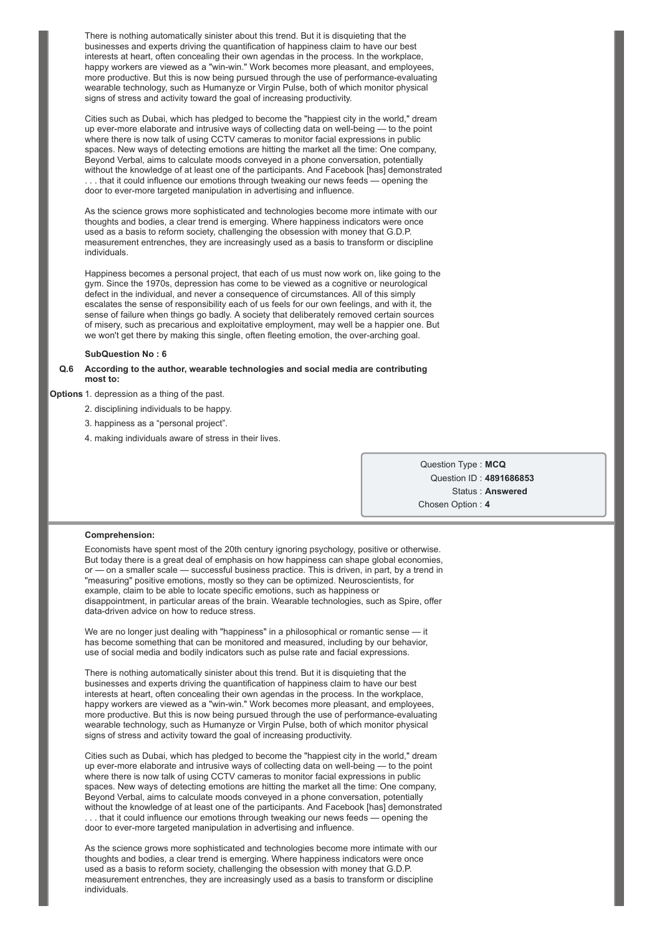There is nothing automatically sinister about this trend. But it is disquieting that the businesses and experts driving the quantification of happiness claim to have our best interests at heart, often concealing their own agendas in the process. In the workplace, happy workers are viewed as a "win-win." Work becomes more pleasant, and employees, more productive. But this is now being pursued through the use of performance-evaluating wearable technology, such as Humanyze or Virgin Pulse, both of which monitor physical signs of stress and activity toward the goal of increasing productivity.

Cities such as Dubai, which has pledged to become the "happiest city in the world," dream up ever-more elaborate and intrusive ways of collecting data on well-being — to the point where there is now talk of using CCTV cameras to monitor facial expressions in public spaces. New ways of detecting emotions are hitting the market all the time: One company, Beyond Verbal, aims to calculate moods conveyed in a phone conversation, potentially without the knowledge of at least one of the participants. And Facebook [has] demonstrated . . . that it could influence our emotions through tweaking our news feeds — opening the door to ever-more targeted manipulation in advertising and influence.

As the science grows more sophisticated and technologies become more intimate with our thoughts and bodies, a clear trend is emerging. Where happiness indicators were once used as a basis to reform society, challenging the obsession with money that G.D.P. measurement entrenches, they are increasingly used as a basis to transform or discipline individuals.

Happiness becomes a personal project, that each of us must now work on, like going to the gym. Since the 1970s, depression has come to be viewed as a cognitive or neurological defect in the individual, and never a consequence of circumstances. All of this simply escalates the sense of responsibility each of us feels for our own feelings, and with it, the sense of failure when things go badly. A society that deliberately removed certain sources of misery, such as precarious and exploitative employment, may well be a happier one. But we won't get there by making this single, often fleeting emotion, the over-arching goal.

### **SubQuestion No : 6**

### **Q.6 According to the author, wearable technologies and social media are contributing most to:**

### **Options** 1. depression as a thing of the past.

- 2. disciplining individuals to be happy.
- 3. happiness as a "personal project".
- 4. making individuals aware of stress in their lives.

Question Type : **MCQ** Question ID : **4891686853** Status : **Answered** Chosen Option : **4**

#### **Comprehension:**

Economists have spent most of the 20th century ignoring psychology, positive or otherwise. But today there is a great deal of emphasis on how happiness can shape global economies, or — on a smaller scale — successful business practice. This is driven, in part, by a trend in "measuring" positive emotions, mostly so they can be optimized. Neuroscientists, for example, claim to be able to locate specific emotions, such as happiness or disappointment, in particular areas of the brain. Wearable technologies, such as Spire, offer data-driven advice on how to reduce stress.

We are no longer just dealing with "happiness" in a philosophical or romantic sense — it has become something that can be monitored and measured, including by our behavior, use of social media and bodily indicators such as pulse rate and facial expressions.

There is nothing automatically sinister about this trend. But it is disquieting that the businesses and experts driving the quantification of happiness claim to have our best interests at heart, often concealing their own agendas in the process. In the workplace, happy workers are viewed as a "win-win." Work becomes more pleasant, and employees, more productive. But this is now being pursued through the use of performance-evaluating wearable technology, such as Humanyze or Virgin Pulse, both of which monitor physical signs of stress and activity toward the goal of increasing productivity.

Cities such as Dubai, which has pledged to become the "happiest city in the world," dream up ever-more elaborate and intrusive ways of collecting data on well-being — to the point where there is now talk of using CCTV cameras to monitor facial expressions in public spaces. New ways of detecting emotions are hitting the market all the time: One company, Beyond Verbal, aims to calculate moods conveyed in a phone conversation, potentially without the knowledge of at least one of the participants. And Facebook [has] demonstrated

. . . that it could influence our emotions through tweaking our news feeds — opening the door to ever-more targeted manipulation in advertising and influence.

As the science grows more sophisticated and technologies become more intimate with our thoughts and bodies, a clear trend is emerging. Where happiness indicators were once used as a basis to reform society, challenging the obsession with money that G.D.P. measurement entrenches, they are increasingly used as a basis to transform or discipline individuals.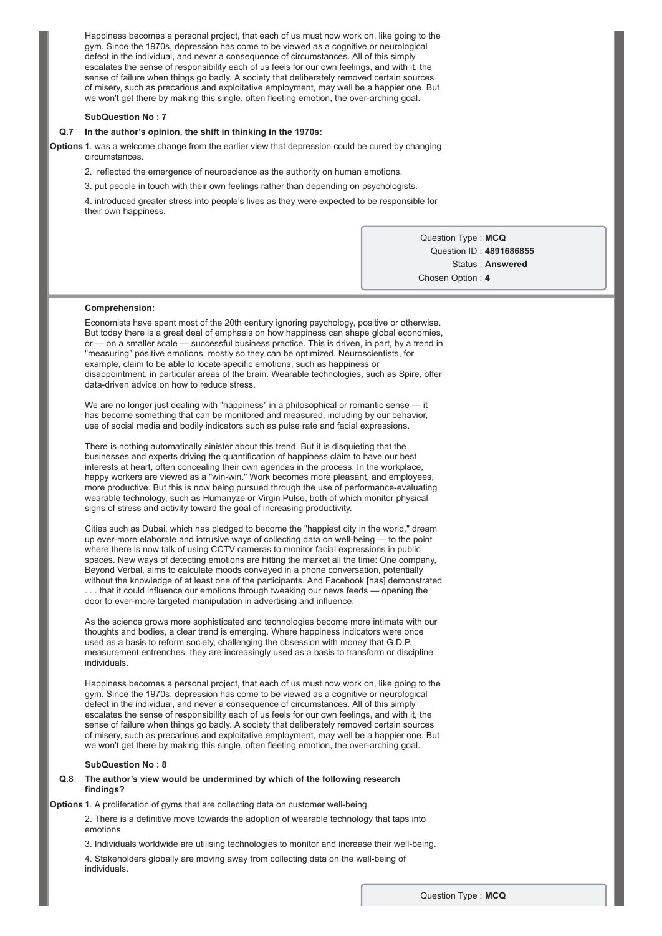Happiness becomes a personal project, that each of us must now work on, like going to the gym. Since the 1970s, depression has come to be viewed as a cognitive or neurological defect in the individual, and never a consequence of circumstances. All of this simply escalates the sense of responsibility each of us feels for our own feelings, and with it, the sense of failure when things go badly. A society that deliberately removed certain sources of misery, such as precarious and exploitative employment, may well be a happier one. But we won't get there by making this single, often fleeting emotion, the over-arching goal.

### **SubQuestion No : 7**

#### **Q.7 In the author's opinion, the shift in thinking in the 1970s:**

**Options** 1. was a welcome change from the earlier view that depression could be cured by changing circumstances.

2. reflected the emergence of neuroscience as the authority on human emotions.

3. put people in touch with their own feelings rather than depending on psychologists.

4. introduced greater stress into people's lives as they were expected to be responsible for their own happiness.

> Question Type : **MCQ** Question ID : **4891686855** Status : **Answered** Chosen Option : **4**

#### **Comprehension:**

Economists have spent most of the 20th century ignoring psychology, positive or otherwise. But today there is a great deal of emphasis on how happiness can shape global economies, or — on a smaller scale — successful business practice. This is driven, in part, by a trend in "measuring" positive emotions, mostly so they can be optimized. Neuroscientists, for example, claim to be able to locate specific emotions, such as happiness or disappointment, in particular areas of the brain. Wearable technologies, such as Spire, offer data-driven advice on how to reduce stress.

We are no longer just dealing with "happiness" in a philosophical or romantic sense — it has become something that can be monitored and measured, including by our behavior, use of social media and bodily indicators such as pulse rate and facial expressions.

There is nothing automatically sinister about this trend. But it is disquieting that the businesses and experts driving the quantification of happiness claim to have our best interests at heart, often concealing their own agendas in the process. In the workplace, happy workers are viewed as a "win-win." Work becomes more pleasant, and employees, more productive. But this is now being pursued through the use of performance-evaluating wearable technology, such as Humanyze or Virgin Pulse, both of which monitor physical signs of stress and activity toward the goal of increasing productivity.

Cities such as Dubai, which has pledged to become the "happiest city in the world," dream up ever-more elaborate and intrusive ways of collecting data on well-being — to the point where there is now talk of using CCTV cameras to monitor facial expressions in public spaces. New ways of detecting emotions are hitting the market all the time: One company, Beyond Verbal, aims to calculate moods conveyed in a phone conversation, potentially without the knowledge of at least one of the participants. And Facebook [has] demonstrated . . . that it could influence our emotions through tweaking our news feeds — opening the door to ever-more targeted manipulation in advertising and influence.

As the science grows more sophisticated and technologies become more intimate with our thoughts and bodies, a clear trend is emerging. Where happiness indicators were once used as a basis to reform society, challenging the obsession with money that G.D.P. measurement entrenches, they are increasingly used as a basis to transform or discipline individuals.

Happiness becomes a personal project, that each of us must now work on, like going to the gym. Since the 1970s, depression has come to be viewed as a cognitive or neurological defect in the individual, and never a consequence of circumstances. All of this simply escalates the sense of responsibility each of us feels for our own feelings, and with it, the sense of failure when things go badly. A society that deliberately removed certain sources of misery, such as precarious and exploitative employment, may well be a happier one. But we won't get there by making this single, often fleeting emotion, the over-arching goal.

#### **SubQuestion No : 8**

### **Q.8 The author's view would be undermined by which of the following research findings?**

Options 1. A proliferation of gyms that are collecting data on customer well-being.

2. There is a definitive move towards the adoption of wearable technology that taps into emotions.

3. Individuals worldwide are utilising technologies to monitor and increase their well-being.

4. Stakeholders globally are moving away from collecting data on the well-being of individuals.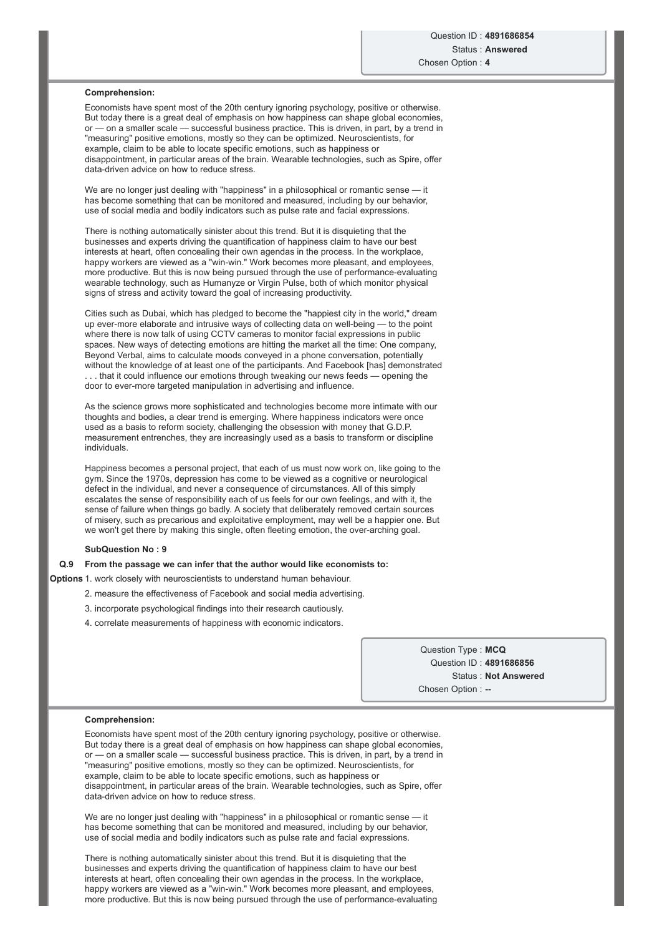### **Comprehension:**

Economists have spent most of the 20th century ignoring psychology, positive or otherwise. But today there is a great deal of emphasis on how happiness can shape global economies, or — on a smaller scale — successful business practice. This is driven, in part, by a trend in "measuring" positive emotions, mostly so they can be optimized. Neuroscientists, for example, claim to be able to locate specific emotions, such as happiness or disappointment, in particular areas of the brain. Wearable technologies, such as Spire, offer data-driven advice on how to reduce stress.

We are no longer just dealing with "happiness" in a philosophical or romantic sense — it has become something that can be monitored and measured, including by our behavior, use of social media and bodily indicators such as pulse rate and facial expressions.

There is nothing automatically sinister about this trend. But it is disquieting that the businesses and experts driving the quantification of happiness claim to have our best interests at heart, often concealing their own agendas in the process. In the workplace, happy workers are viewed as a "win-win." Work becomes more pleasant, and employees, more productive. But this is now being pursued through the use of performance-evaluating wearable technology, such as Humanyze or Virgin Pulse, both of which monitor physical signs of stress and activity toward the goal of increasing productivity.

Cities such as Dubai, which has pledged to become the "happiest city in the world," dream up ever-more elaborate and intrusive ways of collecting data on well-being — to the point where there is now talk of using CCTV cameras to monitor facial expressions in public spaces. New ways of detecting emotions are hitting the market all the time: One company, Beyond Verbal, aims to calculate moods conveyed in a phone conversation, potentially without the knowledge of at least one of the participants. And Facebook [has] demonstrated .. that it could influence our emotions through tweaking our news feeds - opening the door to ever-more targeted manipulation in advertising and influence.

As the science grows more sophisticated and technologies become more intimate with our thoughts and bodies, a clear trend is emerging. Where happiness indicators were once used as a basis to reform society, challenging the obsession with money that G.D.P. measurement entrenches, they are increasingly used as a basis to transform or discipline individuals.

Happiness becomes a personal project, that each of us must now work on, like going to the gym. Since the 1970s, depression has come to be viewed as a cognitive or neurological defect in the individual, and never a consequence of circumstances. All of this simply escalates the sense of responsibility each of us feels for our own feelings, and with it, the sense of failure when things go badly. A society that deliberately removed certain sources of misery, such as precarious and exploitative employment, may well be a happier one. But we won't get there by making this single, often fleeting emotion, the over-arching goal.

#### **SubQuestion No : 9**

#### **Q.9 From the passage we can infer that the author would like economists to:**

- **Options** 1. work closely with neuroscientists to understand human behaviour.
	- 2. measure the effectiveness of Facebook and social media advertising.
	- 3. incorporate psychological findings into their research cautiously.
	- 4. correlate measurements of happiness with economic indicators.

Question Type : **MCQ** Question ID : **4891686856** Status : **Not Answered** Chosen Option :

#### **Comprehension:**

Economists have spent most of the 20th century ignoring psychology, positive or otherwise. But today there is a great deal of emphasis on how happiness can shape global economies, or — on a smaller scale — successful business practice. This is driven, in part, by a trend in "measuring" positive emotions, mostly so they can be optimized. Neuroscientists, for example, claim to be able to locate specific emotions, such as happiness or disappointment, in particular areas of the brain. Wearable technologies, such as Spire, offer data-driven advice on how to reduce stress.

We are no longer just dealing with "happiness" in a philosophical or romantic sense — it has become something that can be monitored and measured, including by our behavior, use of social media and bodily indicators such as pulse rate and facial expressions.

There is nothing automatically sinister about this trend. But it is disquieting that the businesses and experts driving the quantification of happiness claim to have our best interests at heart, often concealing their own agendas in the process. In the workplace, happy workers are viewed as a "win-win." Work becomes more pleasant, and employees, more productive. But this is now being pursued through the use of performance-evaluating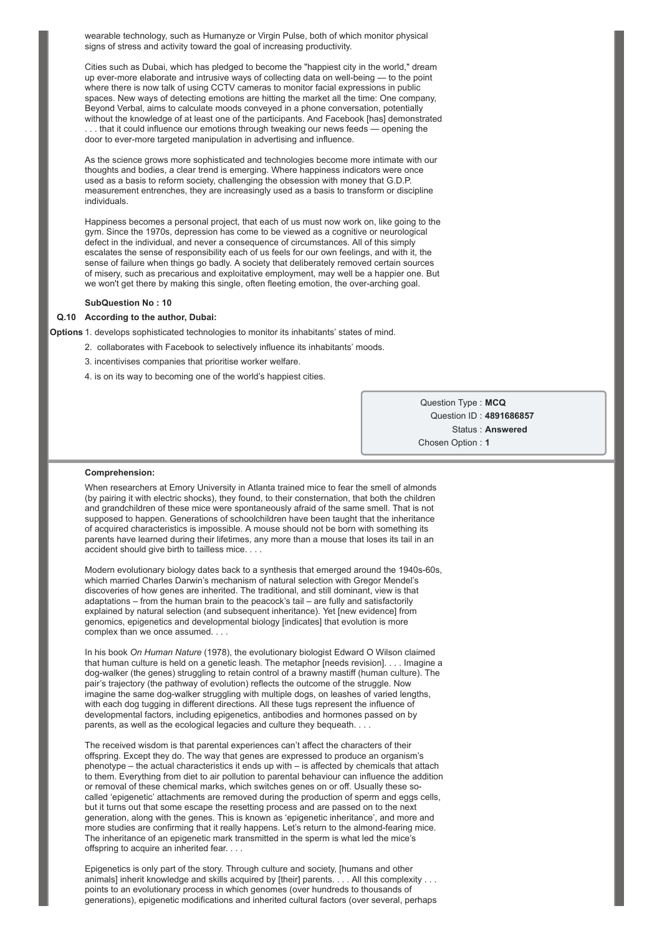wearable technology, such as Humanyze or Virgin Pulse, both of which monitor physical signs of stress and activity toward the goal of increasing productivity.

Cities such as Dubai, which has pledged to become the "happiest city in the world," dream up ever-more elaborate and intrusive ways of collecting data on well-being - to the point where there is now talk of using CCTV cameras to monitor facial expressions in public spaces. New ways of detecting emotions are hitting the market all the time: One company, Beyond Verbal, aims to calculate moods conveyed in a phone conversation, potentially without the knowledge of at least one of the participants. And Facebook [has] demonstrated . . . that it could influence our emotions through tweaking our news feeds — opening the door to ever-more targeted manipulation in advertising and influence.

As the science grows more sophisticated and technologies become more intimate with our thoughts and bodies, a clear trend is emerging. Where happiness indicators were once used as a basis to reform society, challenging the obsession with money that G.D.P. measurement entrenches, they are increasingly used as a basis to transform or discipline individuals.

Happiness becomes a personal project, that each of us must now work on, like going to the gym. Since the 1970s, depression has come to be viewed as a cognitive or neurological defect in the individual, and never a consequence of circumstances. All of this simply escalates the sense of responsibility each of us feels for our own feelings, and with it, the sense of failure when things go badly. A society that deliberately removed certain sources of misery, such as precarious and exploitative employment, may well be a happier one. But we won't get there by making this single, often fleeting emotion, the over-arching goal.

#### **SubQuestion No : 10**

### **Q.10 According to the author, Dubai:**

**Options** 1. develops sophisticated technologies to monitor its inhabitants' states of mind.

- 2. collaborates with Facebook to selectively influence its inhabitants' moods.
- 3. incentivises companies that prioritise worker welfare.
- 4. is on its way to becoming one of the world's happiest cities.

Question Type : **MCQ** Question ID : **4891686857** Status : **Answered** Chosen Option : **1**

#### **Comprehension:**

When researchers at Emory University in Atlanta trained mice to fear the smell of almonds (by pairing it with electric shocks), they found, to their consternation, that both the children and grandchildren of these mice were spontaneously afraid of the same smell. That is not supposed to happen. Generations of schoolchildren have been taught that the inheritance of acquired characteristics is impossible. A mouse should not be born with something its parents have learned during their lifetimes, any more than a mouse that loses its tail in an accident should give birth to tailless mice. . . .

Modern evolutionary biology dates back to a synthesis that emerged around the 1940s-60s, which married Charles Darwin's mechanism of natural selection with Gregor Mendel's discoveries of how genes are inherited. The traditional, and still dominant, view is that adaptations – from the human brain to the peacock's tail – are fully and satisfactorily explained by natural selection (and subsequent inheritance). Yet [new evidence] from genomics, epigenetics and developmental biology [indicates] that evolution is more complex than we once assumed. . . .

In his book *On Human Nature* (1978), the evolutionary biologist Edward O Wilson claimed that human culture is held on a genetic leash. The metaphor [needs revision]. . . . Imagine a dog-walker (the genes) struggling to retain control of a brawny mastiff (human culture). The pair's trajectory (the pathway of evolution) reflects the outcome of the struggle. Now imagine the same dog-walker struggling with multiple dogs, on leashes of varied lengths, with each dog tugging in different directions. All these tugs represent the influence of developmental factors, including epigenetics, antibodies and hormones passed on by parents, as well as the ecological legacies and culture they bequeath. . . .

The received wisdom is that parental experiences can't affect the characters of their offspring. Except they do. The way that genes are expressed to produce an organism's phenotype – the actual characteristics it ends up with – is affected by chemicals that attach to them. Everything from diet to air pollution to parental behaviour can influence the addition or removal of these chemical marks, which switches genes on or off. Usually these socalled 'epigenetic' attachments are removed during the production of sperm and eggs cells, but it turns out that some escape the resetting process and are passed on to the next generation, along with the genes. This is known as 'epigenetic inheritance', and more and more studies are confirming that it really happens. Let's return to the almond-fearing mice. The inheritance of an epigenetic mark transmitted in the sperm is what led the mice's offspring to acquire an inherited fear. . . .

Epigenetics is only part of the story. Through culture and society, [humans and other animals] inherit knowledge and skills acquired by [their] parents. . . . All this complexity . . . points to an evolutionary process in which genomes (over hundreds to thousands of generations), epigenetic modifications and inherited cultural factors (over several, perhaps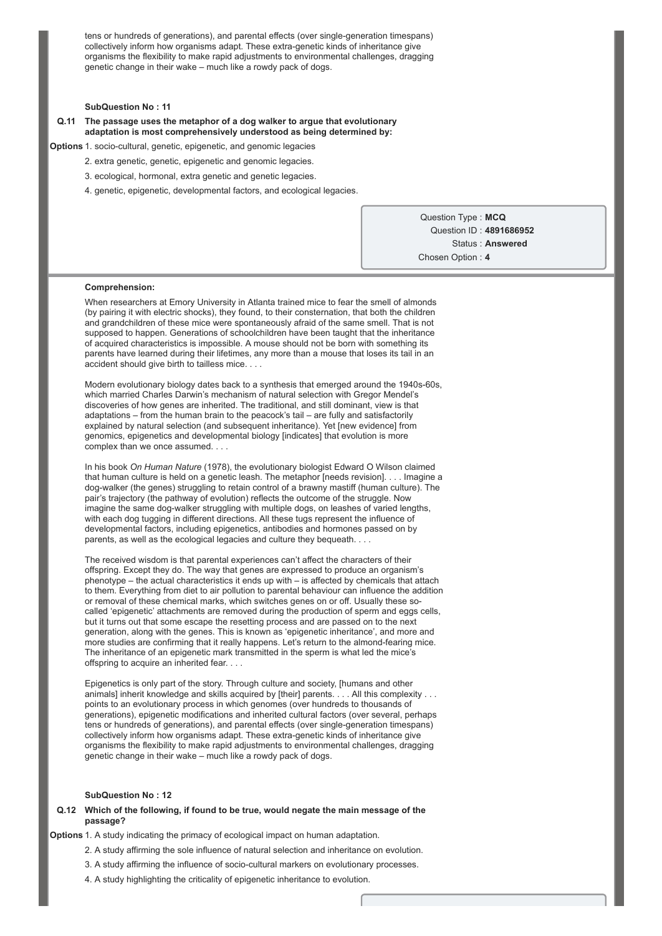tens or hundreds of generations), and parental effects (over single-generation timespans) collectively inform how organisms adapt. These extra-genetic kinds of inheritance give organisms the flexibility to make rapid adjustments to environmental challenges, dragging genetic change in their wake – much like a rowdy pack of dogs.

#### **SubQuestion No : 11**

### **Q.11 The passage uses the metaphor of a dog walker to argue that evolutionary adaptation is most comprehensively understood as being determined by:**

**Options** 1. socio-cultural, genetic, epigenetic, and genomic legacies

- 2. extra genetic, genetic, epigenetic and genomic legacies.
- 3. ecological, hormonal, extra genetic and genetic legacies.
- 4. genetic, epigenetic, developmental factors, and ecological legacies.

Question Type : **MCQ** Question ID : **4891686952** Status : **Answered** Chosen Option : **4**

#### **Comprehension:**

When researchers at Emory University in Atlanta trained mice to fear the smell of almonds (by pairing it with electric shocks), they found, to their consternation, that both the children and grandchildren of these mice were spontaneously afraid of the same smell. That is not supposed to happen. Generations of schoolchildren have been taught that the inheritance of acquired characteristics is impossible. A mouse should not be born with something its parents have learned during their lifetimes, any more than a mouse that loses its tail in an accident should give birth to tailless mice. . . .

Modern evolutionary biology dates back to a synthesis that emerged around the 1940s-60s. which married Charles Darwin's mechanism of natural selection with Gregor Mendel's discoveries of how genes are inherited. The traditional, and still dominant, view is that adaptations – from the human brain to the peacock's tail – are fully and satisfactorily explained by natural selection (and subsequent inheritance). Yet [new evidence] from genomics, epigenetics and developmental biology [indicates] that evolution is more complex than we once assumed. . . .

In his book *On Human Nature* (1978), the evolutionary biologist Edward O Wilson claimed that human culture is held on a genetic leash. The metaphor [needs revision]. . . . Imagine a dog-walker (the genes) struggling to retain control of a brawny mastiff (human culture). The pair's trajectory (the pathway of evolution) reflects the outcome of the struggle. Now imagine the same dog-walker struggling with multiple dogs, on leashes of varied lengths, with each dog tugging in different directions. All these tugs represent the influence of developmental factors, including epigenetics, antibodies and hormones passed on by parents, as well as the ecological legacies and culture they bequeath. . . .

The received wisdom is that parental experiences can't affect the characters of their offspring. Except they do. The way that genes are expressed to produce an organism's phenotype – the actual characteristics it ends up with – is affected by chemicals that attach to them. Everything from diet to air pollution to parental behaviour can influence the addition or removal of these chemical marks, which switches genes on or off. Usually these socalled 'epigenetic' attachments are removed during the production of sperm and eggs cells, but it turns out that some escape the resetting process and are passed on to the next generation, along with the genes. This is known as 'epigenetic inheritance', and more and more studies are confirming that it really happens. Let's return to the almond-fearing mice. The inheritance of an epigenetic mark transmitted in the sperm is what led the mice's offspring to acquire an inherited fear. . . .

Epigenetics is only part of the story. Through culture and society, [humans and other animals] inherit knowledge and skills acquired by [their] parents. . . . All this complexity . . . points to an evolutionary process in which genomes (over hundreds to thousands of generations), epigenetic modifications and inherited cultural factors (over several, perhaps tens or hundreds of generations), and parental effects (over single-generation timespans) collectively inform how organisms adapt. These extra-genetic kinds of inheritance give organisms the flexibility to make rapid adjustments to environmental challenges, dragging genetic change in their wake – much like a rowdy pack of dogs.

### **SubQuestion No : 12**

### **Q.12 Which of the following, if found to be true, would negate the main message of the passage?**

**Options** 1. A study indicating the primacy of ecological impact on human adaptation.

- 2. A study affirming the sole influence of natural selection and inheritance on evolution.
- 3. A study affirming the influence of socio-cultural markers on evolutionary processes.
- 4. A study highlighting the criticality of epigenetic inheritance to evolution.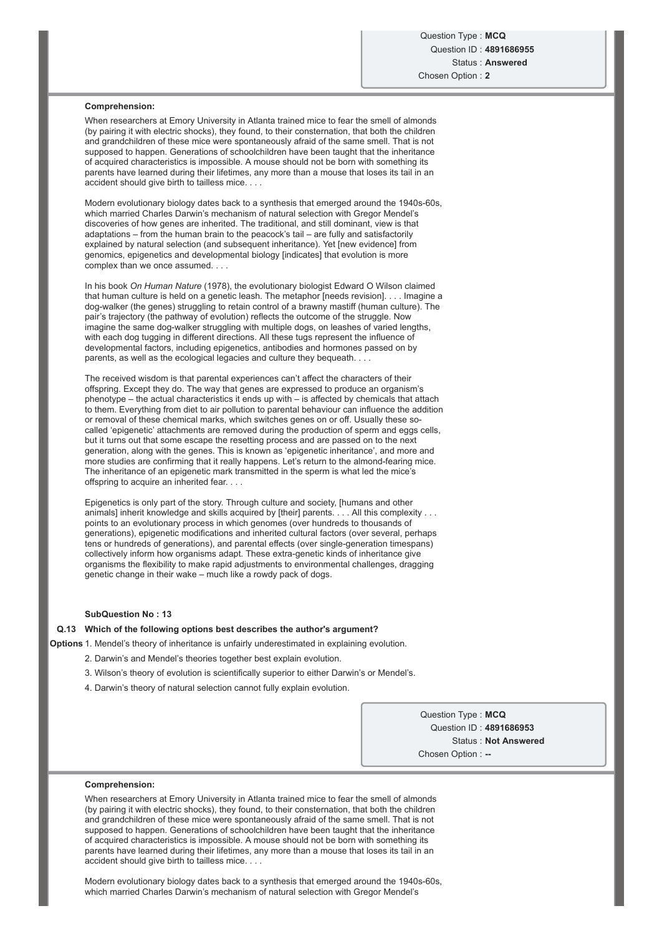### **Comprehension:**

When researchers at Emory University in Atlanta trained mice to fear the smell of almonds (by pairing it with electric shocks), they found, to their consternation, that both the children and grandchildren of these mice were spontaneously afraid of the same smell. That is not supposed to happen. Generations of schoolchildren have been taught that the inheritance of acquired characteristics is impossible. A mouse should not be born with something its parents have learned during their lifetimes, any more than a mouse that loses its tail in an accident should give birth to tailless mice. . . .

Modern evolutionary biology dates back to a synthesis that emerged around the 1940s-60s. which married Charles Darwin's mechanism of natural selection with Gregor Mendel's discoveries of how genes are inherited. The traditional, and still dominant, view is that adaptations – from the human brain to the peacock's tail – are fully and satisfactorily explained by natural selection (and subsequent inheritance). Yet [new evidence] from genomics, epigenetics and developmental biology [indicates] that evolution is more complex than we once assumed. . . .

In his book *On Human Nature* (1978), the evolutionary biologist Edward O Wilson claimed that human culture is held on a genetic leash. The metaphor [needs revision]. . . . Imagine a dog-walker (the genes) struggling to retain control of a brawny mastiff (human culture). The pair's trajectory (the pathway of evolution) reflects the outcome of the struggle. Now imagine the same dog-walker struggling with multiple dogs, on leashes of varied lengths, with each dog tugging in different directions. All these tugs represent the influence of developmental factors, including epigenetics, antibodies and hormones passed on by parents, as well as the ecological legacies and culture they bequeath. . . .

The received wisdom is that parental experiences can't affect the characters of their offspring. Except they do. The way that genes are expressed to produce an organism's phenotype – the actual characteristics it ends up with – is affected by chemicals that attach to them. Everything from diet to air pollution to parental behaviour can influence the addition or removal of these chemical marks, which switches genes on or off. Usually these socalled 'epigenetic' attachments are removed during the production of sperm and eggs cells, but it turns out that some escape the resetting process and are passed on to the next generation, along with the genes. This is known as 'epigenetic inheritance', and more and more studies are confirming that it really happens. Let's return to the almond-fearing mice. The inheritance of an epigenetic mark transmitted in the sperm is what led the mice's offspring to acquire an inherited fear. . . .

Epigenetics is only part of the story. Through culture and society, [humans and other animals] inherit knowledge and skills acquired by [their] parents. . . . All this complexity . . . points to an evolutionary process in which genomes (over hundreds to thousands of generations), epigenetic modifications and inherited cultural factors (over several, perhaps tens or hundreds of generations), and parental effects (over single-generation timespans) collectively inform how organisms adapt. These extra-genetic kinds of inheritance give organisms the flexibility to make rapid adjustments to environmental challenges, dragging genetic change in their wake – much like a rowdy pack of dogs.

### **SubQuestion No : 13**

#### **Q.13 Which of the following options best describes the author's argument?**

**Options** 1. Mendel's theory of inheritance is unfairly underestimated in explaining evolution.

- 2. Darwin's and Mendel's theories together best explain evolution.
- 3. Wilson's theory of evolution is scientifically superior to either Darwin's or Mendel's.
- 4. Darwin's theory of natural selection cannot fully explain evolution.

Question Type : **MCQ** Question ID : **4891686953** Status : **Not Answered** Chosen Option : --

### **Comprehension:**

When researchers at Emory University in Atlanta trained mice to fear the smell of almonds (by pairing it with electric shocks), they found, to their consternation, that both the children and grandchildren of these mice were spontaneously afraid of the same smell. That is not supposed to happen. Generations of schoolchildren have been taught that the inheritance of acquired characteristics is impossible. A mouse should not be born with something its parents have learned during their lifetimes, any more than a mouse that loses its tail in an accident should give birth to tailless mice. . . .

Modern evolutionary biology dates back to a synthesis that emerged around the 1940s-60s, which married Charles Darwin's mechanism of natural selection with Gregor Mendel's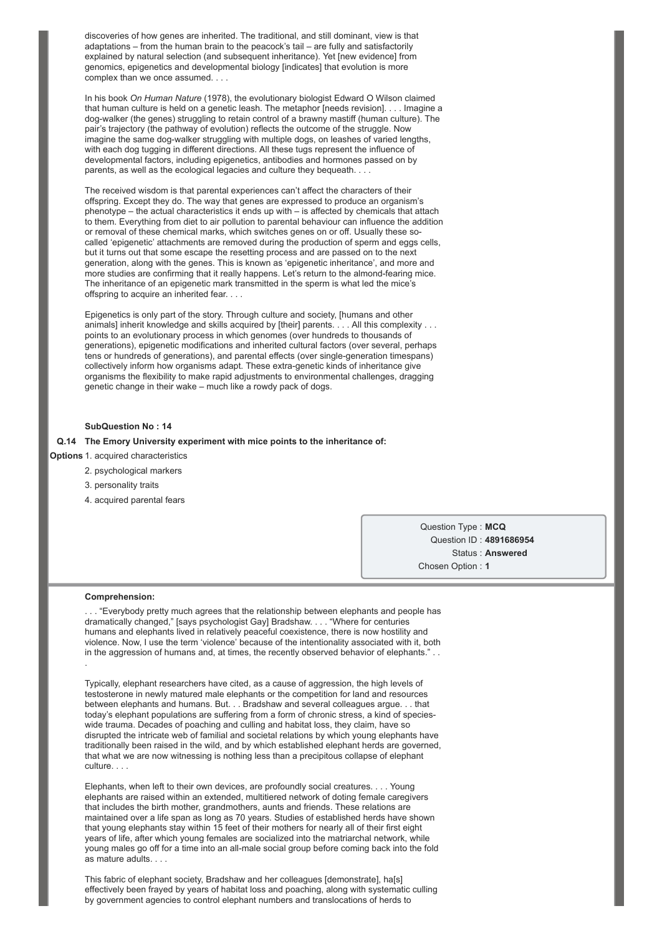discoveries of how genes are inherited. The traditional, and still dominant, view is that adaptations – from the human brain to the peacock's tail – are fully and satisfactorily explained by natural selection (and subsequent inheritance). Yet [new evidence] from genomics, epigenetics and developmental biology [indicates] that evolution is more complex than we once assumed. . . .

In his book *On Human Nature* (1978), the evolutionary biologist Edward O Wilson claimed that human culture is held on a genetic leash. The metaphor [needs revision]. . . . Imagine a dog-walker (the genes) struggling to retain control of a brawny mastiff (human culture). The pair's trajectory (the pathway of evolution) reflects the outcome of the struggle. Now imagine the same dog-walker struggling with multiple dogs, on leashes of varied lengths, with each dog tugging in different directions. All these tugs represent the influence of developmental factors, including epigenetics, antibodies and hormones passed on by parents, as well as the ecological legacies and culture they bequeath. . . .

The received wisdom is that parental experiences can't affect the characters of their offspring. Except they do. The way that genes are expressed to produce an organism's phenotype – the actual characteristics it ends up with – is affected by chemicals that attach to them. Everything from diet to air pollution to parental behaviour can influence the addition or removal of these chemical marks, which switches genes on or off. Usually these socalled 'epigenetic' attachments are removed during the production of sperm and eggs cells, but it turns out that some escape the resetting process and are passed on to the next generation, along with the genes. This is known as 'epigenetic inheritance', and more and more studies are confirming that it really happens. Let's return to the almond-fearing mice. The inheritance of an epigenetic mark transmitted in the sperm is what led the mice's offspring to acquire an inherited fear. . . .

Epigenetics is only part of the story. Through culture and society, [humans and other animals] inherit knowledge and skills acquired by [their] parents. . . . All this complexity . . . points to an evolutionary process in which genomes (over hundreds to thousands of generations), epigenetic modifications and inherited cultural factors (over several, perhaps tens or hundreds of generations), and parental effects (over single-generation timespans) collectively inform how organisms adapt. These extra-genetic kinds of inheritance give organisms the flexibility to make rapid adjustments to environmental challenges, dragging genetic change in their wake – much like a rowdy pack of dogs.

#### **SubQuestion No : 14**

#### **Q.14 The Emory University experiment with mice points to the inheritance of:**

**Options** 1. acquired characteristics

- 2. psychological markers
- 3. personality traits
- 4. acquired parental fears

Question Type : **MCQ** Question ID : **4891686954** Status : **Answered** Chosen Option : **1**

#### **Comprehension:**

. "Everybody pretty much agrees that the relationship between elephants and people has dramatically changed," [says psychologist Gay] Bradshaw. . . . "Where for centuries humans and elephants lived in relatively peaceful coexistence, there is now hostility and violence. Now, I use the term 'violence' because of the intentionality associated with it, both in the aggression of humans and, at times, the recently observed behavior of elephants." . . .

Typically, elephant researchers have cited, as a cause of aggression, the high levels of testosterone in newly matured male elephants or the competition for land and resources between elephants and humans. But. . . Bradshaw and several colleagues argue. . . that today's elephant populations are suffering from a form of chronic stress, a kind of specieswide trauma. Decades of poaching and culling and habitat loss, they claim, have so disrupted the intricate web of familial and societal relations by which young elephants have traditionally been raised in the wild, and by which established elephant herds are governed, that what we are now witnessing is nothing less than a precipitous collapse of elephant culture.

Elephants, when left to their own devices, are profoundly social creatures. . . . Young elephants are raised within an extended, multitiered network of doting female caregivers that includes the birth mother, grandmothers, aunts and friends. These relations are maintained over a life span as long as 70 years. Studies of established herds have shown that young elephants stay within 15 feet of their mothers for nearly all of their first eight years of life, after which young females are socialized into the matriarchal network, while young males go off for a time into an all-male social group before coming back into the fold as mature adults. . . .

This fabric of elephant society, Bradshaw and her colleagues [demonstrate], ha[s] effectively been frayed by years of habitat loss and poaching, along with systematic culling by government agencies to control elephant numbers and translocations of herds to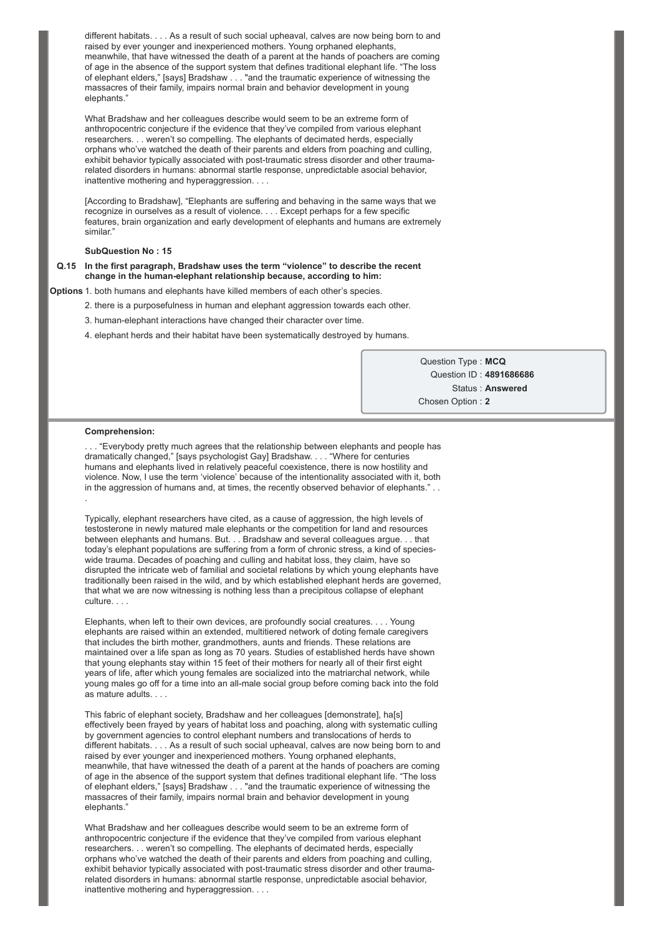different habitats. . . . As a result of such social upheaval, calves are now being born to and raised by ever younger and inexperienced mothers. Young orphaned elephants, meanwhile, that have witnessed the death of a parent at the hands of poachers are coming of age in the absence of the support system that defines traditional elephant life. "The loss of elephant elders," [says] Bradshaw . . . "and the traumatic experience of witnessing the massacres of their family, impairs normal brain and behavior development in young elephants."

What Bradshaw and her colleagues describe would seem to be an extreme form of anthropocentric conjecture if the evidence that they've compiled from various elephant researchers. . . weren't so compelling. The elephants of decimated herds, especially orphans who've watched the death of their parents and elders from poaching and culling, exhibit behavior typically associated with post-traumatic stress disorder and other traumarelated disorders in humans: abnormal startle response, unpredictable asocial behavior, inattentive mothering and hyperaggression. . . .

[According to Bradshaw], "Elephants are suffering and behaving in the same ways that we recognize in ourselves as a result of violence. . . . Except perhaps for a few specific features, brain organization and early development of elephants and humans are extremely similar."

### **SubQuestion No : 15**

### **Q.15 In the first paragraph, Bradshaw uses the term "violence" to describe the recent** change in the human-elephant relationship because, according to him:

**Options** 1. both humans and elephants have killed members of each other's species.

- 2. there is a purposefulness in human and elephant aggression towards each other.
- 3. human-elephant interactions have changed their character over time.
- 4. elephant herds and their habitat have been systematically destroyed by humans.

Question Type : **MCQ** Question ID : **4891686686** Status : **Answered** Chosen Option : **2**

#### **Comprehension:**

. . . "Everybody pretty much agrees that the relationship between elephants and people has dramatically changed," [says psychologist Gay] Bradshaw. . . . "Where for centuries humans and elephants lived in relatively peaceful coexistence, there is now hostility and violence. Now, I use the term 'violence' because of the intentionality associated with it, both in the aggression of humans and, at times, the recently observed behavior of elephants." . .

Typically, elephant researchers have cited, as a cause of aggression, the high levels of testosterone in newly matured male elephants or the competition for land and resources between elephants and humans. But. . . Bradshaw and several colleagues argue. . . that today's elephant populations are suffering from a form of chronic stress, a kind of specieswide trauma. Decades of poaching and culling and habitat loss, they claim, have so disrupted the intricate web of familial and societal relations by which young elephants have traditionally been raised in the wild, and by which established elephant herds are governed, that what we are now witnessing is nothing less than a precipitous collapse of elephant culture. . .

Elephants, when left to their own devices, are profoundly social creatures. . . . Young elephants are raised within an extended, multitiered network of doting female caregivers that includes the birth mother, grandmothers, aunts and friends. These relations are maintained over a life span as long as 70 years. Studies of established herds have shown that young elephants stay within 15 feet of their mothers for nearly all of their first eight years of life, after which young females are socialized into the matriarchal network, while young males go off for a time into an all-male social group before coming back into the fold as mature adults. . . .

This fabric of elephant society, Bradshaw and her colleagues [demonstrate], ha[s] effectively been frayed by years of habitat loss and poaching, along with systematic culling by government agencies to control elephant numbers and translocations of herds to different habitats. . . . As a result of such social upheaval, calves are now being born to and raised by ever younger and inexperienced mothers. Young orphaned elephants, meanwhile, that have witnessed the death of a parent at the hands of poachers are coming of age in the absence of the support system that defines traditional elephant life. "The loss of elephant elders," [says] Bradshaw . . . "and the traumatic experience of witnessing the massacres of their family, impairs normal brain and behavior development in young elephants."

What Bradshaw and her colleagues describe would seem to be an extreme form of anthropocentric conjecture if the evidence that they've compiled from various elephant researchers. . . weren't so compelling. The elephants of decimated herds, especially orphans who've watched the death of their parents and elders from poaching and culling, exhibit behavior typically associated with post-traumatic stress disorder and other traumarelated disorders in humans: abnormal startle response, unpredictable asocial behavior, inattentive mothering and hyperaggression. . . .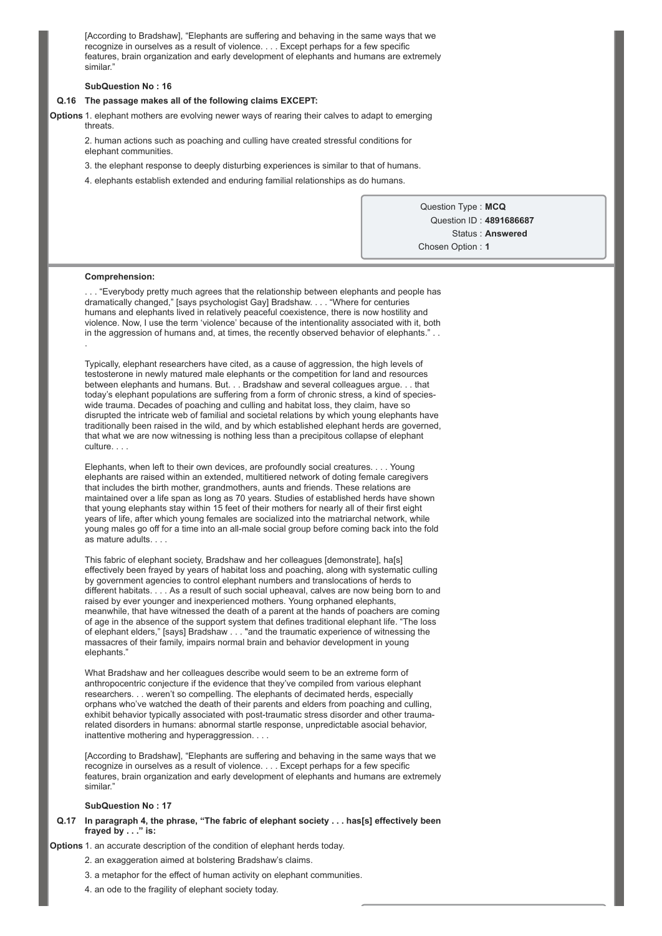[According to Bradshaw], "Elephants are suffering and behaving in the same ways that we recognize in ourselves as a result of violence. . . . Except perhaps for a few specific features, brain organization and early development of elephants and humans are extremely similar<sup>\*</sup>

#### **SubQuestion No : 16**

### **Q.16 The passage makes all of the following claims EXCEPT:**

**Options** 1. elephant mothers are evolving newer ways of rearing their calves to adapt to emerging threats.

2. human actions such as poaching and culling have created stressful conditions for elephant communities.

3. the elephant response to deeply disturbing experiences is similar to that of humans.

4. elephants establish extended and enduring familial relationships as do humans.

Question Type : **MCQ** Question ID : **4891686687** Status : **Answered** Chosen Option : **1**

#### **Comprehension:**

. . . "Everybody pretty much agrees that the relationship between elephants and people has dramatically changed," [says psychologist Gay] Bradshaw. . . . "Where for centuries humans and elephants lived in relatively peaceful coexistence, there is now hostility and violence. Now, I use the term 'violence' because of the intentionality associated with it, both in the aggression of humans and, at times, the recently observed behavior of elephants." .

Typically, elephant researchers have cited, as a cause of aggression, the high levels of testosterone in newly matured male elephants or the competition for land and resources between elephants and humans. But. . . Bradshaw and several colleagues argue. . . that today's elephant populations are suffering from a form of chronic stress, a kind of specieswide trauma. Decades of poaching and culling and habitat loss, they claim, have so disrupted the intricate web of familial and societal relations by which young elephants have traditionally been raised in the wild, and by which established elephant herds are governed, that what we are now witnessing is nothing less than a precipitous collapse of elephant culture. . . .

Elephants, when left to their own devices, are profoundly social creatures. . . . Young elephants are raised within an extended, multitiered network of doting female caregivers that includes the birth mother, grandmothers, aunts and friends. These relations are maintained over a life span as long as 70 years. Studies of established herds have shown that young elephants stay within 15 feet of their mothers for nearly all of their first eight years of life, after which young females are socialized into the matriarchal network, while young males go off for a time into an all-male social group before coming back into the fold as mature adults. . . .

This fabric of elephant society, Bradshaw and her colleagues [demonstrate], ha[s] effectively been frayed by years of habitat loss and poaching, along with systematic culling by government agencies to control elephant numbers and translocations of herds to different habitats. . . . As a result of such social upheaval, calves are now being born to and raised by ever younger and inexperienced mothers. Young orphaned elephants, meanwhile, that have witnessed the death of a parent at the hands of poachers are coming of age in the absence of the support system that defines traditional elephant life. "The loss of elephant elders," [says] Bradshaw . . . "and the traumatic experience of witnessing the massacres of their family, impairs normal brain and behavior development in young elephants."

What Bradshaw and her colleagues describe would seem to be an extreme form of anthropocentric conjecture if the evidence that they've compiled from various elephant researchers. . . weren't so compelling. The elephants of decimated herds, especially orphans who've watched the death of their parents and elders from poaching and culling, exhibit behavior typically associated with post-traumatic stress disorder and other traumarelated disorders in humans: abnormal startle response, unpredictable asocial behavior, inattentive mothering and hyperaggression. . . .

[According to Bradshaw], "Elephants are suffering and behaving in the same ways that we recognize in ourselves as a result of violence. . . . Except perhaps for a few specific features, brain organization and early development of elephants and humans are extremely similar<sup>®</sup>

#### **SubQuestion No : 17**

### **Q.17 In paragraph 4, the phrase, "The fabric of elephant society . . . has[s] effectively been frayed by . . ." is:**

**Options** 1. an accurate description of the condition of elephant herds today.

- 2. an exaggeration aimed at bolstering Bradshaw's claims.
- 3. a metaphor for the effect of human activity on elephant communities.
- 4. an ode to the fragility of elephant society today.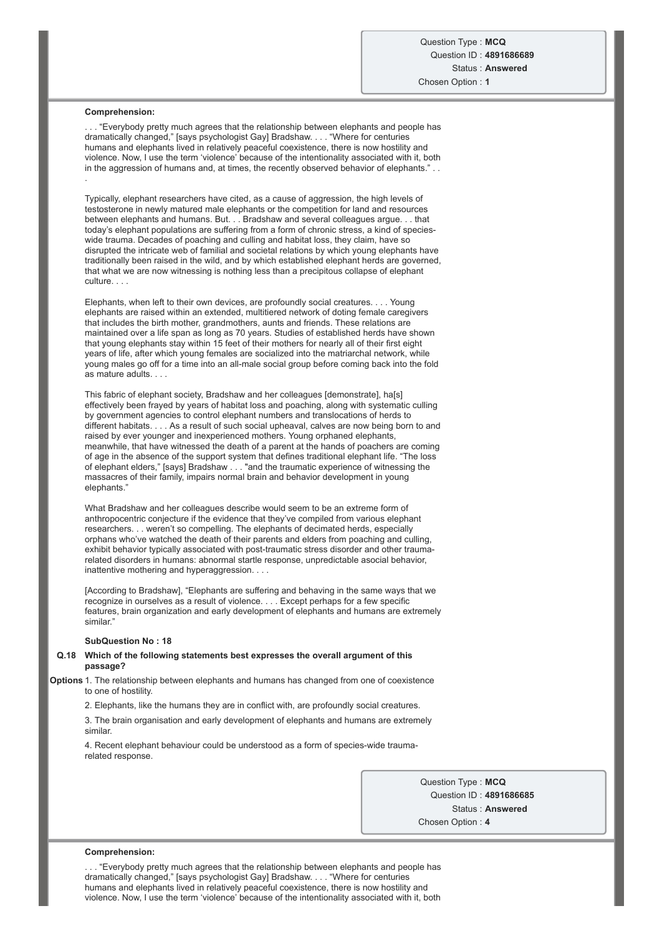#### **Comprehension:**

. . . "Everybody pretty much agrees that the relationship between elephants and people has dramatically changed," [says psychologist Gay] Bradshaw. . . . "Where for centuries humans and elephants lived in relatively peaceful coexistence, there is now hostility and violence. Now, I use the term 'violence' because of the intentionality associated with it, both in the aggression of humans and, at times, the recently observed behavior of elephants." . . .

Typically, elephant researchers have cited, as a cause of aggression, the high levels of testosterone in newly matured male elephants or the competition for land and resources between elephants and humans. But. . . Bradshaw and several colleagues argue. . . that today's elephant populations are suffering from a form of chronic stress, a kind of specieswide trauma. Decades of poaching and culling and habitat loss, they claim, have so disrupted the intricate web of familial and societal relations by which young elephants have traditionally been raised in the wild, and by which established elephant herds are governed, that what we are now witnessing is nothing less than a precipitous collapse of elephant culture. . . .

Elephants, when left to their own devices, are profoundly social creatures. . . . Young elephants are raised within an extended, multitiered network of doting female caregivers that includes the birth mother, grandmothers, aunts and friends. These relations are maintained over a life span as long as 70 years. Studies of established herds have shown that young elephants stay within 15 feet of their mothers for nearly all of their first eight years of life, after which young females are socialized into the matriarchal network, while young males go off for a time into an all-male social group before coming back into the fold as mature adults. . . .

This fabric of elephant society, Bradshaw and her colleagues [demonstrate], ha[s] effectively been frayed by years of habitat loss and poaching, along with systematic culling by government agencies to control elephant numbers and translocations of herds to different habitats. . . . As a result of such social upheaval, calves are now being born to and raised by ever younger and inexperienced mothers. Young orphaned elephants, meanwhile, that have witnessed the death of a parent at the hands of poachers are coming of age in the absence of the support system that defines traditional elephant life. "The loss of elephant elders," [says] Bradshaw . . . "and the traumatic experience of witnessing the massacres of their family, impairs normal brain and behavior development in young elephants."

What Bradshaw and her colleagues describe would seem to be an extreme form of anthropocentric conjecture if the evidence that they've compiled from various elephant researchers. . . weren't so compelling. The elephants of decimated herds, especially orphans who've watched the death of their parents and elders from poaching and culling, exhibit behavior typically associated with post-traumatic stress disorder and other traumarelated disorders in humans: abnormal startle response, unpredictable asocial behavior, inattentive mothering and hyperaggression. . . .

[According to Bradshaw], "Elephants are suffering and behaving in the same ways that we recognize in ourselves as a result of violence. . . . Except perhaps for a few specific features, brain organization and early development of elephants and humans are extremely similar<sup>®</sup>

### **SubQuestion No : 18**

### **Q.18 Which of the following statements best expresses the overall argument of this passage?**

**Options** 1. The relationship between elephants and humans has changed from one of coexistence to one of hostility

2. Elephants, like the humans they are in conflict with, are profoundly social creatures.

3. The brain organisation and early development of elephants and humans are extremely similar.

4. Recent elephant behaviour could be understood as a form of species-wide traumarelated response.

> Question Type : **MCQ** Question ID : **4891686685** Status : **Answered** Chosen Option : **4**

#### **Comprehension:**

. . . "Everybody pretty much agrees that the relationship between elephants and people has dramatically changed," [says psychologist Gay] Bradshaw. . . . "Where for centuries humans and elephants lived in relatively peaceful coexistence, there is now hostility and violence. Now, I use the term 'violence' because of the intentionality associated with it, both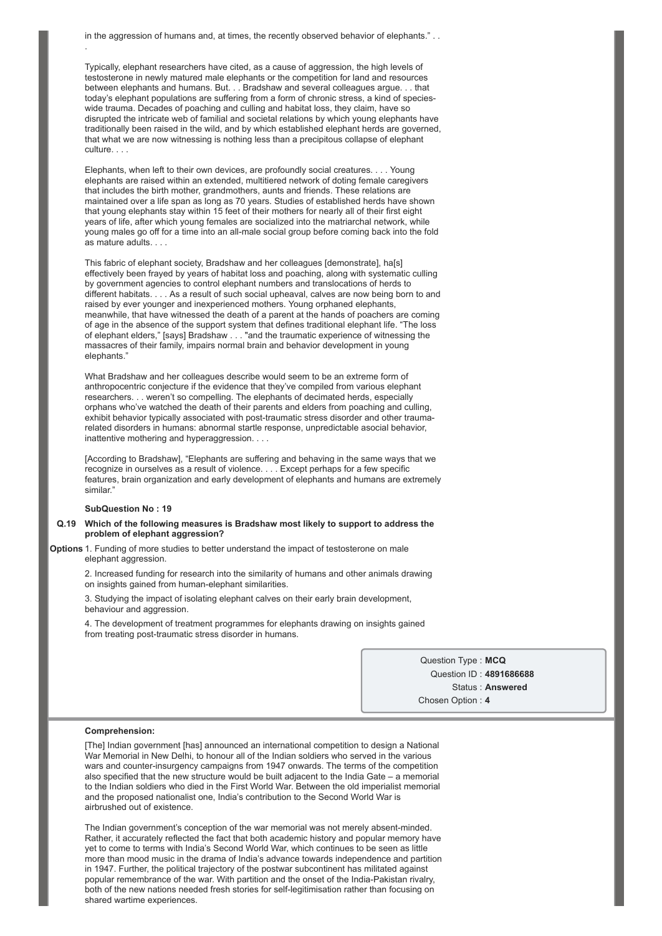in the aggression of humans and, at times, the recently observed behavior of elephants." . . .

Typically, elephant researchers have cited, as a cause of aggression, the high levels of testosterone in newly matured male elephants or the competition for land and resources between elephants and humans. But. . . Bradshaw and several colleagues argue. . . that today's elephant populations are suffering from a form of chronic stress, a kind of specieswide trauma. Decades of poaching and culling and habitat loss, they claim, have so disrupted the intricate web of familial and societal relations by which young elephants have traditionally been raised in the wild, and by which established elephant herds are governed, that what we are now witnessing is nothing less than a precipitous collapse of elephant culture. . .

Elephants, when left to their own devices, are profoundly social creatures. . . . Young elephants are raised within an extended, multitiered network of doting female caregivers that includes the birth mother, grandmothers, aunts and friends. These relations are maintained over a life span as long as 70 years. Studies of established herds have shown that young elephants stay within 15 feet of their mothers for nearly all of their first eight years of life, after which young females are socialized into the matriarchal network, while young males go off for a time into an all-male social group before coming back into the fold as mature adults. . . .

This fabric of elephant society, Bradshaw and her colleagues [demonstrate], ha[s] effectively been frayed by years of habitat loss and poaching, along with systematic culling by government agencies to control elephant numbers and translocations of herds to different habitats. . . . As a result of such social upheaval, calves are now being born to and raised by ever younger and inexperienced mothers. Young orphaned elephants, meanwhile, that have witnessed the death of a parent at the hands of poachers are coming of age in the absence of the support system that defines traditional elephant life. "The loss of elephant elders," [says] Bradshaw . . . "and the traumatic experience of witnessing the massacres of their family, impairs normal brain and behavior development in young elephants."

What Bradshaw and her colleagues describe would seem to be an extreme form of anthropocentric conjecture if the evidence that they've compiled from various elephant researchers. . . weren't so compelling. The elephants of decimated herds, especially orphans who've watched the death of their parents and elders from poaching and culling, exhibit behavior typically associated with post-traumatic stress disorder and other traumarelated disorders in humans: abnormal startle response, unpredictable asocial behavior, inattentive mothering and hyperaggression. . . .

[According to Bradshaw], "Elephants are suffering and behaving in the same ways that we recognize in ourselves as a result of violence. . . . Except perhaps for a few specific features, brain organization and early development of elephants and humans are extremely similar<sup>®</sup>

### **SubQuestion No : 19**

#### **Q.19 Which of the following measures is Bradshaw most likely to support to address the problem of elephant aggression?**

**Options** 1. Funding of more studies to better understand the impact of testosterone on male elephant aggression.

2. Increased funding for research into the similarity of humans and other animals drawing on insights gained from human-elephant similarities.

3. Studying the impact of isolating elephant calves on their early brain development, behaviour and aggression.

4. The development of treatment programmes for elephants drawing on insights gained from treating post-traumatic stress disorder in humans.

> Question Type : **MCQ** Question ID : **4891686688** Status : **Answered** Chosen Option : **4**

### **Comprehension:**

[The] Indian government [has] announced an international competition to design a National War Memorial in New Delhi, to honour all of the Indian soldiers who served in the various wars and counter-insurgency campaigns from 1947 onwards. The terms of the competition also specified that the new structure would be built adjacent to the India Gate – a memorial to the Indian soldiers who died in the First World War. Between the old imperialist memorial and the proposed nationalist one, India's contribution to the Second World War is airbrushed out of existence.

The Indian government's conception of the war memorial was not merely absent-minded. Rather, it accurately reflected the fact that both academic history and popular memory have yet to come to terms with India's Second World War, which continues to be seen as little more than mood music in the drama of India's advance towards independence and partition in 1947. Further, the political trajectory of the postwar subcontinent has militated against popular remembrance of the war. With partition and the onset of the India-Pakistan rivalry, both of the new nations needed fresh stories for self-legitimisation rather than focusing on shared wartime experiences.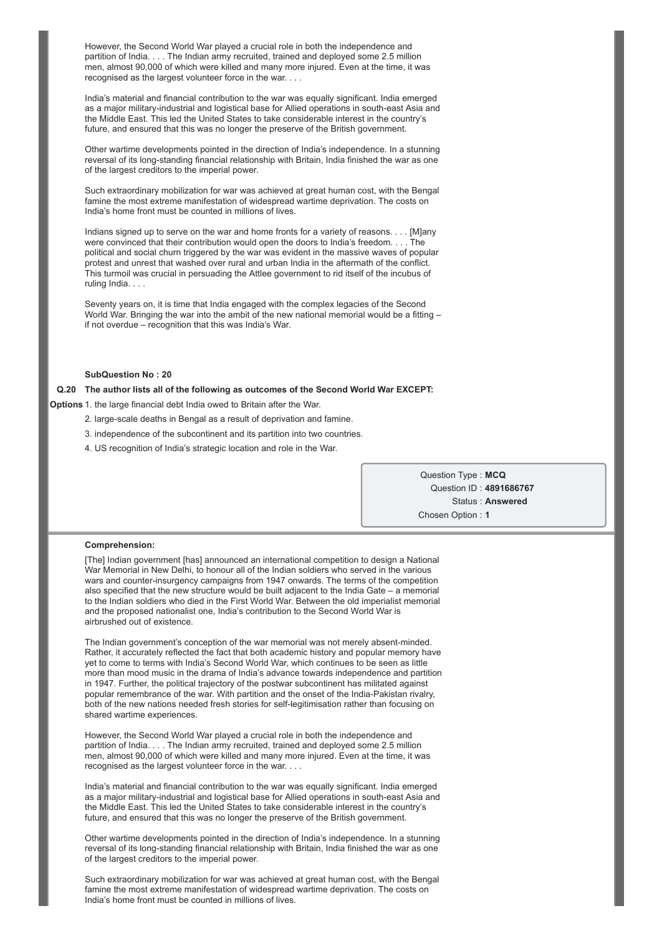However, the Second World War played a crucial role in both the independence and partition of India. . . . The Indian army recruited, trained and deployed some 2.5 million men, almost 90,000 of which were killed and many more injured. Even at the time, it was recognised as the largest volunteer force in the war. . . .

India's material and financial contribution to the war was equally significant. India emerged as a major military-industrial and logistical base for Allied operations in south-east Asia and the Middle East. This led the United States to take considerable interest in the country's future, and ensured that this was no longer the preserve of the British government.

Other wartime developments pointed in the direction of India's independence. In a stunning reversal of its long-standing financial relationship with Britain, India finished the war as one of the largest creditors to the imperial power.

Such extraordinary mobilization for war was achieved at great human cost, with the Bengal famine the most extreme manifestation of widespread wartime deprivation. The costs on India's home front must be counted in millions of lives.

Indians signed up to serve on the war and home fronts for a variety of reasons. . . . [M]any were convinced that their contribution would open the doors to India's freedom. . . . The political and social churn triggered by the war was evident in the massive waves of popular protest and unrest that washed over rural and urban India in the aftermath of the conflict. This turmoil was crucial in persuading the Attlee government to rid itself of the incubus of ruling India. . . .

Seventy years on, it is time that India engaged with the complex legacies of the Second World War. Bringing the war into the ambit of the new national memorial would be a fitting – if not overdue – recognition that this was India's War.

### **SubQuestion No : 20**

### **Q.20 The author lists all of the following as outcomes of the Second World War EXCEPT:**

**Options** 1. the large financial debt India owed to Britain after the War.

- 2. large-scale deaths in Bengal as a result of deprivation and famine.
- 3. independence of the subcontinent and its partition into two countries.
- 4. US recognition of India's strategic location and role in the War.

Question Type : **MCQ** Question ID : **4891686767** Status : **Answered** Chosen Option : **1**

#### **Comprehension:**

[The] Indian government [has] announced an international competition to design a National War Memorial in New Delhi, to honour all of the Indian soldiers who served in the various wars and counter-insurgency campaigns from 1947 onwards. The terms of the competition also specified that the new structure would be built adjacent to the India Gate – a memorial to the Indian soldiers who died in the First World War. Between the old imperialist memorial and the proposed nationalist one, India's contribution to the Second World War is airbrushed out of existence.

The Indian government's conception of the war memorial was not merely absent-minded. Rather, it accurately reflected the fact that both academic history and popular memory have yet to come to terms with India's Second World War, which continues to be seen as little more than mood music in the drama of India's advance towards independence and partition in 1947. Further, the political trajectory of the postwar subcontinent has militated against popular remembrance of the war. With partition and the onset of the India-Pakistan rivalry, both of the new nations needed fresh stories for self-legitimisation rather than focusing on shared wartime experiences.

However, the Second World War played a crucial role in both the independence and partition of India. . . . The Indian army recruited, trained and deployed some 2.5 million men, almost 90,000 of which were killed and many more injured. Even at the time, it was recognised as the largest volunteer force in the war. . . .

India's material and financial contribution to the war was equally significant. India emerged as a major military-industrial and logistical base for Allied operations in south-east Asia and the Middle East. This led the United States to take considerable interest in the country's future, and ensured that this was no longer the preserve of the British government.

Other wartime developments pointed in the direction of India's independence. In a stunning reversal of its long-standing financial relationship with Britain, India finished the war as one of the largest creditors to the imperial power.

Such extraordinary mobilization for war was achieved at great human cost, with the Bengal famine the most extreme manifestation of widespread wartime deprivation. The costs on India's home front must be counted in millions of lives.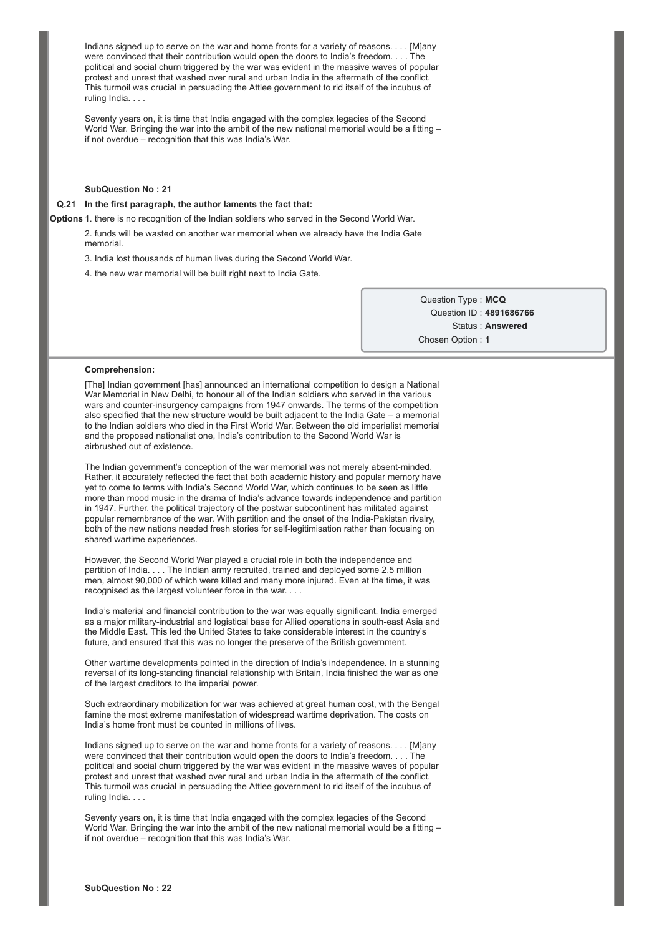Indians signed up to serve on the war and home fronts for a variety of reasons. . . . [M]any were convinced that their contribution would open the doors to India's freedom. . . . The political and social churn triggered by the war was evident in the massive waves of popular protest and unrest that washed over rural and urban India in the aftermath of the conflict. This turmoil was crucial in persuading the Attlee government to rid itself of the incubus of ruling India. . . .

Seventy years on, it is time that India engaged with the complex legacies of the Second World War. Bringing the war into the ambit of the new national memorial would be a fitting – if not overdue – recognition that this was India's War.

#### **SubQuestion No : 21**

### **Q.21 In the first paragraph, the author laments the fact that:**

**Options** 1. there is no recognition of the Indian soldiers who served in the Second World War.

2. funds will be wasted on another war memorial when we already have the India Gate memorial.

3. India lost thousands of human lives during the Second World War.

4. the new war memorial will be built right next to India Gate.

Question Type : **MCQ** Question ID : **4891686766** Status : **Answered** Chosen Option : **1**

#### **Comprehension:**

[The] Indian government [has] announced an international competition to design a National War Memorial in New Delhi, to honour all of the Indian soldiers who served in the various wars and counterinsurgency campaigns from 1947 onwards. The terms of the competition also specified that the new structure would be built adjacent to the India Gate – a memorial to the Indian soldiers who died in the First World War. Between the old imperialist memorial and the proposed nationalist one, India's contribution to the Second World War is airbrushed out of existence.

The Indian government's conception of the war memorial was not merely absent-minded. Rather, it accurately reflected the fact that both academic history and popular memory have yet to come to terms with India's Second World War, which continues to be seen as little more than mood music in the drama of India's advance towards independence and partition in 1947. Further, the political trajectory of the postwar subcontinent has militated against popular remembrance of the war. With partition and the onset of the India-Pakistan rivalry, both of the new nations needed fresh stories for self-legitimisation rather than focusing on shared wartime experiences.

However, the Second World War played a crucial role in both the independence and partition of India. . . . The Indian army recruited, trained and deployed some 2.5 million men, almost 90,000 of which were killed and many more injured. Even at the time, it was recognised as the largest volunteer force in the war. . . .

India's material and financial contribution to the war was equally significant. India emerged as a major military-industrial and logistical base for Allied operations in south-east Asia and the Middle East. This led the United States to take considerable interest in the country's future, and ensured that this was no longer the preserve of the British government.

Other wartime developments pointed in the direction of India's independence. In a stunning reversal of its long-standing financial relationship with Britain, India finished the war as one of the largest creditors to the imperial power.

Such extraordinary mobilization for war was achieved at great human cost, with the Bengal famine the most extreme manifestation of widespread wartime deprivation. The costs on India's home front must be counted in millions of lives.

Indians signed up to serve on the war and home fronts for a variety of reasons. . . . [M]any were convinced that their contribution would open the doors to India's freedom. . . . The political and social churn triggered by the war was evident in the massive waves of popular protest and unrest that washed over rural and urban India in the aftermath of the conflict. This turmoil was crucial in persuading the Attlee government to rid itself of the incubus of ruling India...

Seventy years on, it is time that India engaged with the complex legacies of the Second World War. Bringing the war into the ambit of the new national memorial would be a fitting – if not overdue – recognition that this was India's War.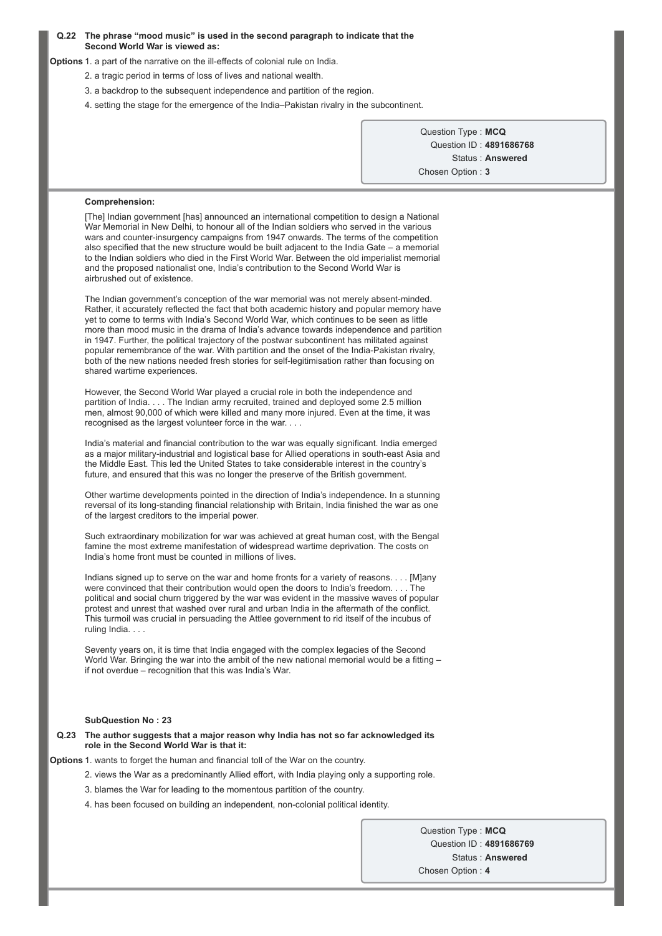### **Q.22 The phrase "mood music" is used in the second paragraph to indicate that the Second World War is viewed as:**

**Options** 1. a part of the narrative on the ill-effects of colonial rule on India.

- 2. a tragic period in terms of loss of lives and national wealth.
- 3. a backdrop to the subsequent independence and partition of the region.
- 4. setting the stage for the emergence of the India–Pakistan rivalry in the subcontinent.

Question Type : **MCQ** Question ID : **4891686768** Status : **Answered** Chosen Option : **3**

### **Comprehension:**

[The] Indian government [has] announced an international competition to design a National War Memorial in New Delhi, to honour all of the Indian soldiers who served in the various wars and counter-insurgency campaigns from 1947 onwards. The terms of the competition also specified that the new structure would be built adjacent to the India Gate – a memorial to the Indian soldiers who died in the First World War. Between the old imperialist memorial and the proposed nationalist one, India's contribution to the Second World War is airbrushed out of existence.

The Indian government's conception of the war memorial was not merely absent-minded. Rather, it accurately reflected the fact that both academic history and popular memory have yet to come to terms with India's Second World War, which continues to be seen as little more than mood music in the drama of India's advance towards independence and partition in 1947. Further, the political trajectory of the postwar subcontinent has militated against popular remembrance of the war. With partition and the onset of the India-Pakistan rivalry, both of the new nations needed fresh stories for self-legitimisation rather than focusing on shared wartime experiences.

However, the Second World War played a crucial role in both the independence and partition of India. . . . The Indian army recruited, trained and deployed some 2.5 million men, almost 90,000 of which were killed and many more injured. Even at the time, it was recognised as the largest volunteer force in the war. . . .

India's material and financial contribution to the war was equally significant. India emerged as a major military-industrial and logistical base for Allied operations in south-east Asia and the Middle East. This led the United States to take considerable interest in the country's future, and ensured that this was no longer the preserve of the British government.

Other wartime developments pointed in the direction of India's independence. In a stunning reversal of its long-standing financial relationship with Britain, India finished the war as one of the largest creditors to the imperial power.

Such extraordinary mobilization for war was achieved at great human cost, with the Bengal famine the most extreme manifestation of widespread wartime deprivation. The costs on India's home front must be counted in millions of lives.

Indians signed up to serve on the war and home fronts for a variety of reasons. . . . [M]any were convinced that their contribution would open the doors to India's freedom. . . . The political and social churn triggered by the war was evident in the massive waves of popular protest and unrest that washed over rural and urban India in the aftermath of the conflict. This turmoil was crucial in persuading the Attlee government to rid itself of the incubus of ruling India. . . .

Seventy years on, it is time that India engaged with the complex legacies of the Second World War. Bringing the war into the ambit of the new national memorial would be a fitting – if not overdue – recognition that this was India's War.

### **SubQuestion No : 23**

#### **Q.23 The author suggests that a major reason why India has not so far acknowledged its role in the Second World War is that it:**

**Options** 1. wants to forget the human and financial toll of the War on the country.

- 2. views the War as a predominantly Allied effort, with India playing only a supporting role.
	- 3. blames the War for leading to the momentous partition of the country.
	- 4. has been focused on building an independent, non-colonial political identity.

Question Type : **MCQ** Question ID : **4891686769** Status : **Answered** Chosen Option : **4**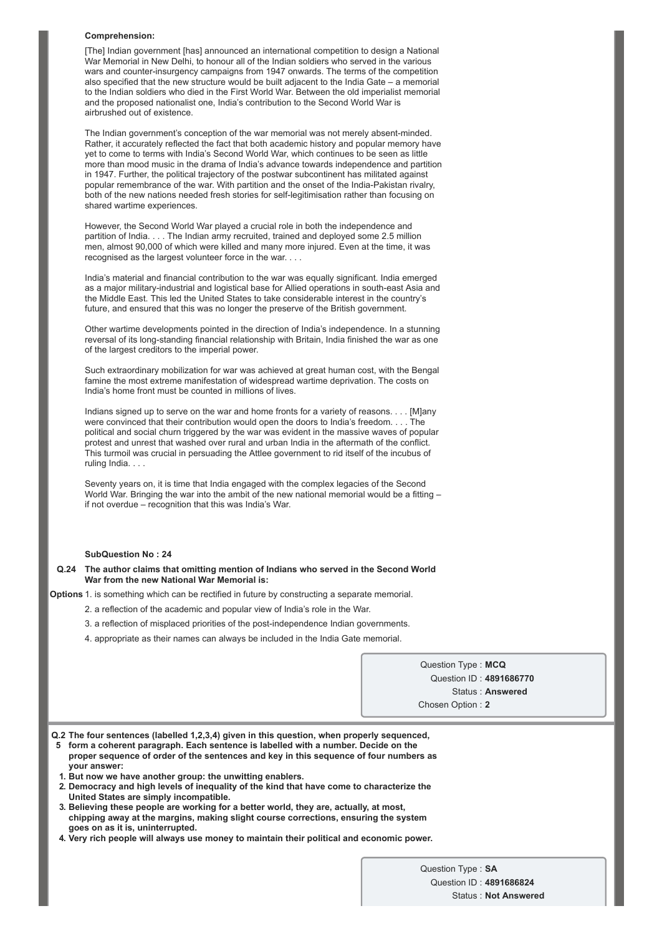#### **Comprehension:**

[The] Indian government [has] announced an international competition to design a National War Memorial in New Delhi, to honour all of the Indian soldiers who served in the various wars and counter-insurgency campaigns from 1947 onwards. The terms of the competition also specified that the new structure would be built adjacent to the India Gate – a memorial to the Indian soldiers who died in the First World War. Between the old imperialist memorial and the proposed nationalist one, India's contribution to the Second World War is airbrushed out of existence.

The Indian government's conception of the war memorial was not merely absent-minded. Rather, it accurately reflected the fact that both academic history and popular memory have yet to come to terms with India's Second World War, which continues to be seen as little more than mood music in the drama of India's advance towards independence and partition in 1947. Further, the political trajectory of the postwar subcontinent has militated against popular remembrance of the war. With partition and the onset of the India-Pakistan rivalry, both of the new nations needed fresh stories for self-legitimisation rather than focusing on shared wartime experiences.

However, the Second World War played a crucial role in both the independence and partition of India. . . . The Indian army recruited, trained and deployed some 2.5 million men, almost 90,000 of which were killed and many more injured. Even at the time, it was recognised as the largest volunteer force in the war. . . .

India's material and financial contribution to the war was equally significant. India emerged as a major military-industrial and logistical base for Allied operations in south-east Asia and the Middle East. This led the United States to take considerable interest in the country's future, and ensured that this was no longer the preserve of the British government.

Other wartime developments pointed in the direction of India's independence. In a stunning reversal of its long-standing financial relationship with Britain, India finished the war as one of the largest creditors to the imperial power.

Such extraordinary mobilization for war was achieved at great human cost, with the Bengal famine the most extreme manifestation of widespread wartime deprivation. The costs on India's home front must be counted in millions of lives.

Indians signed up to serve on the war and home fronts for a variety of reasons. . . . [M]any were convinced that their contribution would open the doors to India's freedom. . . . The political and social churn triggered by the war was evident in the massive waves of popular protest and unrest that washed over rural and urban India in the aftermath of the conflict. This turmoil was crucial in persuading the Attlee government to rid itself of the incubus of ruling India. . . .

Seventy years on, it is time that India engaged with the complex legacies of the Second World War. Bringing the war into the ambit of the new national memorial would be a fitting if not overdue – recognition that this was India's War.

### **SubQuestion No : 24**

**Q.24 The author claims that omitting mention of Indians who served in the Second World War from the new National War Memorial is:**

**Options** 1. is something which can be rectified in future by constructing a separate memorial.

- 2. a reflection of the academic and popular view of India's role in the War.
- 3. a reflection of misplaced priorities of the post-independence Indian governments.
- 4. appropriate as their names can always be included in the India Gate memorial.

Question Type : **MCQ** Question ID : **4891686770** Status : **Answered** Chosen Option : **2**

**Q.2 The four sentences (labelled 1,2,3,4) given in this question, when properly sequenced,**

- **5 form a coherent paragraph. Each sentence is labelled with a number. Decide on the proper sequence of order of the sentences and key in this sequence of four numbers as your answer:**
- **1. But now we have another group: the unwitting enablers.**
- **2. Democracy and high levels of inequality of the kind that have come to characterize the United States are simply incompatible.**
- **3. Believing these people are working for a better world, they are, actually, at most, chipping away at the margins, making slight course corrections, ensuring the system goes on as it is, uninterrupted.**
- **4. Very rich people will always use money to maintain their political and economic power.**

Question Type : **SA** Question ID : **4891686824** Status : **Not Answered**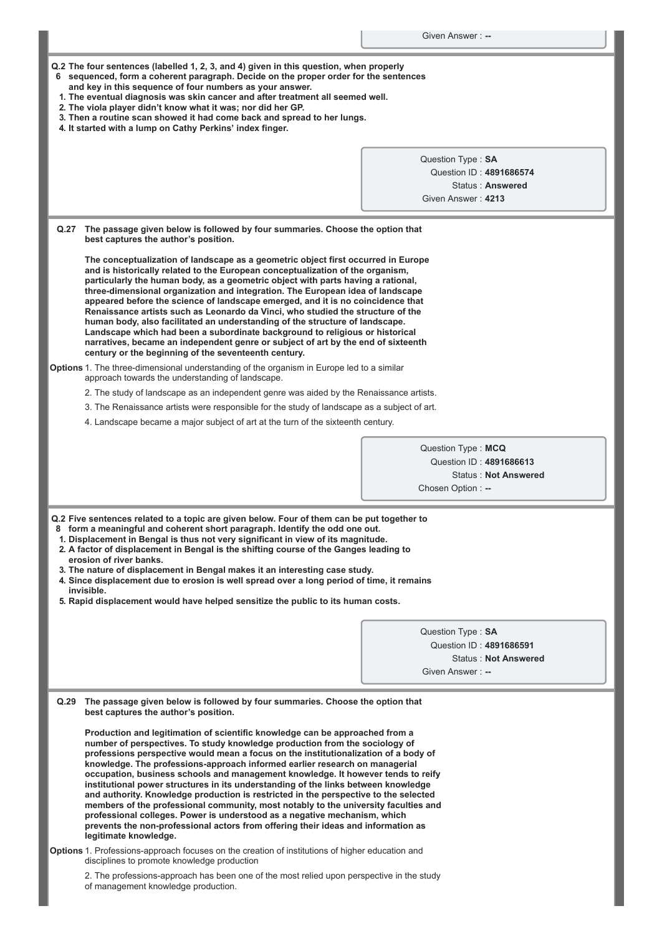| Q.2 The four sentences (labelled 1, 2, 3, and 4) given in this question, when properly |  |
|----------------------------------------------------------------------------------------|--|
|----------------------------------------------------------------------------------------|--|

- **6 sequenced, form a coherent paragraph. Decide on the proper order for the sentences**
- **and key in this sequence of four numbers as your answer. 1. The eventual diagnosis was skin cancer and after treatment all seemed well.**
- **2. The viola player didn't know what it was; nor did her GP.**
- **3. Then a routine scan showed it had come back and spread to her lungs.**
- **4. It started with a lump on Cathy Perkins' index finger.**

|      |                                                                                                                                                                                                                                                                                                                                                                                                                                                                                                                                                                                                                                                                                                                                                                                                                                                                                       | Question Type: SA                             |
|------|---------------------------------------------------------------------------------------------------------------------------------------------------------------------------------------------------------------------------------------------------------------------------------------------------------------------------------------------------------------------------------------------------------------------------------------------------------------------------------------------------------------------------------------------------------------------------------------------------------------------------------------------------------------------------------------------------------------------------------------------------------------------------------------------------------------------------------------------------------------------------------------|-----------------------------------------------|
|      |                                                                                                                                                                                                                                                                                                                                                                                                                                                                                                                                                                                                                                                                                                                                                                                                                                                                                       | Question ID: 4891686574                       |
|      |                                                                                                                                                                                                                                                                                                                                                                                                                                                                                                                                                                                                                                                                                                                                                                                                                                                                                       | Status: Answered                              |
|      |                                                                                                                                                                                                                                                                                                                                                                                                                                                                                                                                                                                                                                                                                                                                                                                                                                                                                       | Given Answer: 4213                            |
|      |                                                                                                                                                                                                                                                                                                                                                                                                                                                                                                                                                                                                                                                                                                                                                                                                                                                                                       |                                               |
| Q.27 | The passage given below is followed by four summaries. Choose the option that<br>best captures the author's position.                                                                                                                                                                                                                                                                                                                                                                                                                                                                                                                                                                                                                                                                                                                                                                 |                                               |
|      | The conceptualization of landscape as a geometric object first occurred in Europe<br>and is historically related to the European conceptualization of the organism,<br>particularly the human body, as a geometric object with parts having a rational,<br>three-dimensional organization and integration. The European idea of landscape<br>appeared before the science of landscape emerged, and it is no coincidence that<br>Renaissance artists such as Leonardo da Vinci, who studied the structure of the<br>human body, also facilitated an understanding of the structure of landscape.<br>Landscape which had been a subordinate background to religious or historical<br>narratives, became an independent genre or subject of art by the end of sixteenth<br>century or the beginning of the seventeenth century.                                                          |                                               |
|      | Options 1. The three-dimensional understanding of the organism in Europe led to a similar<br>approach towards the understanding of landscape.                                                                                                                                                                                                                                                                                                                                                                                                                                                                                                                                                                                                                                                                                                                                         |                                               |
|      | 2. The study of landscape as an independent genre was aided by the Renaissance artists.                                                                                                                                                                                                                                                                                                                                                                                                                                                                                                                                                                                                                                                                                                                                                                                               |                                               |
|      | 3. The Renaissance artists were responsible for the study of landscape as a subject of art.                                                                                                                                                                                                                                                                                                                                                                                                                                                                                                                                                                                                                                                                                                                                                                                           |                                               |
|      | 4. Landscape became a major subject of art at the turn of the sixteenth century.                                                                                                                                                                                                                                                                                                                                                                                                                                                                                                                                                                                                                                                                                                                                                                                                      |                                               |
|      |                                                                                                                                                                                                                                                                                                                                                                                                                                                                                                                                                                                                                                                                                                                                                                                                                                                                                       |                                               |
|      |                                                                                                                                                                                                                                                                                                                                                                                                                                                                                                                                                                                                                                                                                                                                                                                                                                                                                       | Question Type: MCQ<br>Question ID: 4891686613 |
|      |                                                                                                                                                                                                                                                                                                                                                                                                                                                                                                                                                                                                                                                                                                                                                                                                                                                                                       | <b>Status: Not Answered</b>                   |
|      |                                                                                                                                                                                                                                                                                                                                                                                                                                                                                                                                                                                                                                                                                                                                                                                                                                                                                       | Chosen Option: --                             |
|      |                                                                                                                                                                                                                                                                                                                                                                                                                                                                                                                                                                                                                                                                                                                                                                                                                                                                                       |                                               |
|      | Q.2 Five sentences related to a topic are given below. Four of them can be put together to<br>8 form a meaningful and coherent short paragraph. Identify the odd one out.<br>1. Displacement in Bengal is thus not very significant in view of its magnitude.<br>2. A factor of displacement in Bengal is the shifting course of the Ganges leading to<br>erosion of river banks.<br>3. The nature of displacement in Bengal makes it an interesting case study.<br>4. Since displacement due to erosion is well spread over a long period of time, it remains<br>invisible.<br>5. Rapid displacement would have helped sensitize the public to its human costs.                                                                                                                                                                                                                      |                                               |
|      |                                                                                                                                                                                                                                                                                                                                                                                                                                                                                                                                                                                                                                                                                                                                                                                                                                                                                       | Question Type: SA                             |
|      |                                                                                                                                                                                                                                                                                                                                                                                                                                                                                                                                                                                                                                                                                                                                                                                                                                                                                       | Question ID: 4891686591                       |
|      |                                                                                                                                                                                                                                                                                                                                                                                                                                                                                                                                                                                                                                                                                                                                                                                                                                                                                       | <b>Status: Not Answered</b>                   |
|      |                                                                                                                                                                                                                                                                                                                                                                                                                                                                                                                                                                                                                                                                                                                                                                                                                                                                                       | Given Answer: --                              |
|      |                                                                                                                                                                                                                                                                                                                                                                                                                                                                                                                                                                                                                                                                                                                                                                                                                                                                                       |                                               |
| Q.29 | The passage given below is followed by four summaries. Choose the option that<br>best captures the author's position.                                                                                                                                                                                                                                                                                                                                                                                                                                                                                                                                                                                                                                                                                                                                                                 |                                               |
|      | Production and legitimation of scientific knowledge can be approached from a<br>number of perspectives. To study knowledge production from the sociology of<br>professions perspective would mean a focus on the institutionalization of a body of<br>knowledge. The professions-approach informed earlier research on managerial<br>occupation, business schools and management knowledge. It however tends to reify<br>institutional power structures in its understanding of the links between knowledge<br>and authority. Knowledge production is restricted in the perspective to the selected<br>members of the professional community, most notably to the university faculties and<br>professional colleges. Power is understood as a negative mechanism, which<br>prevents the non-professional actors from offering their ideas and information as<br>legitimate knowledge. |                                               |
|      | Options 1. Professions-approach focuses on the creation of institutions of higher education and<br>disciplines to promote knowledge production                                                                                                                                                                                                                                                                                                                                                                                                                                                                                                                                                                                                                                                                                                                                        |                                               |
|      | 2. The professions-approach has been one of the most relied upon perspective in the study<br>of management knowledge production.                                                                                                                                                                                                                                                                                                                                                                                                                                                                                                                                                                                                                                                                                                                                                      |                                               |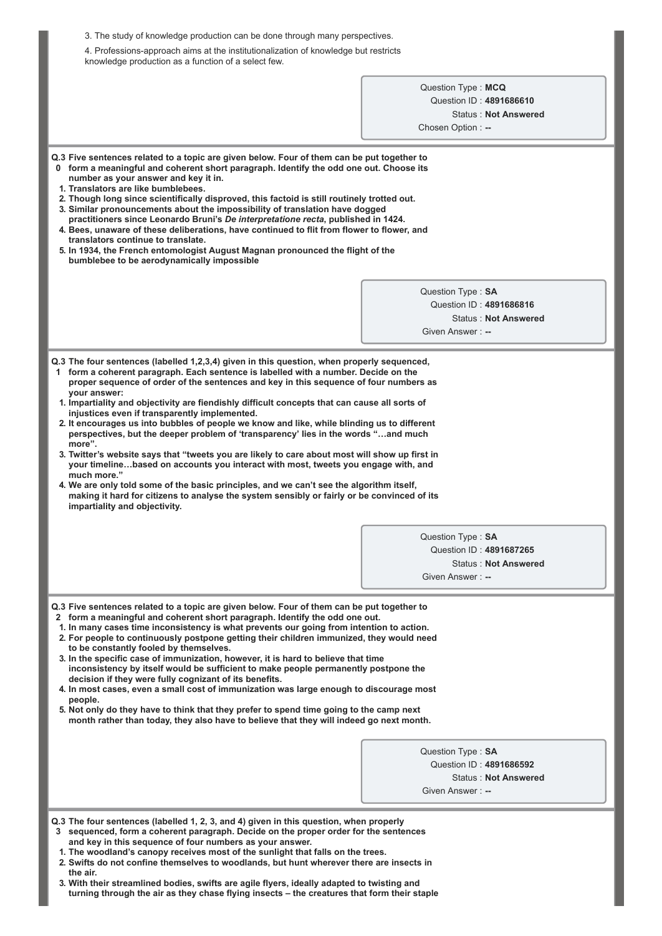| 3. The study of knowledge production can be done through many perspectives.                                                                                                                                                                                                                                                                                                                                                                                                                                                                                                                                                                                                                                                                                                                                                                                                                                                                   |                                                 |
|-----------------------------------------------------------------------------------------------------------------------------------------------------------------------------------------------------------------------------------------------------------------------------------------------------------------------------------------------------------------------------------------------------------------------------------------------------------------------------------------------------------------------------------------------------------------------------------------------------------------------------------------------------------------------------------------------------------------------------------------------------------------------------------------------------------------------------------------------------------------------------------------------------------------------------------------------|-------------------------------------------------|
| 4. Professions-approach aims at the institutionalization of knowledge but restricts<br>knowledge production as a function of a select few.                                                                                                                                                                                                                                                                                                                                                                                                                                                                                                                                                                                                                                                                                                                                                                                                    |                                                 |
|                                                                                                                                                                                                                                                                                                                                                                                                                                                                                                                                                                                                                                                                                                                                                                                                                                                                                                                                               | Question Type: MCQ                              |
|                                                                                                                                                                                                                                                                                                                                                                                                                                                                                                                                                                                                                                                                                                                                                                                                                                                                                                                                               | Question ID: 4891686610                         |
|                                                                                                                                                                                                                                                                                                                                                                                                                                                                                                                                                                                                                                                                                                                                                                                                                                                                                                                                               | <b>Status: Not Answered</b>                     |
|                                                                                                                                                                                                                                                                                                                                                                                                                                                                                                                                                                                                                                                                                                                                                                                                                                                                                                                                               | Chosen Option: --                               |
|                                                                                                                                                                                                                                                                                                                                                                                                                                                                                                                                                                                                                                                                                                                                                                                                                                                                                                                                               |                                                 |
| Q.3 Five sentences related to a topic are given below. Four of them can be put together to<br>0 form a meaningful and coherent short paragraph. Identify the odd one out. Choose its<br>number as your answer and key it in.<br>1. Translators are like bumblebees.<br>2. Though long since scientifically disproved, this factoid is still routinely trotted out.<br>3. Similar pronouncements about the impossibility of translation have dogged<br>practitioners since Leonardo Bruni's De interpretatione recta, published in 1424.<br>4. Bees, unaware of these deliberations, have continued to flit from flower to flower, and<br>translators continue to translate.<br>5. In 1934, the French entomologist August Magnan pronounced the flight of the<br>bumblebee to be aerodynamically impossible                                                                                                                                   |                                                 |
|                                                                                                                                                                                                                                                                                                                                                                                                                                                                                                                                                                                                                                                                                                                                                                                                                                                                                                                                               | Question Type: SA                               |
|                                                                                                                                                                                                                                                                                                                                                                                                                                                                                                                                                                                                                                                                                                                                                                                                                                                                                                                                               | Question ID: 4891686816                         |
|                                                                                                                                                                                                                                                                                                                                                                                                                                                                                                                                                                                                                                                                                                                                                                                                                                                                                                                                               | <b>Status: Not Answered</b>                     |
|                                                                                                                                                                                                                                                                                                                                                                                                                                                                                                                                                                                                                                                                                                                                                                                                                                                                                                                                               | Given Answer: --                                |
| 1. Impartiality and objectivity are fiendishly difficult concepts that can cause all sorts of<br>injustices even if transparently implemented.<br>2. It encourages us into bubbles of people we know and like, while blinding us to different<br>perspectives, but the deeper problem of 'transparency' lies in the words "and much<br>more".<br>3. Twitter's website says that "tweets you are likely to care about most will show up first in<br>your timelinebased on accounts you interact with most, tweets you engage with, and<br>much more."<br>4. We are only told some of the basic principles, and we can't see the algorithm itself,<br>making it hard for citizens to analyse the system sensibly or fairly or be convinced of its<br>impartiality and objectivity.                                                                                                                                                              | Question Type: SA<br>Question ID: 4891687265    |
|                                                                                                                                                                                                                                                                                                                                                                                                                                                                                                                                                                                                                                                                                                                                                                                                                                                                                                                                               | <b>Status: Not Answered</b>                     |
|                                                                                                                                                                                                                                                                                                                                                                                                                                                                                                                                                                                                                                                                                                                                                                                                                                                                                                                                               | Given Answer: --                                |
| Q.3 Five sentences related to a topic are given below. Four of them can be put together to<br>2 form a meaningful and coherent short paragraph. Identify the odd one out.<br>1. In many cases time inconsistency is what prevents our going from intention to action.<br>2. For people to continuously postpone getting their children immunized, they would need<br>to be constantly fooled by themselves.<br>3. In the specific case of immunization, however, it is hard to believe that time<br>inconsistency by itself would be sufficient to make people permanently postpone the<br>decision if they were fully cognizant of its benefits.<br>4. In most cases, even a small cost of immunization was large enough to discourage most<br>people.<br>5. Not only do they have to think that they prefer to spend time going to the camp next<br>month rather than today, they also have to believe that they will indeed go next month. | Question Type: SA<br>Question ID: 4891686592    |
|                                                                                                                                                                                                                                                                                                                                                                                                                                                                                                                                                                                                                                                                                                                                                                                                                                                                                                                                               | <b>Status: Not Answered</b><br>Given Answer: -- |
|                                                                                                                                                                                                                                                                                                                                                                                                                                                                                                                                                                                                                                                                                                                                                                                                                                                                                                                                               |                                                 |
| Q.3 The four sentences (labelled 1, 2, 3, and 4) given in this question, when properly<br>3 sequenced, form a coherent paragraph. Decide on the proper order for the sentences<br>and key in this sequence of four numbers as your answer.<br>1. The woodland's canopy receives most of the sunlight that falls on the trees.<br>2. Swifts do not confine themselves to woodlands, but hunt wherever there are insects in<br>the air.                                                                                                                                                                                                                                                                                                                                                                                                                                                                                                         |                                                 |

**3. With their streamlined bodies, swifts are agile flyers, ideally adapted to twisting and turning through the air as they chase flying insects – the creatures that form their staple**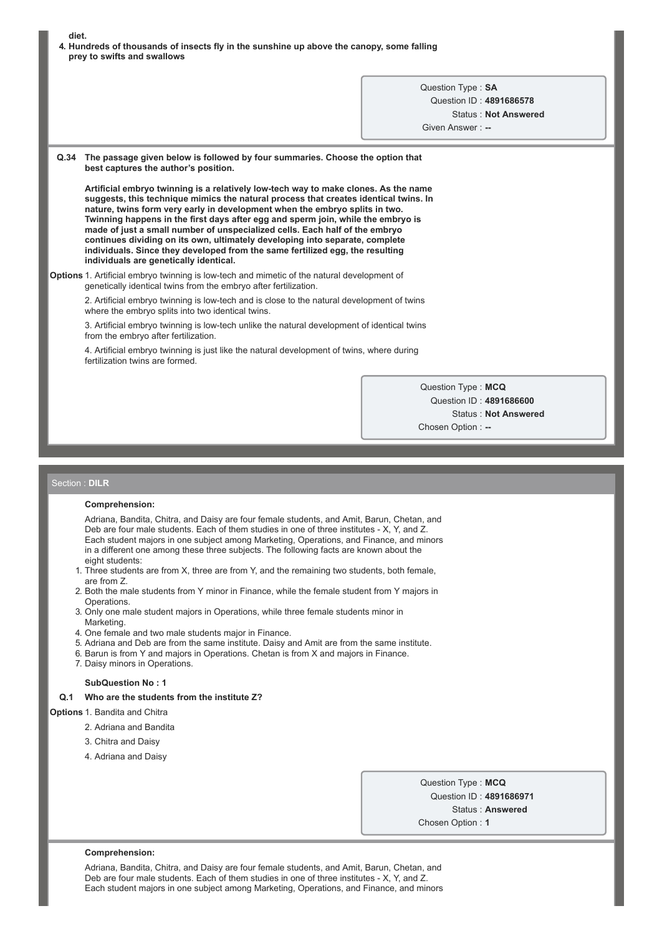| urst.                                                                                     |
|-------------------------------------------------------------------------------------------|
| 4. Hundreds of thousands of insects fly in the sunshine up above the canopy, some falling |
| prey to swifts and swallows                                                               |

Question Type : **SA** Question ID : **4891686578** Status : **Not Answered** Given Answer : --

**Q.34 The passage given below is followed by four summaries. Choose the option that best captures the author's position.**

**Artificial embryo twinning is a relatively lowtech way to make clones. As the name suggests, this technique mimics the natural process that creates identical twins. In nature, twins form very early in development when the embryo splits in two. Twinning happens in the first days after egg and sperm join, while the embryo is made of just a small number of unspecialized cells. Each half of the embryo continues dividing on its own, ultimately developing into separate, complete individuals. Since they developed from the same fertilized egg, the resulting individuals are genetically identical.**

**Options** 1. Artificial embryo twinning is low-tech and mimetic of the natural development of genetically identical twins from the embryo after fertilization.

2. Artificial embryo twinning is low-tech and is close to the natural development of twins where the embryo splits into two identical twins.

3. Artificial embryo twinning is low-tech unlike the natural development of identical twins from the embryo after fertilization.

4. Artificial embryo twinning is just like the natural development of twins, where during fertilization twins are formed.

> Question Type : **MCQ** Question ID : **4891686600** Status : **Not Answered** Chosen Option : --

#### Section : **DILR**

**diet.**

### **Comprehension:**

Adriana, Bandita, Chitra, and Daisy are four female students, and Amit, Barun, Chetan, and Deb are four male students. Each of them studies in one of three institutes - X, Y, and Z. Each student majors in one subject among Marketing, Operations, and Finance, and minors in a different one among these three subjects. The following facts are known about the eight students:

- 1. Three students are from X, three are from Y, and the remaining two students, both female, are from Z.
- 2. Both the male students from Y minor in Finance, while the female student from Y majors in Operations.
- 3. Only one male student majors in Operations, while three female students minor in Marketing.
- 4. One female and two male students major in Finance.
- 5. Adriana and Deb are from the same institute. Daisy and Amit are from the same institute.
- 6. Barun is from Y and majors in Operations. Chetan is from X and majors in Finance.
- 7. Daisy minors in Operations.

#### **SubQuestion No : 1**

### **Q.1 Who are the students from the institute Z?**

# **Options** 1. Bandita and Chitra

- 2. Adriana and Bandita
- 3. Chitra and Daisy
- 4. Adriana and Daisy

Question Type : **MCQ** Question ID : **4891686971** Status : **Answered** Chosen Option : **1**

#### **Comprehension:**

Adriana, Bandita, Chitra, and Daisy are four female students, and Amit, Barun, Chetan, and Deb are four male students. Each of them studies in one of three institutes - X, Y, and Z. Each student majors in one subject among Marketing, Operations, and Finance, and minors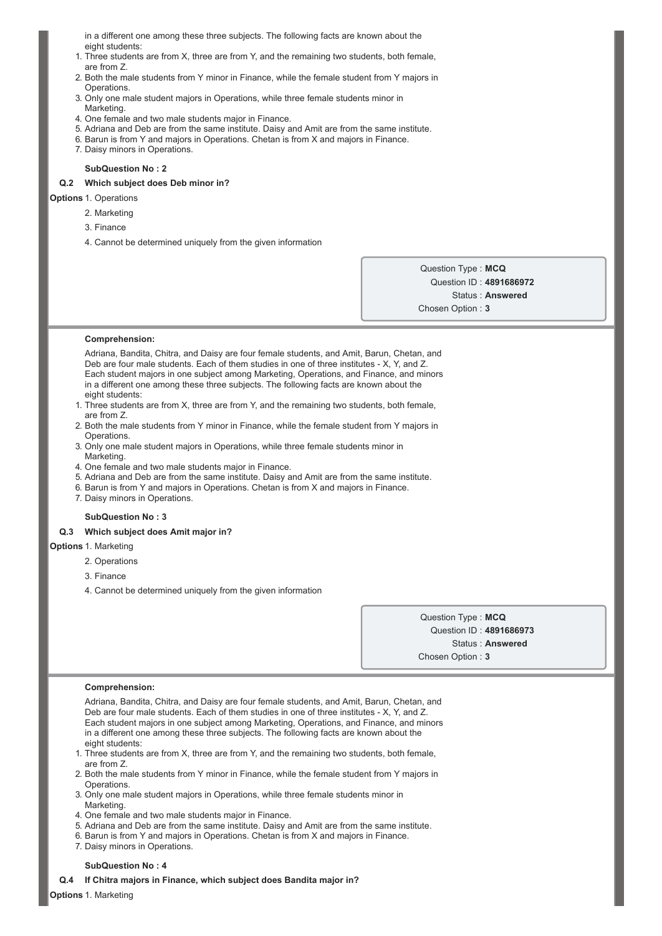in a different one among these three subjects. The following facts are known about the eight students:

- 1. Three students are from X, three are from Y, and the remaining two students, both female, are from Z.
- 2. Both the male students from Y minor in Finance, while the female student from Y majors in Operations.
- 3. Only one male student majors in Operations, while three female students minor in Marketing.
- 4. One female and two male students major in Finance.
- 5. Adriana and Deb are from the same institute. Daisy and Amit are from the same institute.
- 6. Barun is from Y and majors in Operations. Chetan is from X and majors in Finance.
- 7. Daisy minors in Operations.

### **SubQuestion No : 2**

### **Q.2 Which subject does Deb minor in?**

# **Options** 1. Operations

- 2. Marketing
- 3. Finance
- 4. Cannot be determined uniquely from the given information

Question Type : **MCQ** Question ID : **4891686972** Status : **Answered** Chosen Option : **3**

#### **Comprehension:**

Adriana, Bandita, Chitra, and Daisy are four female students, and Amit, Barun, Chetan, and Deb are four male students. Each of them studies in one of three institutes - X, Y, and Z. Each student majors in one subject among Marketing, Operations, and Finance, and minors in a different one among these three subjects. The following facts are known about the eight students:

- 1. Three students are from X, three are from Y, and the remaining two students, both female, are from Z.
- 2. Both the male students from Y minor in Finance, while the female student from Y majors in **Operations**
- 3. Only one male student majors in Operations, while three female students minor in Marketing.
- 4. One female and two male students major in Finance.
- 5. Adriana and Deb are from the same institute. Daisy and Amit are from the same institute.
- 6. Barun is from Y and majors in Operations. Chetan is from X and majors in Finance.
- 7. Daisy minors in Operations.

### **SubQuestion No : 3**

### **Q.3 Which subject does Amit major in?**

- **Options** 1. Marketing
	- 2. Operations
	- 3. Finance
	- 4. Cannot be determined uniquely from the given information

Question Type : **MCQ** Question ID : **4891686973** Status : **Answered** Chosen Option : **3**

#### **Comprehension:**

Adriana, Bandita, Chitra, and Daisy are four female students, and Amit, Barun, Chetan, and Deb are four male students. Each of them studies in one of three institutes - X, Y, and Z. Each student majors in one subject among Marketing, Operations, and Finance, and minors in a different one among these three subjects. The following facts are known about the eight students:

- 1. Three students are from X, three are from Y, and the remaining two students, both female, are from Z.
- 2. Both the male students from Y minor in Finance, while the female student from Y majors in Operations.
- 3. Only one male student majors in Operations, while three female students minor in Marketing.
- 4. One female and two male students major in Finance.
- 5. Adriana and Deb are from the same institute. Daisy and Amit are from the same institute.
- 6. Barun is from Y and majors in Operations. Chetan is from X and majors in Finance.
- 7. Daisy minors in Operations.

### **SubQuestion No : 4**

### **Q.4 If Chitra majors in Finance, which subject does Bandita major in?**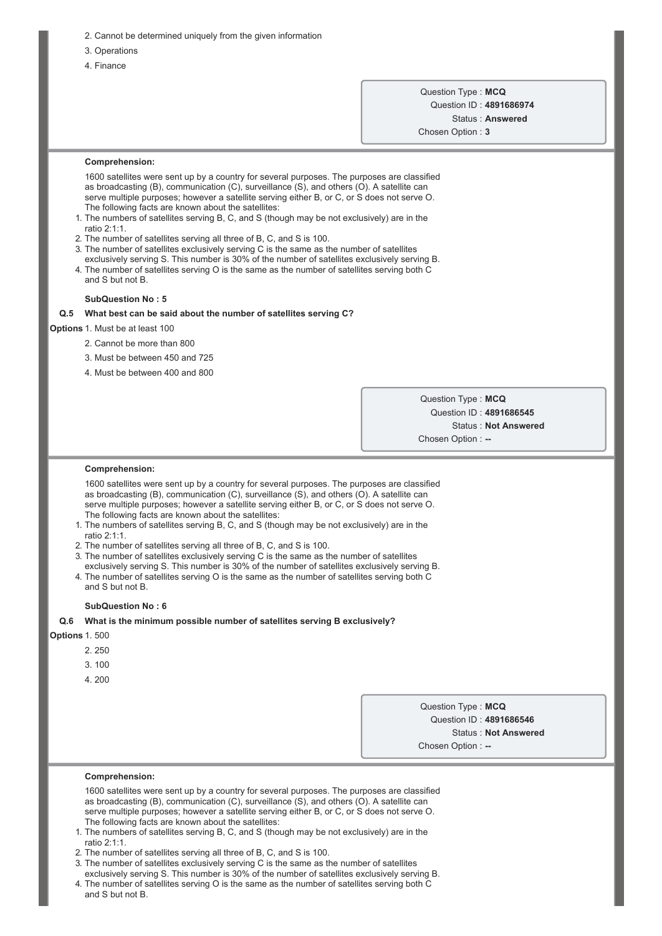- 2. Cannot be determined uniquely from the given information
- 3. Operations
- 4. Finance

# Question Type : **MCQ** Question ID : **4891686974** Status : **Answered**

Chosen Option : **3**

### **Comprehension:**

1600 satellites were sent up by a country for several purposes. The purposes are classified as broadcasting (B), communication (C), surveillance (S), and others (O). A satellite can serve multiple purposes; however a satellite serving either B, or C, or S does not serve O. The following facts are known about the satellites:

- 1. The numbers of satellites serving B, C, and S (though may be not exclusively) are in the ratio 2:1:1.
- 2. The number of satellites serving all three of B, C, and S is 100.
- 3. The number of satellites exclusively serving C is the same as the number of satellites exclusively serving S. This number is 30% of the number of satellites exclusively serving B.
- 4. The number of satellites serving O is the same as the number of satellites serving both C and S but not B.

### **SubQuestion No : 5**

#### **Q.5 What best can be said about the number of satellites serving C?**

### **Options** 1. Must be at least 100

- 2. Cannot be more than 800
- 3. Must be between 450 and 725
- 4. Must be between 400 and 800

Question Type : **MCQ** Question ID : **4891686545** Status : **Not Answered** Chosen Option : --

#### **Comprehension:**

1600 satellites were sent up by a country for several purposes. The purposes are classified as broadcasting (B), communication (C), surveillance (S), and others (O). A satellite can serve multiple purposes; however a satellite serving either B, or C, or S does not serve O. The following facts are known about the satellites:

- 1. The numbers of satellites serving B, C, and S (though may be not exclusively) are in the ratio 2:1:1.
- 2. The number of satellites serving all three of B, C, and S is 100.
- 3. The number of satellites exclusively serving C is the same as the number of satellites
- exclusively serving S. This number is 30% of the number of satellites exclusively serving B. 4. The number of satellites serving O is the same as the number of satellites serving both C and S but not B.

### **SubQuestion No : 6**

### **Q.6 What is the minimum possible number of satellites serving B exclusively?**

**Options** 1. 500

- 2. 250
	- 3. 100
	- 4. 200

Question Type : **MCQ** Question ID : **4891686546** Status : **Not Answered**

Chosen Option : --

### **Comprehension:**

1600 satellites were sent up by a country for several purposes. The purposes are classified as broadcasting (B), communication (C), surveillance (S), and others (O). A satellite can serve multiple purposes; however a satellite serving either B, or C, or S does not serve O. The following facts are known about the satellites:

- 1. The numbers of satellites serving B, C, and S (though may be not exclusively) are in the ratio 2:1:1.
- 2. The number of satellites serving all three of B, C, and S is 100.
- 3. The number of satellites exclusively serving C is the same as the number of satellites exclusively serving S. This number is 30% of the number of satellites exclusively serving B.
- 4. The number of satellites serving O is the same as the number of satellites serving both C and S but not B.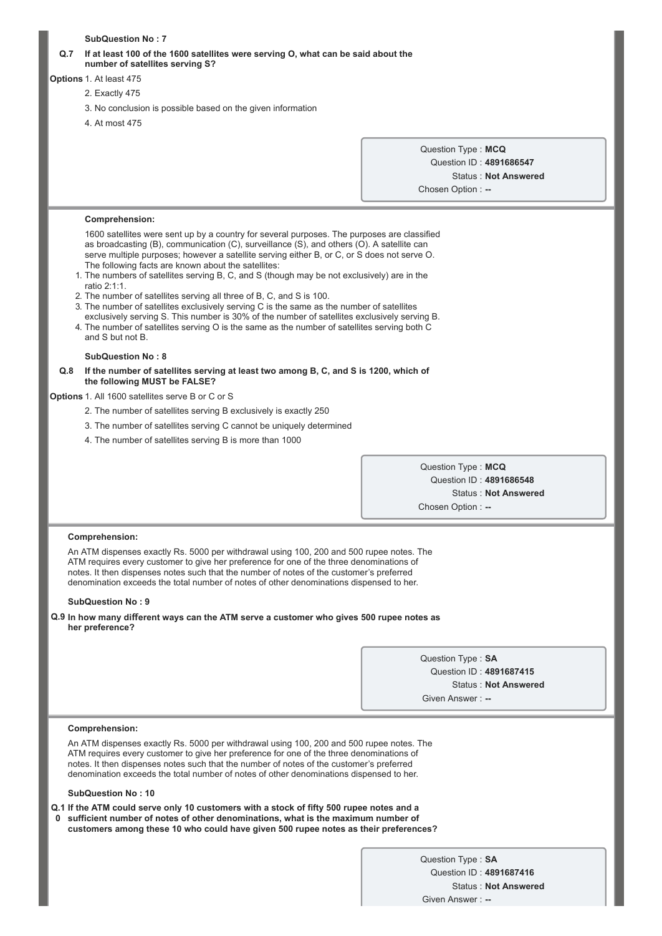# **SubQuestion No : 7 Q.7 If at least 100 of the 1600 satellites were serving O, what can be said about the number of satellites serving S? Options** 1. At least 475 2. Exactly 475 3. No conclusion is possible based on the given information 4. At most 475 Question Type : **MCQ** Question ID : **4891686547** Status : **Not Answered** Chosen Option : **Comprehension:** 1600 satellites were sent up by a country for several purposes. The purposes are classified as broadcasting (B), communication (C), surveillance (S), and others (O). A satellite can serve multiple purposes; however a satellite serving either B, or C, or S does not serve O. The following facts are known about the satellites: 1. The numbers of satellites serving B, C, and S (though may be not exclusively) are in the ratio 2:1:1. 2. The number of satellites serving all three of B, C, and S is 100. 3. The number of satellites exclusively serving C is the same as the number of satellites exclusively serving S. This number is 30% of the number of satellites exclusively serving B. 4. The number of satellites serving O is the same as the number of satellites serving both C and S but not B. **SubQuestion No : 8 Q.8 If the number of satellites serving at least two among B, C, and S is 1200, which of the following MUST be FALSE? Options** 1. All 1600 satellites serve B or C or S 2. The number of satellites serving B exclusively is exactly 250 3. The number of satellites serving C cannot be uniquely determined 4. The number of satellites serving B is more than 1000 Question Type : **MCQ** Question ID : **4891686548** Status : **Not Answered** Chosen Option : --**Comprehension:** An ATM dispenses exactly Rs. 5000 per withdrawal using 100, 200 and 500 rupee notes. The ATM requires every customer to give her preference for one of the three denominations of notes. It then dispenses notes such that the number of notes of the customer's preferred denomination exceeds the total number of notes of other denominations dispensed to her. **SubQuestion No : 9 Q.9 In how many different ways can the ATM serve a customer who gives 500 rupee notes as her preference?** Question Type : **SA** Question ID : **4891687415** Status : **Not Answered** Given Answer : --**Comprehension:** An ATM dispenses exactly Rs. 5000 per withdrawal using 100, 200 and 500 rupee notes. The ATM requires every customer to give her preference for one of the three denominations of notes. It then dispenses notes such that the number of notes of the customer's preferred denomination exceeds the total number of notes of other denominations dispensed to her. **SubQuestion No : 10 Q.1 If the ATM could serve only 10 customers with a stock of fifty 500 rupee notes and a 0 sufficient number of notes of other denominations, what is the maximum number of customers among these 10 who could have given 500 rupee notes as their preferences?** Question Type : **SA** Question ID : **4891687416** Status : **Not Answered** Given Answer :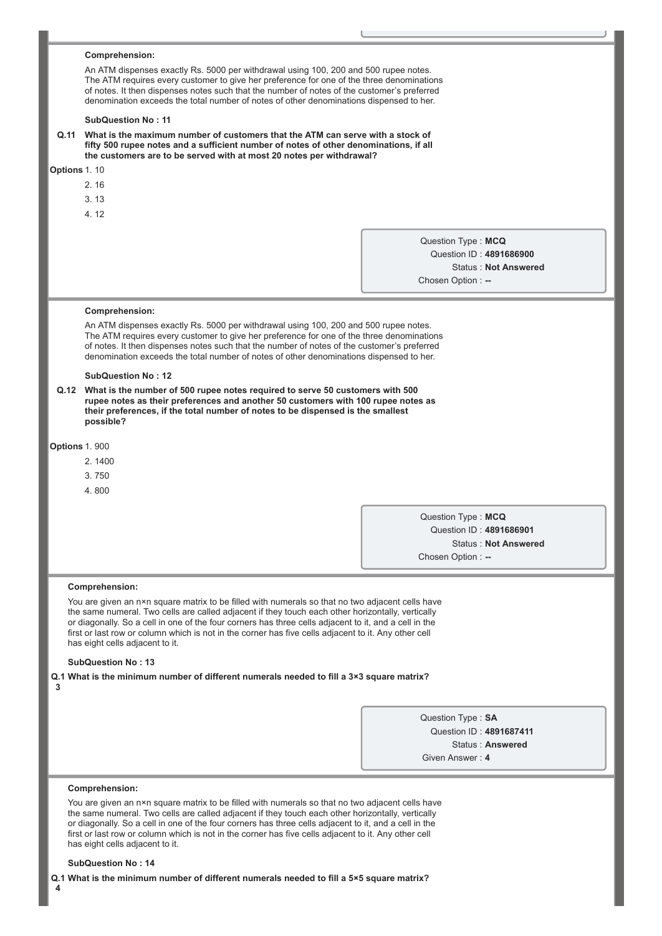|              | Comprehension:                                                                                                                                                                                                                                                                                                                                                                                                                                                                     |                    |                             |  |
|--------------|------------------------------------------------------------------------------------------------------------------------------------------------------------------------------------------------------------------------------------------------------------------------------------------------------------------------------------------------------------------------------------------------------------------------------------------------------------------------------------|--------------------|-----------------------------|--|
|              | An ATM dispenses exactly Rs. 5000 per withdrawal using 100, 200 and 500 rupee notes.<br>The ATM requires every customer to give her preference for one of the three denominations                                                                                                                                                                                                                                                                                                  |                    |                             |  |
|              | of notes. It then dispenses notes such that the number of notes of the customer's preferred<br>denomination exceeds the total number of notes of other denominations dispensed to her.                                                                                                                                                                                                                                                                                             |                    |                             |  |
|              | <b>SubQuestion No: 11</b>                                                                                                                                                                                                                                                                                                                                                                                                                                                          |                    |                             |  |
|              | Q.11 What is the maximum number of customers that the ATM can serve with a stock of<br>fifty 500 rupee notes and a sufficient number of notes of other denominations, if all<br>the customers are to be served with at most 20 notes per withdrawal?                                                                                                                                                                                                                               |                    |                             |  |
| Options 1.10 |                                                                                                                                                                                                                                                                                                                                                                                                                                                                                    |                    |                             |  |
|              | 2.16                                                                                                                                                                                                                                                                                                                                                                                                                                                                               |                    |                             |  |
|              | 3.13                                                                                                                                                                                                                                                                                                                                                                                                                                                                               |                    |                             |  |
|              | 4.12                                                                                                                                                                                                                                                                                                                                                                                                                                                                               |                    |                             |  |
|              |                                                                                                                                                                                                                                                                                                                                                                                                                                                                                    | Question Type: MCQ |                             |  |
|              |                                                                                                                                                                                                                                                                                                                                                                                                                                                                                    |                    | Question ID: 4891686900     |  |
|              |                                                                                                                                                                                                                                                                                                                                                                                                                                                                                    |                    | <b>Status: Not Answered</b> |  |
|              |                                                                                                                                                                                                                                                                                                                                                                                                                                                                                    | Chosen Option: --  |                             |  |
|              | Comprehension:                                                                                                                                                                                                                                                                                                                                                                                                                                                                     |                    |                             |  |
|              | An ATM dispenses exactly Rs. 5000 per withdrawal using 100, 200 and 500 rupee notes.<br>The ATM requires every customer to give her preference for one of the three denominations<br>of notes. It then dispenses notes such that the number of notes of the customer's preferred<br>denomination exceeds the total number of notes of other denominations dispensed to her.                                                                                                        |                    |                             |  |
|              | <b>SubQuestion No: 12</b>                                                                                                                                                                                                                                                                                                                                                                                                                                                          |                    |                             |  |
|              | Q.12 What is the number of 500 rupee notes required to serve 50 customers with 500                                                                                                                                                                                                                                                                                                                                                                                                 |                    |                             |  |
|              | rupee notes as their preferences and another 50 customers with 100 rupee notes as<br>their preferences, if the total number of notes to be dispensed is the smallest<br>possible?                                                                                                                                                                                                                                                                                                  |                    |                             |  |
|              | <b>Options 1. 900</b>                                                                                                                                                                                                                                                                                                                                                                                                                                                              |                    |                             |  |
|              | 2.1400                                                                                                                                                                                                                                                                                                                                                                                                                                                                             |                    |                             |  |
|              | 3.750                                                                                                                                                                                                                                                                                                                                                                                                                                                                              |                    |                             |  |
|              | 4.800                                                                                                                                                                                                                                                                                                                                                                                                                                                                              |                    |                             |  |
|              |                                                                                                                                                                                                                                                                                                                                                                                                                                                                                    |                    |                             |  |
|              |                                                                                                                                                                                                                                                                                                                                                                                                                                                                                    | Question Type: MCQ | Question ID: 4891686901     |  |
|              |                                                                                                                                                                                                                                                                                                                                                                                                                                                                                    |                    | <b>Status: Not Answered</b> |  |
|              |                                                                                                                                                                                                                                                                                                                                                                                                                                                                                    | Chosen Option: --  |                             |  |
|              |                                                                                                                                                                                                                                                                                                                                                                                                                                                                                    |                    |                             |  |
|              | <b>Comprehension:</b><br>You are given an n×n square matrix to be filled with numerals so that no two adjacent cells have<br>the same numeral. Two cells are called adjacent if they touch each other horizontally, vertically<br>or diagonally. So a cell in one of the four corners has three cells adjacent to it, and a cell in the<br>first or last row or column which is not in the corner has five cells adjacent to it. Any other cell<br>has eight cells adjacent to it. |                    |                             |  |
|              | <b>SubQuestion No: 13</b>                                                                                                                                                                                                                                                                                                                                                                                                                                                          |                    |                             |  |
| 3            | Q.1 What is the minimum number of different numerals needed to fill a 3×3 square matrix?                                                                                                                                                                                                                                                                                                                                                                                           |                    |                             |  |
|              |                                                                                                                                                                                                                                                                                                                                                                                                                                                                                    | Question Type: SA  |                             |  |
|              |                                                                                                                                                                                                                                                                                                                                                                                                                                                                                    |                    | Question ID: 4891687411     |  |
|              |                                                                                                                                                                                                                                                                                                                                                                                                                                                                                    |                    | Status: Answered            |  |
|              |                                                                                                                                                                                                                                                                                                                                                                                                                                                                                    | Given Answer: 4    |                             |  |
|              | Comprehension:                                                                                                                                                                                                                                                                                                                                                                                                                                                                     |                    |                             |  |
|              | You are given an n×n square matrix to be filled with numerals so that no two adjacent cells have                                                                                                                                                                                                                                                                                                                                                                                   |                    |                             |  |
|              | the same numeral. Two cells are called adjacent if they touch each other horizontally, vertically<br>or diagonally. So a cell in one of the four corners has three cells adjacent to it, and a cell in the<br>first or last row or column which is not in the corner has five cells adjacent to it. Any other cell<br>has eight cells adjacent to it.                                                                                                                              |                    |                             |  |
|              | <b>SubQuestion No: 14</b>                                                                                                                                                                                                                                                                                                                                                                                                                                                          |                    |                             |  |
|              | Q.1 What is the minimum number of different numerals needed to fill a 5×5 square matrix?                                                                                                                                                                                                                                                                                                                                                                                           |                    |                             |  |
|              |                                                                                                                                                                                                                                                                                                                                                                                                                                                                                    |                    |                             |  |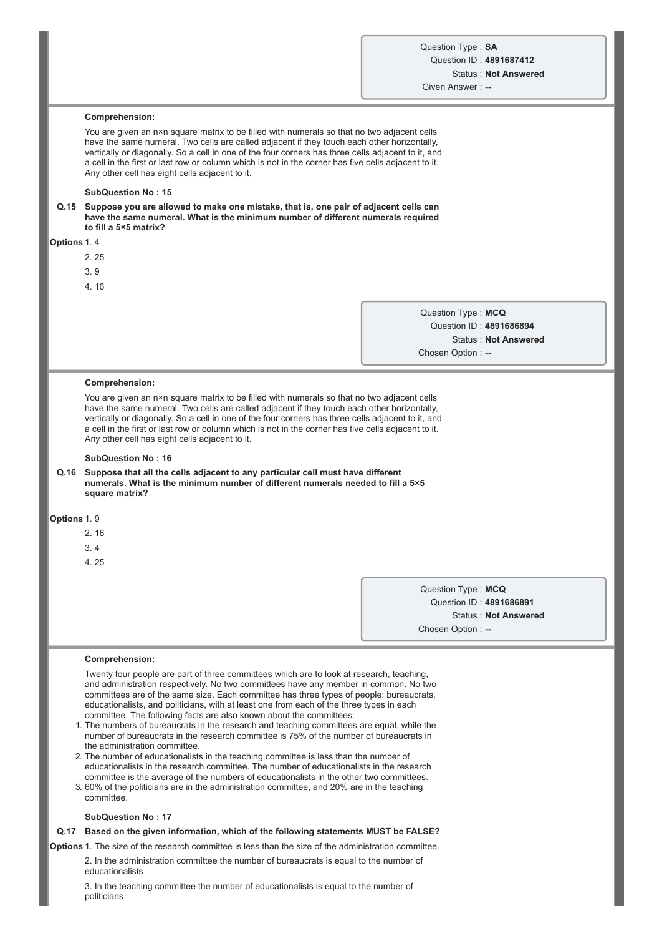# **Comprehension:**

You are given an n×n square matrix to be filled with numerals so that no two adjacent cells have the same numeral. Two cells are called adjacent if they touch each other horizontally, vertically or diagonally. So a cell in one of the four corners has three cells adjacent to it, and a cell in the first or last row or column which is not in the corner has five cells adjacent to it. Any other cell has eight cells adjacent to it.

#### **SubQuestion No : 15**

**Q.15 Suppose you are allowed to make one mistake, that is, one pair of adjacent cells can have the same numeral. What is the minimum number of different numerals required to fill a 5×5 matrix?**

#### **Options** 1. 4

- 2. 25
- 3. 9
- 4. 16

Question Type : **MCQ** Question ID : **4891686894** Status : **Not Answered** Chosen Option : --

#### **Comprehension:**

You are given an n×n square matrix to be filled with numerals so that no two adjacent cells have the same numeral. Two cells are called adjacent if they touch each other horizontally, vertically or diagonally. So a cell in one of the four corners has three cells adjacent to it, and a cell in the first or last row or column which is not in the corner has five cells adjacent to it. Any other cell has eight cells adjacent to it.

### **SubQuestion No : 16**

**Q.16 Suppose that all the cells adjacent to any particular cell must have different numerals. What is the minimum number of different numerals needed to fill a 5×5 square matrix?**

### **Options** 1. 9

- 2. 16
- 3. 4
- 4. 25

Question Type : **MCQ** Question ID : **4891686891** Status : **Not Answered** Chosen Option :

#### **Comprehension:**

Twenty four people are part of three committees which are to look at research, teaching, and administration respectively. No two committees have any member in common. No two committees are of the same size. Each committee has three types of people: bureaucrats, educationalists, and politicians, with at least one from each of the three types in each committee. The following facts are also known about the committees:

1. The numbers of bureaucrats in the research and teaching committees are equal, while the number of bureaucrats in the research committee is 75% of the number of bureaucrats in the administration committee.

- 2. The number of educationalists in the teaching committee is less than the number of educationalists in the research committee. The number of educationalists in the research committee is the average of the numbers of educationalists in the other two committees.
- 3. 60% of the politicians are in the administration committee, and 20% are in the teaching committee.

#### **SubQuestion No : 17**

### **Q.17 Based on the given information, which of the following statements MUST be FALSE?**

**Options** 1. The size of the research committee is less than the size of the administration committee

2. In the administration committee the number of bureaucrats is equal to the number of educationalists

3. In the teaching committee the number of educationalists is equal to the number of politicians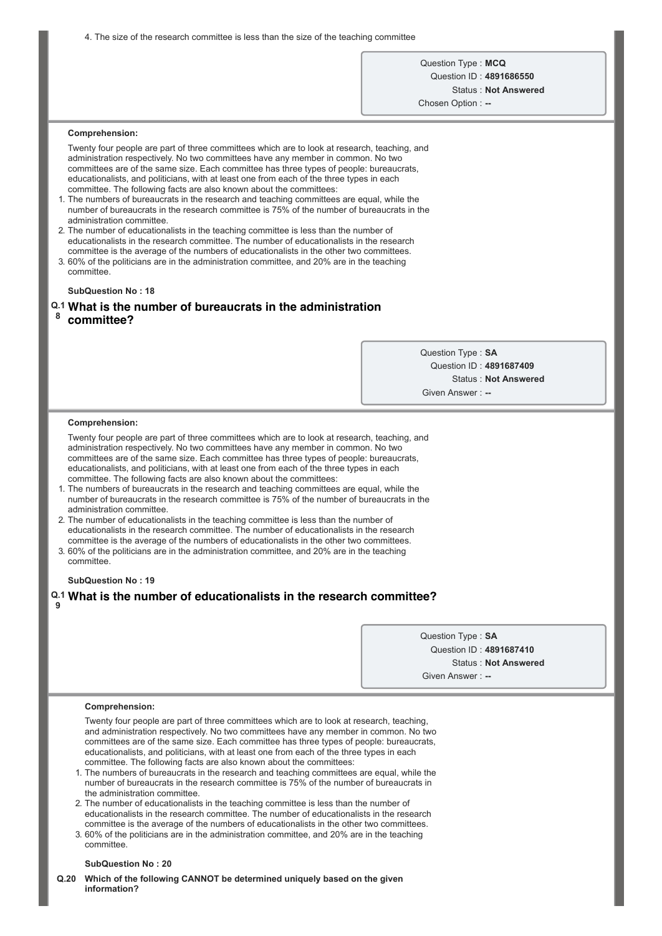4. The size of the research committee is less than the size of the teaching committee

Question Type : **MCQ** Question ID : **4891686550** Status : **Not Answered**

Chosen Option : --

#### **Comprehension:**

Twenty four people are part of three committees which are to look at research, teaching, and administration respectively. No two committees have any member in common. No two committees are of the same size. Each committee has three types of people: bureaucrats, educationalists, and politicians, with at least one from each of the three types in each committee. The following facts are also known about the committees:

- 1. The numbers of bureaucrats in the research and teaching committees are equal, while the number of bureaucrats in the research committee is 75% of the number of bureaucrats in the administration committee.
- 2. The number of educationalists in the teaching committee is less than the number of educationalists in the research committee. The number of educationalists in the research committee is the average of the numbers of educationalists in the other two committees.
- 3. 60% of the politicians are in the administration committee, and 20% are in the teaching committee.

### **SubQuestion No : 18**

# **Q.1 What is the number of bureaucrats in the administration**

**8 committee?**

> Question Type : **SA** Question ID : **4891687409** Status : **Not Answered** Given Answer :

#### **Comprehension:**

Twenty four people are part of three committees which are to look at research, teaching, and administration respectively. No two committees have any member in common. No two committees are of the same size. Each committee has three types of people: bureaucrats, educationalists, and politicians, with at least one from each of the three types in each committee. The following facts are also known about the committees:

1. The numbers of bureaucrats in the research and teaching committees are equal, while the number of bureaucrats in the research committee is 75% of the number of bureaucrats in the administration committee.

2. The number of educationalists in the teaching committee is less than the number of educationalists in the research committee. The number of educationalists in the research committee is the average of the numbers of educationalists in the other two committees.

3. 60% of the politicians are in the administration committee, and 20% are in the teaching committee.

### **SubQuestion No : 19**

#### **Q.1 What is the number of educationalists in the research committee? 9**

Question Type : **SA** Question ID : **4891687410** Status : **Not Answered** Given Answer : --

#### **Comprehension:**

Twenty four people are part of three committees which are to look at research, teaching, and administration respectively. No two committees have any member in common. No two committees are of the same size. Each committee has three types of people: bureaucrats, educationalists, and politicians, with at least one from each of the three types in each committee. The following facts are also known about the committees:

- 1. The numbers of bureaucrats in the research and teaching committees are equal, while the number of bureaucrats in the research committee is 75% of the number of bureaucrats in the administration committee.
- 2. The number of educationalists in the teaching committee is less than the number of educationalists in the research committee. The number of educationalists in the research committee is the average of the numbers of educationalists in the other two committees.
- 3. 60% of the politicians are in the administration committee, and 20% are in the teaching committee.

#### **SubQuestion No : 20**

**Q.20 Which of the following CANNOT be determined uniquely based on the given information?**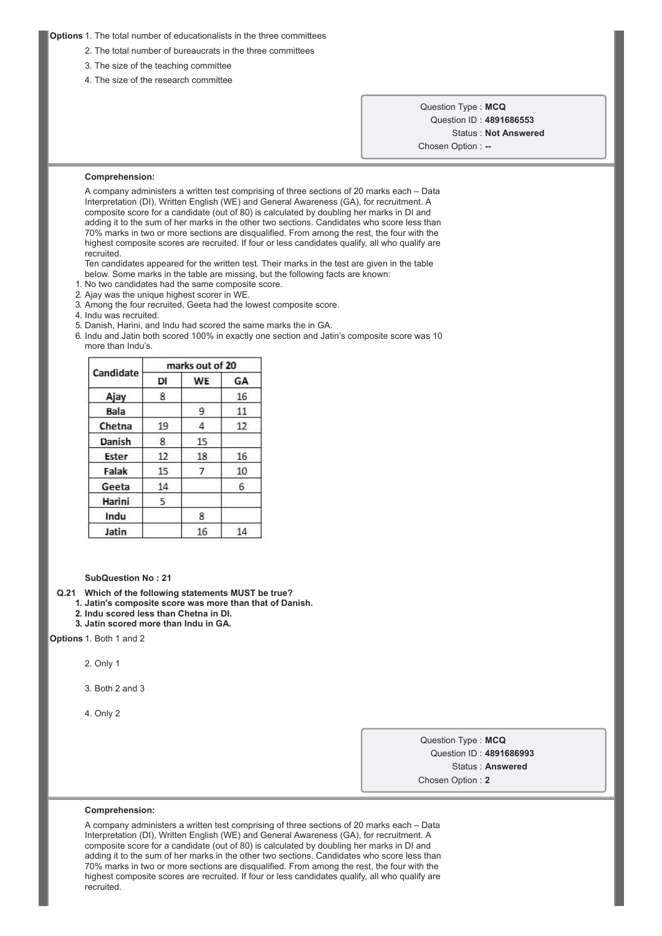### **Options** 1. The total number of educationalists in the three committees

- 2. The total number of bureaucrats in the three committees
- 3. The size of the teaching committee
- 4. The size of the research committee

Question Type : **MCQ** Question ID : **4891686553** Status : **Not Answered** Chosen Option : --

#### **Comprehension:**

A company administers a written test comprising of three sections of 20 marks each – Data Interpretation (DI), Written English (WE) and General Awareness (GA), for recruitment. A composite score for a candidate (out of 80) is calculated by doubling her marks in DI and adding it to the sum of her marks in the other two sections. Candidates who score less than 70% marks in two or more sections are disqualified. From among the rest, the four with the highest composite scores are recruited. If four or less candidates qualify, all who qualify are recruited.

Ten candidates appeared for the written test. Their marks in the test are given in the table below. Some marks in the table are missing, but the following facts are known:

- 1. No two candidates had the same composite score.
- 2. Ajay was the unique highest scorer in WE.
- 3. Among the four recruited, Geeta had the lowest composite score.
- 4. Indu was recruited.
- 5. Danish, Harini, and Indu had scored the same marks the in GA.
- 6. Indu and Jatin both scored 100% in exactly one section and Jatin's composite score was 10 more than Indu's.

|             | marks out of 20 |           |    |
|-------------|-----------------|-----------|----|
| Candidate   | DI              | <b>WE</b> | GA |
| Ajay        | 8               |           | 16 |
| <b>Bala</b> |                 | 9         | 11 |
| Chetna      | 19              | 4         | 12 |
| Danish      | 8               | 15        |    |
| Ester       | 12              | 18        | 16 |
| Falak       | 15              | 7         | 10 |
| Geeta       | 14              |           | 6  |
| Harini      | 5               |           |    |
| Indu        |                 | 8         |    |
| Jatin       |                 | 16        | 14 |

#### **SubQuestion No : 21**

**Q.21 Which of the following statements MUST be true?**

- **1. Jatin's composite score was more than that of Danish.**
- **2. Indu scored less than Chetna in DI.**
- **3. Jatin scored more than Indu in GA.**

**Options** 1. Both 1 and 2

2. Only 1

- 3. Both 2 and 3
- 4. Only 2

Question Type : **MCQ** Question ID : **4891686993** Status : **Answered** Chosen Option : **2**

#### **Comprehension:**

A company administers a written test comprising of three sections of 20 marks each – Data Interpretation (DI), Written English (WE) and General Awareness (GA), for recruitment. A composite score for a candidate (out of 80) is calculated by doubling her marks in DI and adding it to the sum of her marks in the other two sections. Candidates who score less than 70% marks in two or more sections are disqualified. From among the rest, the four with the highest composite scores are recruited. If four or less candidates qualify, all who qualify are recruited.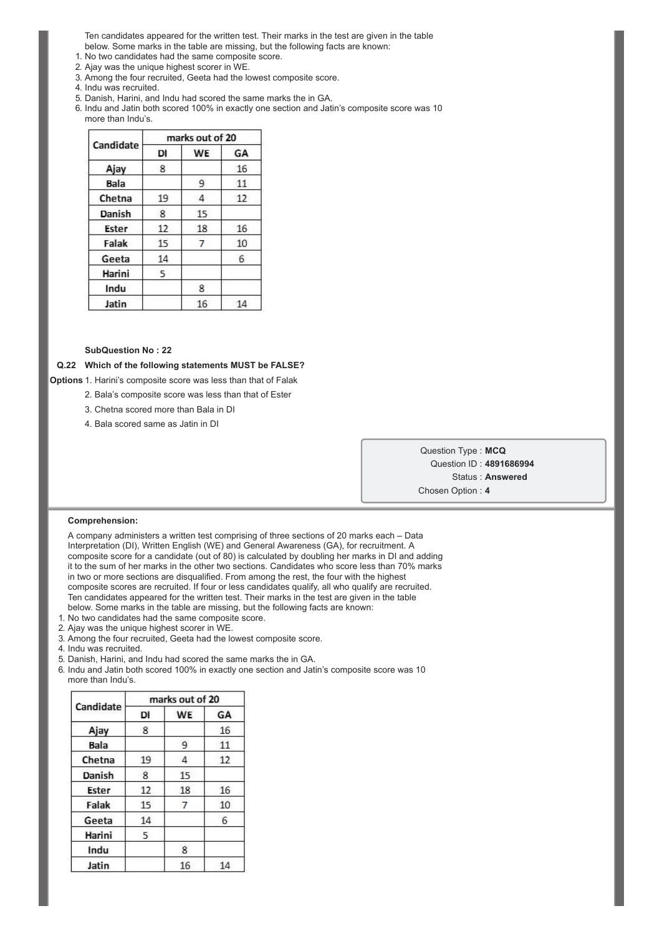Ten candidates appeared for the written test. Their marks in the test are given in the table below. Some marks in the table are missing, but the following facts are known:

1. No two candidates had the same composite score.

- 2. Ajay was the unique highest scorer in WE.
- 3. Among the four recruited, Geeta had the lowest composite score.
- 4. Indu was recruited.
- 5. Danish, Harini, and Indu had scored the same marks the in GA.

6. Indu and Jatin both scored 100% in exactly one section and Jatin's composite score was 10 more than Indu's.

|             | marks out of 20 |           |    |
|-------------|-----------------|-----------|----|
| Candidate   | DI              | <b>WE</b> | GA |
| Ajay        | 8               |           | 16 |
| <b>Bala</b> |                 | 9         | 11 |
| Chetna      | 19              | 4         | 12 |
| Danish      | 8               | 15        |    |
| Ester       | 12              | 18        | 16 |
| Falak       | 15              | 7         | 10 |
| Geeta       | 14              |           | 6  |
| Harini      | 5               |           |    |
| Indu        |                 | 8         |    |
| Jatin       |                 | 16        | 14 |

### **SubQuestion No : 22**

# **Q.22 Which of the following statements MUST be FALSE?**

**Options** 1. Harini's composite score was less than that of Falak

- 2. Bala's composite score was less than that of Ester
- 3. Chetna scored more than Bala in DI
- 4. Bala scored same as Jatin in DI

Question Type : **MCQ** Question ID : **4891686994** Status : **Answered** Chosen Option : **4**

### **Comprehension:**

A company administers a written test comprising of three sections of 20 marks each – Data Interpretation (DI), Written English (WE) and General Awareness (GA), for recruitment. A composite score for a candidate (out of 80) is calculated by doubling her marks in DI and adding it to the sum of her marks in the other two sections. Candidates who score less than 70% marks in two or more sections are disqualified. From among the rest, the four with the highest composite scores are recruited. If four or less candidates qualify, all who qualify are recruited. Ten candidates appeared for the written test. Their marks in the test are given in the table below. Some marks in the table are missing, but the following facts are known:

- 1. No two candidates had the same composite score.
- 2. Ajay was the unique highest scorer in WE.
- 3. Among the four recruited, Geeta had the lowest composite score.
- 4. Indu was recruited.
- 5. Danish, Harini, and Indu had scored the same marks the in GA.
- 6. Indu and Jatin both scored 100% in exactly one section and Jatin's composite score was 10 more than Indu's.

|           | marks out of 20 |           |    |
|-----------|-----------------|-----------|----|
| Candidate | DI              | <b>WE</b> | GA |
| Ajay      | 8               |           | 16 |
| Bala      |                 | 9         | 11 |
| Chetna    | 19              | 4         | 12 |
| Danish    | 8               | 15        |    |
| Ester     | 12              | 18        | 16 |
| Falak     | 15              | 7         | 10 |
| Geeta     | 14              |           | 6  |
| Harini    | 5               |           |    |
| Indu      |                 | 8         |    |
| Jatin     |                 | 16        | 14 |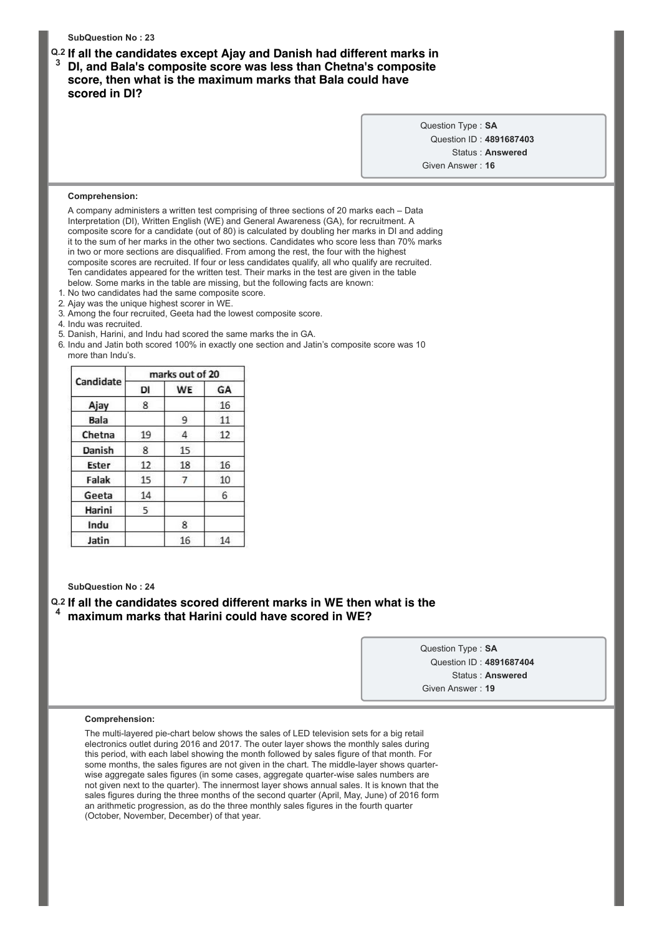**SubQuestion No : 23 Q.2 If all the candidates except Ajay and Danish had different marks in 3 DI, and Bala's composite score was less than Chetna's composite score, then what is the maximum marks that Bala could have scored in DI?** Question Type : **SA** Question ID : **4891687403** Status : **Answered** Given Answer : **16 Comprehension:** A company administers a written test comprising of three sections of 20 marks each – Data Interpretation (DI), Written English (WE) and General Awareness (GA), for recruitment. A composite score for a candidate (out of 80) is calculated by doubling her marks in DI and adding it to the sum of her marks in the other two sections. Candidates who score less than 70% marks in two or more sections are disqualified. From among the rest, the four with the highest composite scores are recruited. If four or less candidates qualify, all who qualify are recruited. Ten candidates appeared for the written test. Their marks in the test are given in the table below. Some marks in the table are missing, but the following facts are known: 1. No two candidates had the same composite score.

- 2. Ajay was the unique highest scorer in WE.
- 3. Among the four recruited, Geeta had the lowest composite score.
- 4. Indu was recruited.
- 5. Danish, Harini, and Indu had scored the same marks the in GA.
- 6. Indu and Jatin both scored 100% in exactly one section and Jatin's composite score was 10 more than Indu's.

|             | marks out of 20 |           |    |
|-------------|-----------------|-----------|----|
| Candidate   | DI              | <b>WE</b> | GA |
| Ajay        | 8               |           | 16 |
| <b>Bala</b> |                 | 9         | 11 |
| Chetna      | 19              | 4         | 12 |
| Danish      | 8               | 15        |    |
| Ester       | 12              | 18        | 16 |
| Falak       | 15              | 7         | 10 |
| Geeta       | 14              |           | 6  |
| Harini      | 5               |           |    |
| Indu        |                 | 8         |    |
| Jatin       |                 | 16        | 14 |

**SubQuestion No : 24**

# **Q.2 If all the candidates scored different marks in WE then what is the 4 maximum marks that Harini could have scored in WE?**

Question Type : **SA** Question ID : **4891687404** Status : **Answered** Given Answer : **19**

#### **Comprehension:**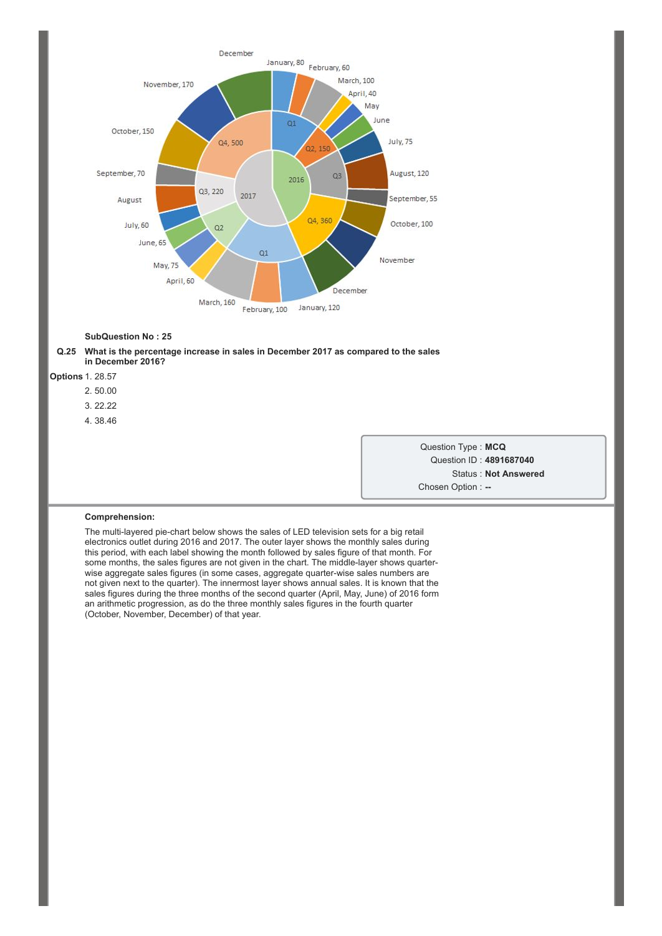



**Options** 1. 28.57

- 2. 50.00
- 3. 22.22
- 4. 38.46

Question Type : **MCQ** Question ID : **4891687040** Status : **Not Answered** Chosen Option : --

#### **Comprehension:**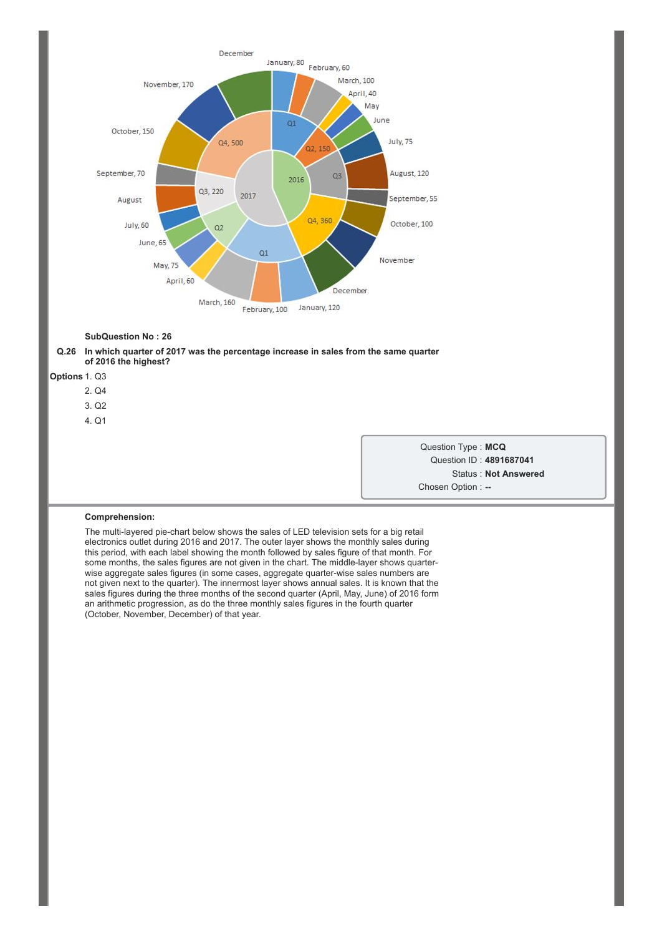



**Options** 1. Q3

- 2. Q4
- 3. Q2
- 4. Q1

Question Type : **MCQ** Question ID : **4891687041** Status : **Not Answered** Chosen Option : --

#### **Comprehension:**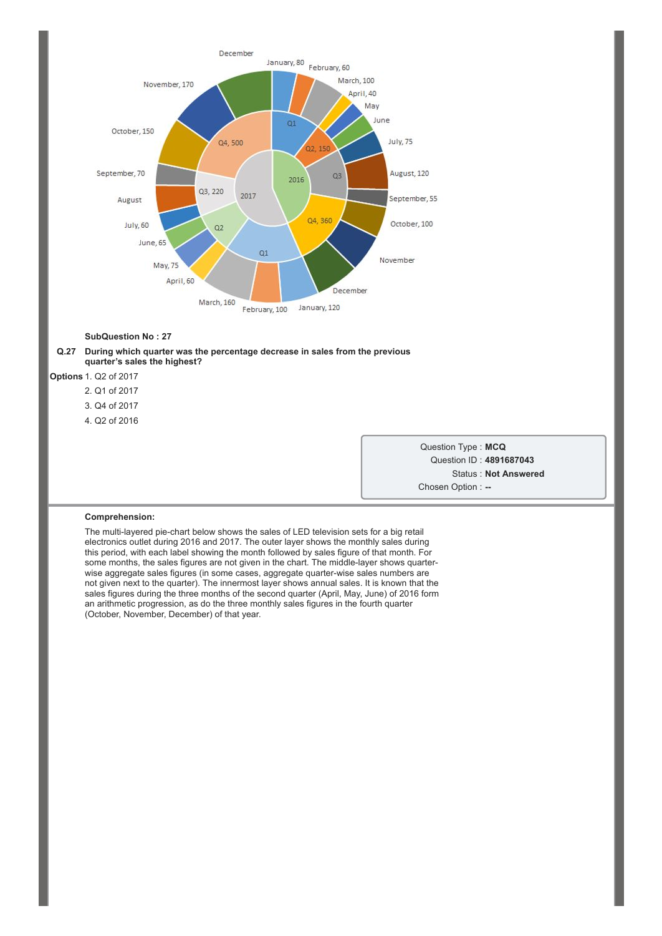

### **Q.27 During which quarter was the percentage decrease in sales from the previous quarter's sales the highest?**

**Options** 1. Q2 of 2017

- 2. Q1 of 2017
- 3. Q4 of 2017
- 4. Q2 of 2016

Question Type : **MCQ** Question ID : **4891687043** Status : **Not Answered** Chosen Option : --

#### **Comprehension:**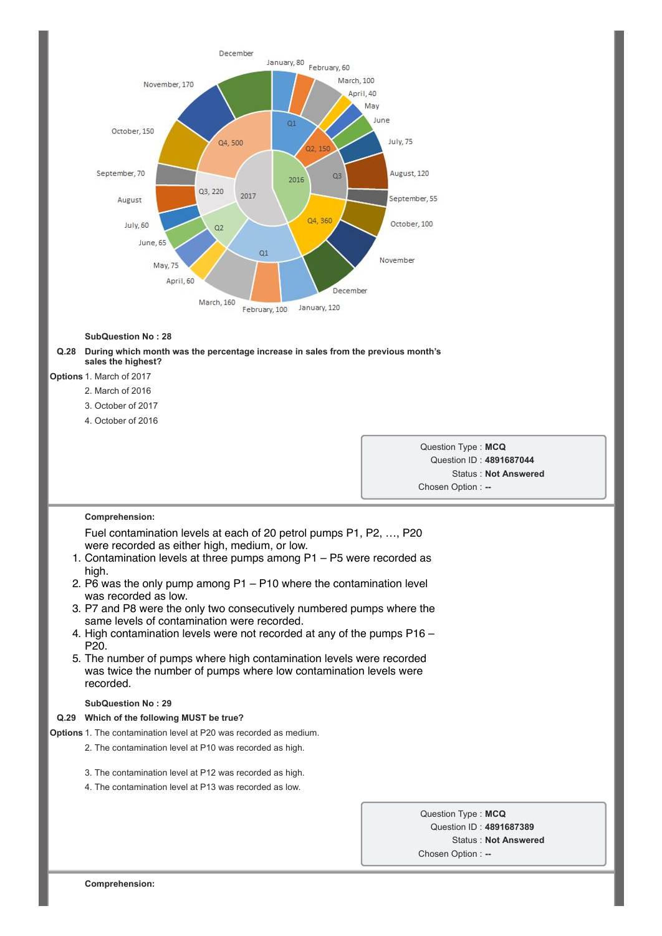

### **Q.28 During which month was the percentage increase in sales from the previous month's sales the highest?**

# **Options** 1. March of 2017

- 2. March of 2016
- 3. October of 2017
- 4. October of 2016

Question Type : **MCQ** Question ID : **4891687044** Status : **Not Answered** Chosen Option : --

### **Comprehension:**

Fuel contamination levels at each of 20 petrol pumps P1, P2, …, P20 were recorded as either high, medium, or low.

- 1. Contamination levels at three pumps among P1 P5 were recorded as high.
- 2. P $\overline{6}$  was the only pump among P1 P10 where the contamination level was recorded as low.
- 3. P7 and P8 were the only two consecutively numbered pumps where the same levels of contamination were recorded.
- 4. High contamination levels were not recorded at any of the pumps P16 P20.
- 5. The number of pumps where high contamination levels were recorded was twice the number of pumps where low contamination levels were recorded.

# **SubQuestion No : 29**

### **Q.29 Which of the following MUST be true?**

**Options** 1. The contamination level at P20 was recorded as medium.

- 2. The contamination level at P10 was recorded as high.
- 3. The contamination level at P12 was recorded as high.
- 4. The contamination level at P13 was recorded as low.

Question Type : **MCQ** Question ID : **4891687389** Status : **Not Answered** Chosen Option :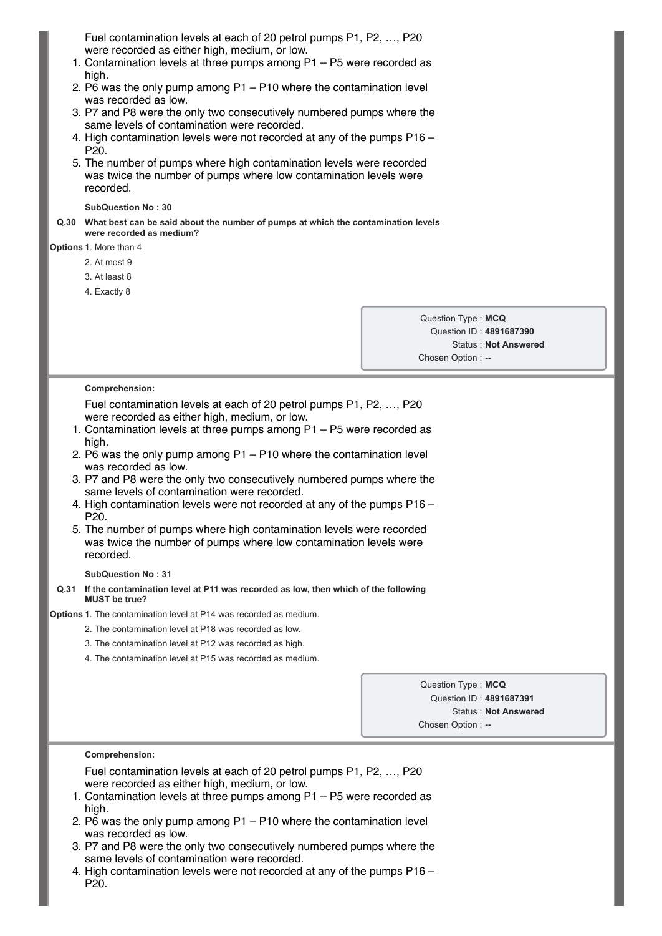Fuel contamination levels at each of 20 petrol pumps P1, P2, …, P20 were recorded as either high, medium, or low.

- 1. Contamination levels at three pumps among P1 P5 were recorded as high.
- 2. P6 was the only pump among P1 P10 where the contamination level was recorded as low.
- 3. P7 and P8 were the only two consecutively numbered pumps where the same levels of contamination were recorded.
- 4. High contamination levels were not recorded at any of the pumps P16 P20.
- 5. The number of pumps where high contamination levels were recorded was twice the number of pumps where low contamination levels were recorded.

**SubQuestion No : 30**

**Q.30 What best can be said about the number of pumps at which the contamination levels were recorded as medium?**

**Options** 1. More than 4

2. At most 9

3. At least 8

4. Exactly 8

Question Type : **MCQ** Question ID : **4891687390** Status : **Not Answered** Chosen Option :

# **Comprehension:**

Fuel contamination levels at each of 20 petrol pumps P1, P2, …, P20 were recorded as either high, medium, or low.

- 1. Contamination levels at three pumps among P1 P5 were recorded as high.
- 2. P6 was the only pump among P1 P10 where the contamination level was recorded as low.
- 3. P7 and P8 were the only two consecutively numbered pumps where the same levels of contamination were recorded.
- 4. High contamination levels were not recorded at any of the pumps P16 P20.
- 5. The number of pumps where high contamination levels were recorded was twice the number of pumps where low contamination levels were recorded.

# **SubQuestion No : 31**

### **Q.31 If the contamination level at P11 was recorded as low, then which of the following MUST be true?**

**Options** 1. The contamination level at P14 was recorded as medium.

- 2. The contamination level at P18 was recorded as low.
- 3. The contamination level at P12 was recorded as high.
- 4. The contamination level at P15 was recorded as medium.

Question Type : **MCQ** Question ID : **4891687391** Status : **Not Answered** Chosen Option :

### **Comprehension:**

Fuel contamination levels at each of 20 petrol pumps P1, P2, …, P20 were recorded as either high, medium, or low.

- 1. Contamination levels at three pumps among P1 P5 were recorded as high.
- 2. P6 was the only pump among P1 P10 where the contamination level was recorded as low.
- 3. P7 and P8 were the only two consecutively numbered pumps where the same levels of contamination were recorded.
- 4. High contamination levels were not recorded at any of the pumps P16 P20.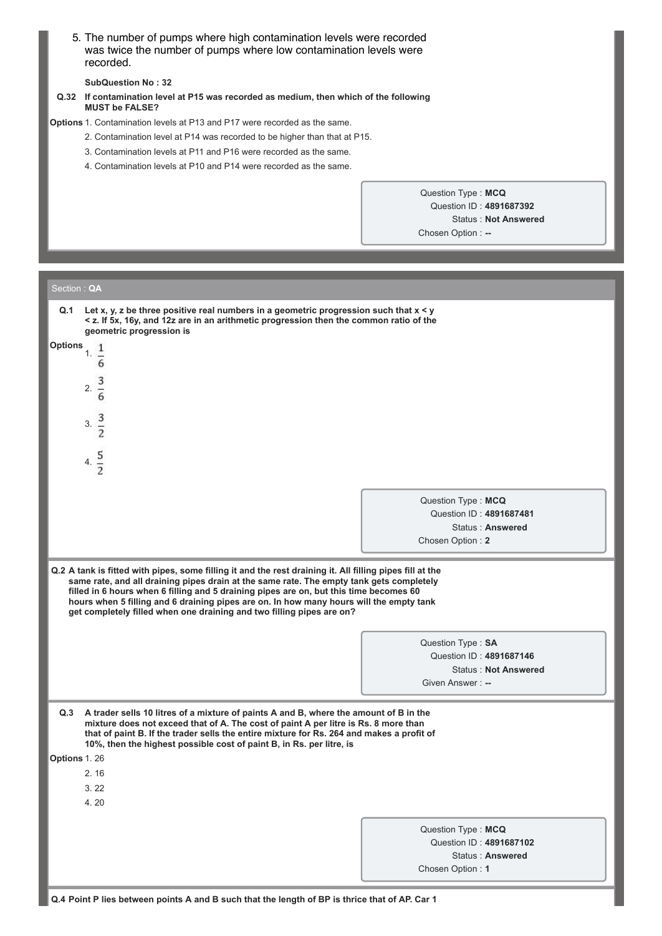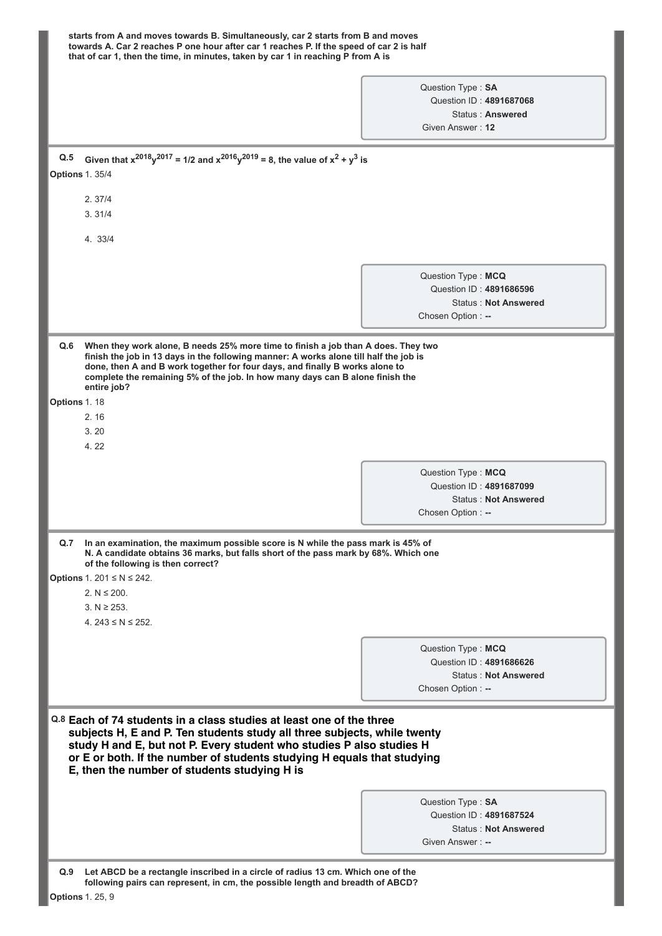|                                                     | towards A. Car 2 reaches P one hour after car 1 reaches P. If the speed of car 2 is half<br>that of car 1, then the time, in minutes, taken by car 1 in reaching P from A is                                                                                                                                                                        |
|-----------------------------------------------------|-----------------------------------------------------------------------------------------------------------------------------------------------------------------------------------------------------------------------------------------------------------------------------------------------------------------------------------------------------|
|                                                     |                                                                                                                                                                                                                                                                                                                                                     |
|                                                     | Question Type: SA<br>Question ID: 4891687068                                                                                                                                                                                                                                                                                                        |
|                                                     | Status: Answered                                                                                                                                                                                                                                                                                                                                    |
|                                                     | Given Answer: 12                                                                                                                                                                                                                                                                                                                                    |
| Q.5                                                 | Given that $x^{2018}y^{2017} = 1/2$ and $x^{2016}y^{2019} = 8$ , the value of $x^2 + y^3$ is                                                                                                                                                                                                                                                        |
| <b>Options 1. 35/4</b>                              |                                                                                                                                                                                                                                                                                                                                                     |
| 2.37/4                                              |                                                                                                                                                                                                                                                                                                                                                     |
| 3.31/4                                              |                                                                                                                                                                                                                                                                                                                                                     |
| 4. 33/4                                             |                                                                                                                                                                                                                                                                                                                                                     |
|                                                     |                                                                                                                                                                                                                                                                                                                                                     |
|                                                     | Question Type: MCQ                                                                                                                                                                                                                                                                                                                                  |
|                                                     | Question ID: 4891686596                                                                                                                                                                                                                                                                                                                             |
|                                                     | <b>Status: Not Answered</b>                                                                                                                                                                                                                                                                                                                         |
|                                                     | Chosen Option: --                                                                                                                                                                                                                                                                                                                                   |
| entire job?<br>Options 1.18<br>2.16<br>3.20<br>4.22 | finish the job in 13 days in the following manner: A works alone till half the job is<br>done, then A and B work together for four days, and finally B works alone to<br>complete the remaining 5% of the job. In how many days can B alone finish the                                                                                              |
|                                                     |                                                                                                                                                                                                                                                                                                                                                     |
|                                                     | Question Type: MCQ                                                                                                                                                                                                                                                                                                                                  |
|                                                     | Question ID: 4891687099                                                                                                                                                                                                                                                                                                                             |
|                                                     | <b>Status: Not Answered</b>                                                                                                                                                                                                                                                                                                                         |
|                                                     | Chosen Option: --                                                                                                                                                                                                                                                                                                                                   |
| of the following is then correct?                   | Q.7 In an examination, the maximum possible score is N while the pass mark is 45% of<br>N. A candidate obtains 36 marks, but falls short of the pass mark by 68%. Which one                                                                                                                                                                         |
| <b>Options</b> 1. 201 ≤ N ≤ 242.                    |                                                                                                                                                                                                                                                                                                                                                     |
| 2. $N \le 200$ .                                    |                                                                                                                                                                                                                                                                                                                                                     |
| $3. N \ge 253.$                                     |                                                                                                                                                                                                                                                                                                                                                     |
| 4. $243 \le N \le 252$ .                            |                                                                                                                                                                                                                                                                                                                                                     |
|                                                     | Question Type: MCQ                                                                                                                                                                                                                                                                                                                                  |
|                                                     | Question ID: 4891686626                                                                                                                                                                                                                                                                                                                             |
|                                                     | <b>Status: Not Answered</b>                                                                                                                                                                                                                                                                                                                         |
|                                                     | Chosen Option: --                                                                                                                                                                                                                                                                                                                                   |
|                                                     | Q.8 Each of 74 students in a class studies at least one of the three<br>subjects H, E and P. Ten students study all three subjects, while twenty<br>study H and E, but not P. Every student who studies P also studies H<br>or E or both. If the number of students studying H equals that studying<br>E, then the number of students studying H is |
|                                                     | Question Type: SA                                                                                                                                                                                                                                                                                                                                   |
|                                                     |                                                                                                                                                                                                                                                                                                                                                     |
|                                                     | Question ID: 4891687524                                                                                                                                                                                                                                                                                                                             |
|                                                     | <b>Status: Not Answered</b>                                                                                                                                                                                                                                                                                                                         |
|                                                     | Given Answer: --                                                                                                                                                                                                                                                                                                                                    |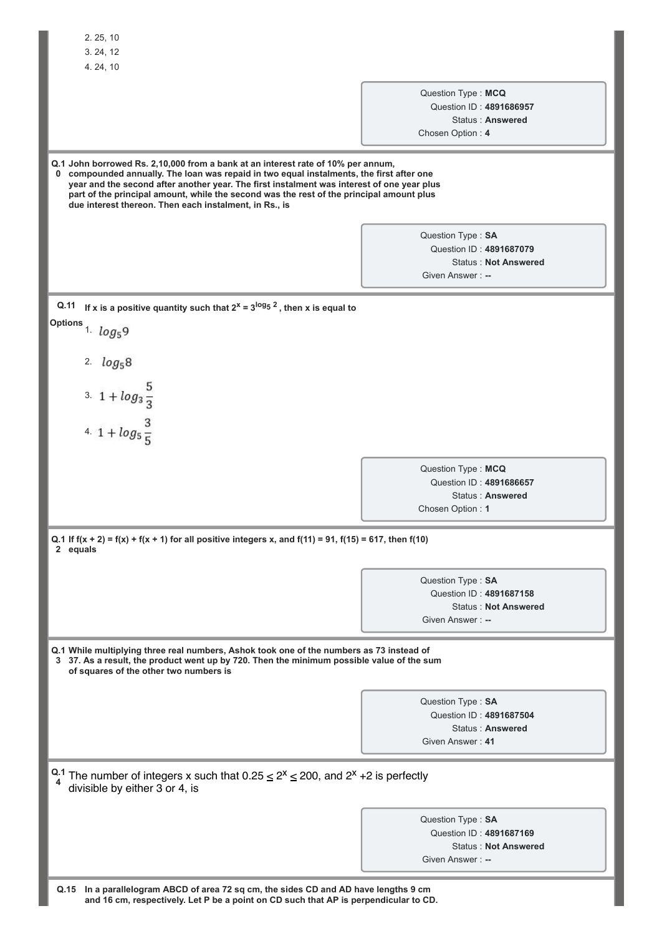| 2.25,10                                                                                                                                                                                                                                                                                                                                                                                                                                       |                    |                             |  |
|-----------------------------------------------------------------------------------------------------------------------------------------------------------------------------------------------------------------------------------------------------------------------------------------------------------------------------------------------------------------------------------------------------------------------------------------------|--------------------|-----------------------------|--|
| 3.24,12                                                                                                                                                                                                                                                                                                                                                                                                                                       |                    |                             |  |
| 4.24,10                                                                                                                                                                                                                                                                                                                                                                                                                                       |                    |                             |  |
|                                                                                                                                                                                                                                                                                                                                                                                                                                               | Question Type: MCQ |                             |  |
|                                                                                                                                                                                                                                                                                                                                                                                                                                               |                    | Question ID: 4891686957     |  |
|                                                                                                                                                                                                                                                                                                                                                                                                                                               | Chosen Option: 4   | Status: Answered            |  |
|                                                                                                                                                                                                                                                                                                                                                                                                                                               |                    |                             |  |
| Q.1 John borrowed Rs. 2,10,000 from a bank at an interest rate of 10% per annum,<br>compounded annually. The loan was repaid in two equal instalments, the first after one<br>$\mathbf 0$<br>year and the second after another year. The first instalment was interest of one year plus<br>part of the principal amount, while the second was the rest of the principal amount plus<br>due interest thereon. Then each instalment, in Rs., is |                    |                             |  |
|                                                                                                                                                                                                                                                                                                                                                                                                                                               | Question Type: SA  |                             |  |
|                                                                                                                                                                                                                                                                                                                                                                                                                                               |                    | Question ID: 4891687079     |  |
|                                                                                                                                                                                                                                                                                                                                                                                                                                               | Given Answer: --   | <b>Status: Not Answered</b> |  |
|                                                                                                                                                                                                                                                                                                                                                                                                                                               |                    |                             |  |
| If x is a positive quantity such that $2^x = 3^{\log 5}$ , then x is equal to<br>Q.11                                                                                                                                                                                                                                                                                                                                                         |                    |                             |  |
| Options 1. $log_5 9$                                                                                                                                                                                                                                                                                                                                                                                                                          |                    |                             |  |
| 2. $log_58$                                                                                                                                                                                                                                                                                                                                                                                                                                   |                    |                             |  |
|                                                                                                                                                                                                                                                                                                                                                                                                                                               |                    |                             |  |
| 3. $1 + log_3 \frac{5}{3}$<br>4. $1 + log_5 \frac{3}{5}$                                                                                                                                                                                                                                                                                                                                                                                      |                    |                             |  |
|                                                                                                                                                                                                                                                                                                                                                                                                                                               |                    |                             |  |
|                                                                                                                                                                                                                                                                                                                                                                                                                                               |                    |                             |  |
|                                                                                                                                                                                                                                                                                                                                                                                                                                               |                    |                             |  |
|                                                                                                                                                                                                                                                                                                                                                                                                                                               | Question Type: MCQ | Question ID: 4891686657     |  |
|                                                                                                                                                                                                                                                                                                                                                                                                                                               |                    | Status: Answered            |  |
|                                                                                                                                                                                                                                                                                                                                                                                                                                               | Chosen Option: 1   |                             |  |
| Q.1 If $f(x + 2) = f(x) + f(x + 1)$ for all positive integers x, and $f(11) = 91$ , $f(15) = 617$ , then $f(10)$<br>2 equals                                                                                                                                                                                                                                                                                                                  |                    |                             |  |
|                                                                                                                                                                                                                                                                                                                                                                                                                                               | Question Type: SA  |                             |  |
|                                                                                                                                                                                                                                                                                                                                                                                                                                               |                    | Question ID: 4891687158     |  |
|                                                                                                                                                                                                                                                                                                                                                                                                                                               | Given Answer: --   | <b>Status: Not Answered</b> |  |
|                                                                                                                                                                                                                                                                                                                                                                                                                                               |                    |                             |  |
| Q.1 While multiplying three real numbers, Ashok took one of the numbers as 73 instead of<br>3 37. As a result, the product went up by 720. Then the minimum possible value of the sum<br>of squares of the other two numbers is                                                                                                                                                                                                               |                    |                             |  |
|                                                                                                                                                                                                                                                                                                                                                                                                                                               | Question Type: SA  |                             |  |
|                                                                                                                                                                                                                                                                                                                                                                                                                                               |                    | Question ID: 4891687504     |  |
|                                                                                                                                                                                                                                                                                                                                                                                                                                               |                    | Status: Answered            |  |
|                                                                                                                                                                                                                                                                                                                                                                                                                                               | Given Answer: 41   |                             |  |
| Q.1 The number of integers x such that $0.25 \le 2^x \le 200$ , and $2^x + 2$ is perfectly<br>divisible by either 3 or 4, is                                                                                                                                                                                                                                                                                                                  |                    |                             |  |
|                                                                                                                                                                                                                                                                                                                                                                                                                                               | Question Type: SA  |                             |  |
|                                                                                                                                                                                                                                                                                                                                                                                                                                               |                    | Question ID: 4891687169     |  |
|                                                                                                                                                                                                                                                                                                                                                                                                                                               |                    | <b>Status: Not Answered</b> |  |
|                                                                                                                                                                                                                                                                                                                                                                                                                                               | Given Answer: --   |                             |  |
| Q.15 In a parallelogram ABCD of area 72 sq cm, the sides CD and AD have lengths 9 cm                                                                                                                                                                                                                                                                                                                                                          |                    |                             |  |

**and 16 cm, respectively. Let P be a point on CD such that AP is perpendicular to CD.**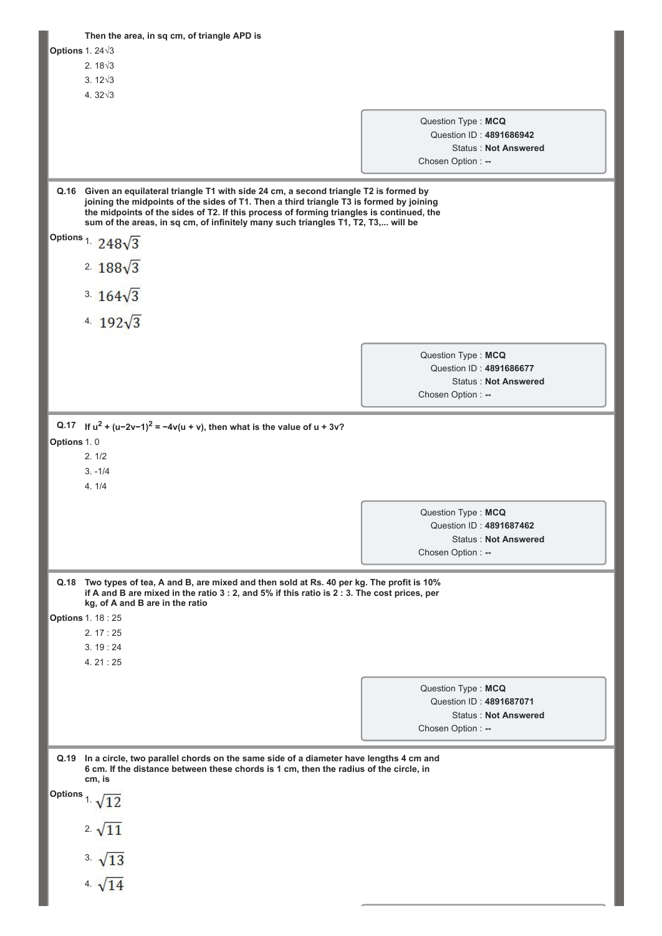|                 | Then the area, in sq cm, of triangle APD is                                                                                                                                                                                                                                                                                                                                                      |                                         |                                                        |
|-----------------|--------------------------------------------------------------------------------------------------------------------------------------------------------------------------------------------------------------------------------------------------------------------------------------------------------------------------------------------------------------------------------------------------|-----------------------------------------|--------------------------------------------------------|
| Options 1. 24 3 |                                                                                                                                                                                                                                                                                                                                                                                                  |                                         |                                                        |
|                 | $2.18\sqrt{3}$                                                                                                                                                                                                                                                                                                                                                                                   |                                         |                                                        |
|                 | $3.12\sqrt{3}$                                                                                                                                                                                                                                                                                                                                                                                   |                                         |                                                        |
|                 | 4. $32\sqrt{3}$                                                                                                                                                                                                                                                                                                                                                                                  |                                         |                                                        |
|                 |                                                                                                                                                                                                                                                                                                                                                                                                  | Question Type: MCQ                      |                                                        |
|                 |                                                                                                                                                                                                                                                                                                                                                                                                  |                                         | Question ID: 4891686942                                |
|                 |                                                                                                                                                                                                                                                                                                                                                                                                  |                                         | <b>Status: Not Answered</b>                            |
|                 |                                                                                                                                                                                                                                                                                                                                                                                                  | Chosen Option: --                       |                                                        |
|                 | Q.16 Given an equilateral triangle T1 with side 24 cm, a second triangle T2 is formed by<br>joining the midpoints of the sides of T1. Then a third triangle T3 is formed by joining<br>the midpoints of the sides of T2. If this process of forming triangles is continued, the<br>sum of the areas, in sq cm, of infinitely many such triangles T1, T2, T3, will be<br>Options 1. $248\sqrt{3}$ |                                         |                                                        |
|                 | 2. $188\sqrt{3}$                                                                                                                                                                                                                                                                                                                                                                                 |                                         |                                                        |
|                 | $3.164\sqrt{3}$                                                                                                                                                                                                                                                                                                                                                                                  |                                         |                                                        |
|                 | 4. $192\sqrt{3}$                                                                                                                                                                                                                                                                                                                                                                                 |                                         |                                                        |
|                 |                                                                                                                                                                                                                                                                                                                                                                                                  |                                         |                                                        |
|                 |                                                                                                                                                                                                                                                                                                                                                                                                  | Question Type: MCQ<br>Chosen Option: -- | Question ID: 4891686677<br><b>Status: Not Answered</b> |
|                 |                                                                                                                                                                                                                                                                                                                                                                                                  |                                         |                                                        |
| Q.17            | If $u^2 + (u-2v-1)^2 = -4v(u + v)$ , then what is the value of $u + 3v$ ?                                                                                                                                                                                                                                                                                                                        |                                         |                                                        |
| Options 1.0     | 2.1/2                                                                                                                                                                                                                                                                                                                                                                                            |                                         |                                                        |
|                 | $3. -1/4$                                                                                                                                                                                                                                                                                                                                                                                        |                                         |                                                        |
|                 | 4.1/4                                                                                                                                                                                                                                                                                                                                                                                            |                                         |                                                        |
|                 |                                                                                                                                                                                                                                                                                                                                                                                                  |                                         |                                                        |
|                 |                                                                                                                                                                                                                                                                                                                                                                                                  | Question Type: MCQ                      |                                                        |
|                 |                                                                                                                                                                                                                                                                                                                                                                                                  | Question ID: 4891687462                 | <b>Status: Not Answered</b>                            |
|                 |                                                                                                                                                                                                                                                                                                                                                                                                  | Chosen Option: --                       |                                                        |
|                 |                                                                                                                                                                                                                                                                                                                                                                                                  |                                         |                                                        |
| Q.18            | Two types of tea, A and B, are mixed and then sold at Rs. 40 per kg. The profit is 10%<br>if A and B are mixed in the ratio 3 : 2, and 5% if this ratio is 2 : 3. The cost prices, per<br>kg, of A and B are in the ratio<br><b>Options 1. 18:25</b>                                                                                                                                             |                                         |                                                        |
|                 | 2.17:25                                                                                                                                                                                                                                                                                                                                                                                          |                                         |                                                        |
|                 | 3.19:24                                                                                                                                                                                                                                                                                                                                                                                          |                                         |                                                        |
|                 | 4.21:25                                                                                                                                                                                                                                                                                                                                                                                          |                                         |                                                        |
|                 |                                                                                                                                                                                                                                                                                                                                                                                                  | Question Type: MCQ                      | Question ID: 4891687071                                |
|                 |                                                                                                                                                                                                                                                                                                                                                                                                  | Chosen Option: --                       | <b>Status: Not Answered</b>                            |
|                 |                                                                                                                                                                                                                                                                                                                                                                                                  |                                         |                                                        |
| Q.19            | In a circle, two parallel chords on the same side of a diameter have lengths 4 cm and<br>6 cm. If the distance between these chords is 1 cm, then the radius of the circle, in<br>cm, is                                                                                                                                                                                                         |                                         |                                                        |
| <b>Options</b>  | $1 \sqrt{12}$                                                                                                                                                                                                                                                                                                                                                                                    |                                         |                                                        |
|                 | $2 \sqrt{11}$                                                                                                                                                                                                                                                                                                                                                                                    |                                         |                                                        |
|                 | $3\sqrt{13}$                                                                                                                                                                                                                                                                                                                                                                                     |                                         |                                                        |
|                 | 4. $\sqrt{14}$                                                                                                                                                                                                                                                                                                                                                                                   |                                         |                                                        |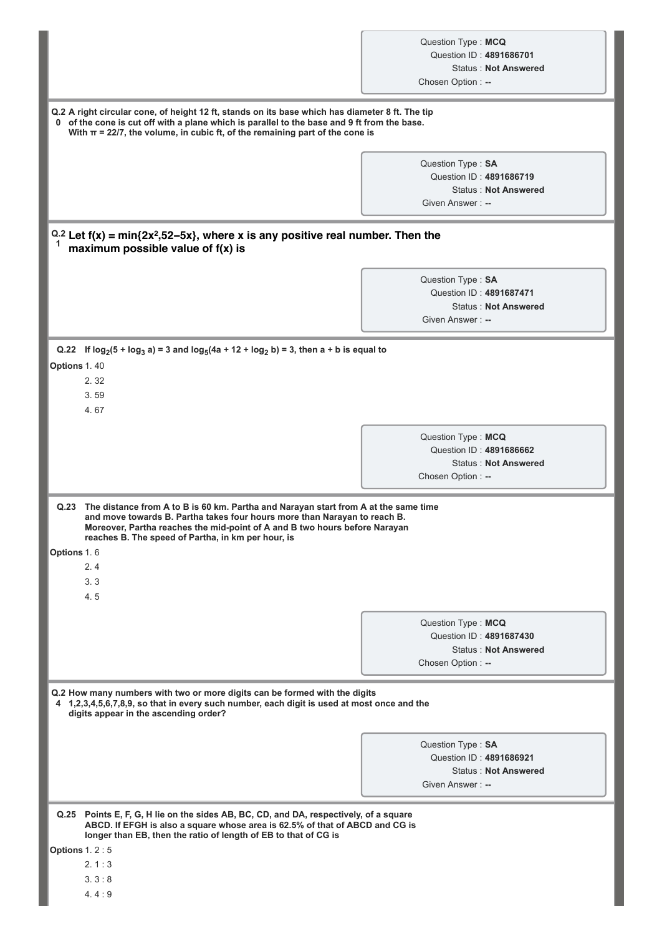| Question Type: MCQ      |                             |
|-------------------------|-----------------------------|
| Question ID: 4891686701 |                             |
|                         | <b>Status: Not Answered</b> |
| Chosen Option: --       |                             |

**Q.2 A right circular cone, of height 12 ft, stands on its base which has diameter 8 ft. The tip 0 of the cone is cut off with a plane which is parallel to the base and 9 ft from the base. With π = 22/7, the volume, in cubic ft, of the remaining part of the cone is** 

> Question Type : **SA** Question ID : **4891686719** Status : **Not Answered** Given Answer :

# **Q.2 Let f(x) = min{2x<sup>2</sup> ,52−5x}, where x is any positive real number. Then the 1 maximum possible value of f(x) is**

Question Type : **SA** Question ID : **4891687471** Status : **Not Answered** Given Answer :

**Q.22 If log<sup>2</sup> (5 + log<sup>3</sup> a) = 3 and log<sup>5</sup> (4a + 12 + log<sup>2</sup> b) = 3, then a + b is equal to**

**Options** 1. 40

2. 32

3. 59

4. 67

Question Type : **MCQ** Question ID : **4891686662** Status : **Not Answered** Chosen Option : --

| Q.23               | The distance from A to B is 60 km. Partha and Narayan start from A at the same time<br>and move towards B. Partha takes four hours more than Narayan to reach B.<br>Moreover, Partha reaches the mid-point of A and B two hours before Narayan<br>reaches B. The speed of Partha, in km per hour, is |
|--------------------|------------------------------------------------------------------------------------------------------------------------------------------------------------------------------------------------------------------------------------------------------------------------------------------------------|
| <b>Options</b> 1.6 |                                                                                                                                                                                                                                                                                                      |

2. 4 3. 3

- 4. 5
- 

Question Type : **MCQ** Question ID : **4891687430** Status : **Not Answered** Chosen Option : --

**Q.2 How many numbers with two or more digits can be formed with the digits 4 1,2,3,4,5,6,7,8,9, so that in every such number, each digit is used at most once and the digits appear in the ascending order?**

> Question Type : **SA** Question ID : **4891686921** Status : **Not Answered** Given Answer : --

**Q.25 Points E, F, G, H lie on the sides AB, BC, CD, and DA, respectively, of a square ABCD. If EFGH is also a square whose area is 62.5% of that of ABCD and CG is longer than EB, then the ratio of length of EB to that of CG is**

**Options** 1. 2 : 5

2. 1 : 3

3. 3 : 8

4. 4 : 9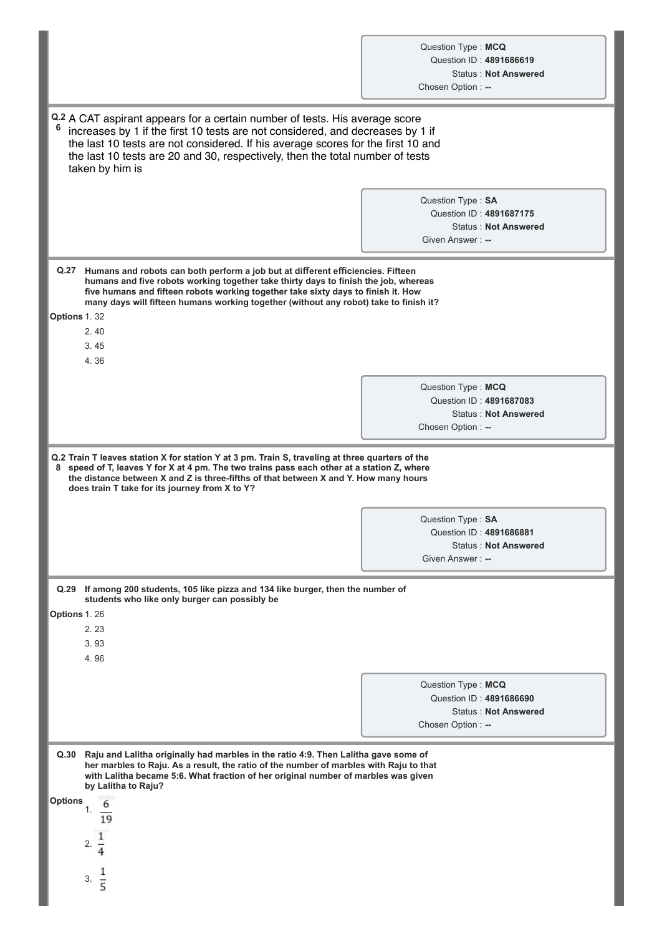| Question Type: MCQ      |                             |
|-------------------------|-----------------------------|
| Question ID: 4891686619 |                             |
|                         | <b>Status: Not Answered</b> |
| Chosan Ontion :         |                             |

|                                                                                                                                                                                                                                                                                                                                                                           | Chosen Option: --                                                                                 |  |  |  |  |
|---------------------------------------------------------------------------------------------------------------------------------------------------------------------------------------------------------------------------------------------------------------------------------------------------------------------------------------------------------------------------|---------------------------------------------------------------------------------------------------|--|--|--|--|
| Q.2 A CAT aspirant appears for a certain number of tests. His average score<br>6<br>increases by 1 if the first 10 tests are not considered, and decreases by 1 if<br>the last 10 tests are not considered. If his average scores for the first 10 and<br>the last 10 tests are 20 and 30, respectively, then the total number of tests<br>taken by him is                |                                                                                                   |  |  |  |  |
|                                                                                                                                                                                                                                                                                                                                                                           | Question Type: SA<br>Question ID: 4891687175<br><b>Status: Not Answered</b><br>Given Answer: --   |  |  |  |  |
| Q.27 Humans and robots can both perform a job but at different efficiencies. Fifteen<br>humans and five robots working together take thirty days to finish the job, whereas<br>five humans and fifteen robots working together take sixty days to finish it. How<br>many days will fifteen humans working together (without any robot) take to finish it?<br>Options 1.32 |                                                                                                   |  |  |  |  |
| 2.40<br>3.45<br>4.36                                                                                                                                                                                                                                                                                                                                                      |                                                                                                   |  |  |  |  |
|                                                                                                                                                                                                                                                                                                                                                                           | Question Type: MCQ<br>Question ID: 4891687083<br><b>Status: Not Answered</b><br>Chosen Option: -- |  |  |  |  |
| Q.2 Train T leaves station X for station Y at 3 pm. Train S, traveling at three quarters of the<br>8 speed of T, leaves Y for X at 4 pm. The two trains pass each other at a station Z, where<br>the distance between X and Z is three-fifths of that between X and Y. How many hours<br>does train T take for its journey from X to Y?                                   |                                                                                                   |  |  |  |  |
|                                                                                                                                                                                                                                                                                                                                                                           | Question Type: SA<br>Question ID: 4891686881<br><b>Status: Not Answered</b><br>Given Answer: --   |  |  |  |  |
| Q.29 If among 200 students, 105 like pizza and 134 like burger, then the number of<br>students who like only burger can possibly be<br>Options 1.26<br>2.23<br>3.93<br>4.96                                                                                                                                                                                               |                                                                                                   |  |  |  |  |
|                                                                                                                                                                                                                                                                                                                                                                           | Question Type: MCQ<br>Question ID: 4891686690<br><b>Status: Not Answered</b><br>Chosen Option: -- |  |  |  |  |
| Q.30<br>Raju and Lalitha originally had marbles in the ratio 4:9. Then Lalitha gave some of<br>her marbles to Raju. As a result, the ratio of the number of marbles with Raju to that<br>with Lalitha became 5:6. What fraction of her original number of marbles was given<br>by Lalitha to Raju?<br><b>Options</b><br>6<br>1.<br>19<br>2.<br>1<br>3.<br>$\overline{5}$  |                                                                                                   |  |  |  |  |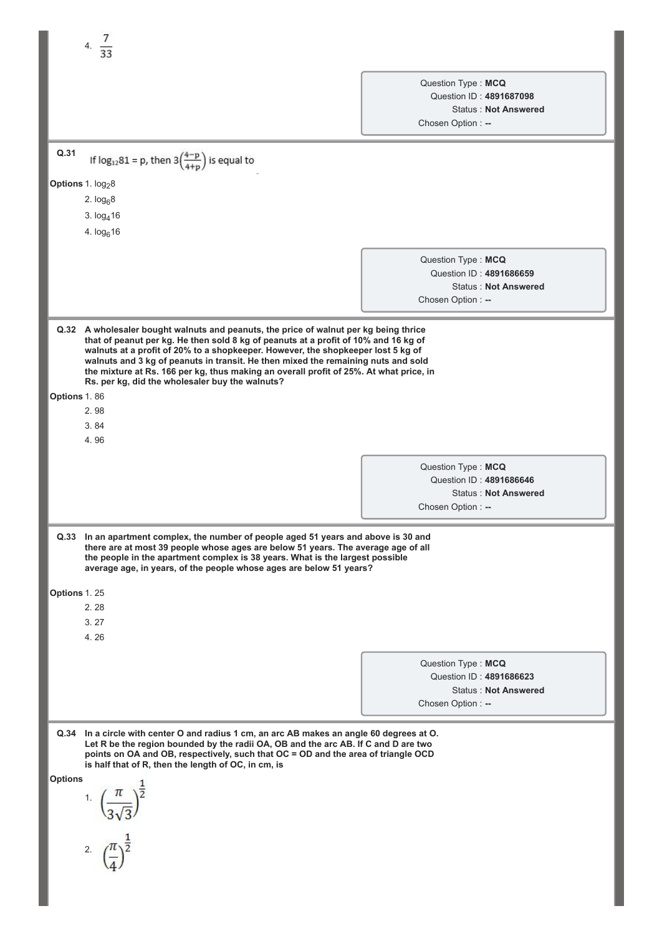|                                                                                                                                                                                                                                                                                                                                                                                                                                                            | 4. $\frac{7}{33}$                                                                                                                                                                                                                                                                                                                                                                                                                                                                                  |                                                                    |                                                        |  |
|------------------------------------------------------------------------------------------------------------------------------------------------------------------------------------------------------------------------------------------------------------------------------------------------------------------------------------------------------------------------------------------------------------------------------------------------------------|----------------------------------------------------------------------------------------------------------------------------------------------------------------------------------------------------------------------------------------------------------------------------------------------------------------------------------------------------------------------------------------------------------------------------------------------------------------------------------------------------|--------------------------------------------------------------------|--------------------------------------------------------|--|
|                                                                                                                                                                                                                                                                                                                                                                                                                                                            |                                                                                                                                                                                                                                                                                                                                                                                                                                                                                                    |                                                                    |                                                        |  |
|                                                                                                                                                                                                                                                                                                                                                                                                                                                            |                                                                                                                                                                                                                                                                                                                                                                                                                                                                                                    | Question Type: MCQ<br>Question ID: 4891687098<br>Chosen Option: -- | <b>Status: Not Answered</b>                            |  |
| Q.31                                                                                                                                                                                                                                                                                                                                                                                                                                                       | If $log_{12}81 = p$ , then $3\left(\frac{4-p}{4+p}\right)$ is equal to                                                                                                                                                                                                                                                                                                                                                                                                                             |                                                                    |                                                        |  |
| Options 1. log <sub>2</sub> 8                                                                                                                                                                                                                                                                                                                                                                                                                              |                                                                                                                                                                                                                                                                                                                                                                                                                                                                                                    |                                                                    |                                                        |  |
|                                                                                                                                                                                                                                                                                                                                                                                                                                                            | 2. $log_68$                                                                                                                                                                                                                                                                                                                                                                                                                                                                                        |                                                                    |                                                        |  |
|                                                                                                                                                                                                                                                                                                                                                                                                                                                            | 3. $log416$                                                                                                                                                                                                                                                                                                                                                                                                                                                                                        |                                                                    |                                                        |  |
|                                                                                                                                                                                                                                                                                                                                                                                                                                                            | 4. $log616$                                                                                                                                                                                                                                                                                                                                                                                                                                                                                        |                                                                    |                                                        |  |
|                                                                                                                                                                                                                                                                                                                                                                                                                                                            |                                                                                                                                                                                                                                                                                                                                                                                                                                                                                                    | Question Type: MCQ<br>Question ID: 4891686659<br>Chosen Option: -- | <b>Status: Not Answered</b>                            |  |
|                                                                                                                                                                                                                                                                                                                                                                                                                                                            | Q.32 A wholesaler bought walnuts and peanuts, the price of walnut per kg being thrice<br>that of peanut per kg. He then sold 8 kg of peanuts at a profit of 10% and 16 kg of<br>walnuts at a profit of 20% to a shopkeeper. However, the shopkeeper lost 5 kg of<br>walnuts and 3 kg of peanuts in transit. He then mixed the remaining nuts and sold<br>the mixture at Rs. 166 per kg, thus making an overall profit of 25%. At what price, in<br>Rs. per kg, did the wholesaler buy the walnuts? |                                                                    |                                                        |  |
| Options 1.86                                                                                                                                                                                                                                                                                                                                                                                                                                               |                                                                                                                                                                                                                                                                                                                                                                                                                                                                                                    |                                                                    |                                                        |  |
|                                                                                                                                                                                                                                                                                                                                                                                                                                                            | 2.98<br>3.84                                                                                                                                                                                                                                                                                                                                                                                                                                                                                       |                                                                    |                                                        |  |
|                                                                                                                                                                                                                                                                                                                                                                                                                                                            | 4.96                                                                                                                                                                                                                                                                                                                                                                                                                                                                                               |                                                                    |                                                        |  |
|                                                                                                                                                                                                                                                                                                                                                                                                                                                            |                                                                                                                                                                                                                                                                                                                                                                                                                                                                                                    | Question Type: MCQ<br>Chosen Option: --                            | Question ID: 4891686646<br><b>Status: Not Answered</b> |  |
|                                                                                                                                                                                                                                                                                                                                                                                                                                                            | Q.33 In an apartment complex, the number of people aged 51 years and above is 30 and<br>there are at most 39 people whose ages are below 51 years. The average age of all<br>the people in the apartment complex is 38 years. What is the largest possible<br>average age, in years, of the people whose ages are below 51 years?                                                                                                                                                                  |                                                                    |                                                        |  |
| Options 1.25                                                                                                                                                                                                                                                                                                                                                                                                                                               |                                                                                                                                                                                                                                                                                                                                                                                                                                                                                                    |                                                                    |                                                        |  |
|                                                                                                                                                                                                                                                                                                                                                                                                                                                            | 2.28                                                                                                                                                                                                                                                                                                                                                                                                                                                                                               |                                                                    |                                                        |  |
|                                                                                                                                                                                                                                                                                                                                                                                                                                                            | 3.27<br>4.26                                                                                                                                                                                                                                                                                                                                                                                                                                                                                       |                                                                    |                                                        |  |
|                                                                                                                                                                                                                                                                                                                                                                                                                                                            |                                                                                                                                                                                                                                                                                                                                                                                                                                                                                                    |                                                                    |                                                        |  |
|                                                                                                                                                                                                                                                                                                                                                                                                                                                            |                                                                                                                                                                                                                                                                                                                                                                                                                                                                                                    | Question Type: MCQ                                                 | Question ID: 4891686623                                |  |
|                                                                                                                                                                                                                                                                                                                                                                                                                                                            |                                                                                                                                                                                                                                                                                                                                                                                                                                                                                                    | Chosen Option: --                                                  | <b>Status: Not Answered</b>                            |  |
| Q.34<br>In a circle with center O and radius 1 cm, an arc AB makes an angle 60 degrees at O.<br>Let R be the region bounded by the radii OA, OB and the arc AB. If C and D are two<br>points on OA and OB, respectively, such that OC = OD and the area of triangle OCD<br>is half that of R, then the length of OC, in cm, is<br><b>Options</b><br>1. $\left(\frac{\pi}{3\sqrt{3}}\right)^{\frac{1}{2}}$<br>2. $\left(\frac{\pi}{4}\right)^{\frac{1}{2}}$ |                                                                                                                                                                                                                                                                                                                                                                                                                                                                                                    |                                                                    |                                                        |  |
|                                                                                                                                                                                                                                                                                                                                                                                                                                                            |                                                                                                                                                                                                                                                                                                                                                                                                                                                                                                    |                                                                    |                                                        |  |